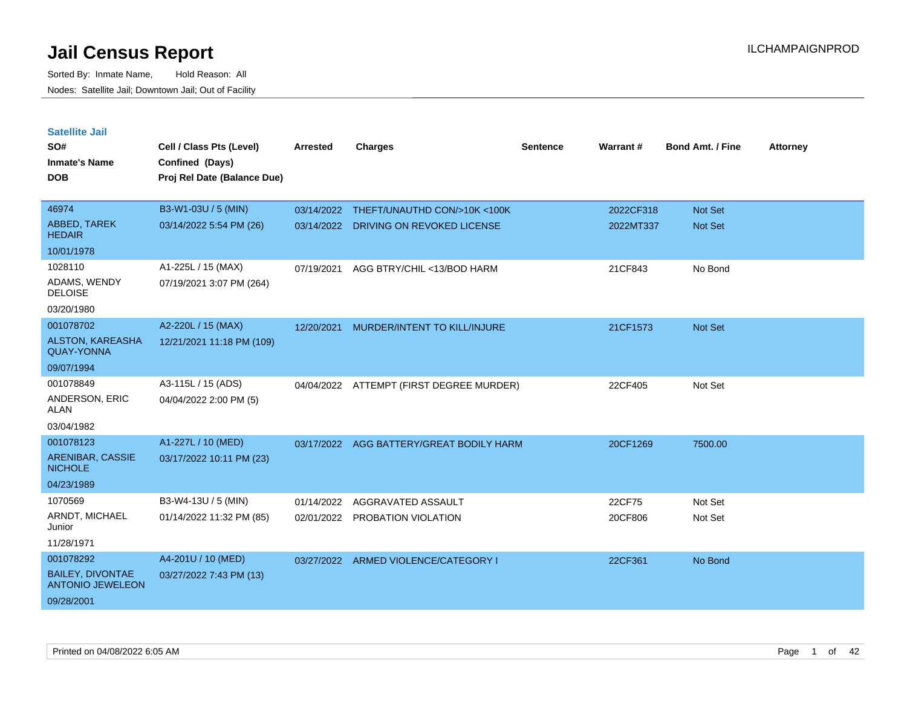| <b>Satellite Jail</b>                              |                             |            |                                          |          |           |                         |                 |
|----------------------------------------------------|-----------------------------|------------|------------------------------------------|----------|-----------|-------------------------|-----------------|
| SO#                                                | Cell / Class Pts (Level)    | Arrested   | Charges                                  | Sentence | Warrant#  | <b>Bond Amt. / Fine</b> | <b>Attorney</b> |
| Inmate's Name                                      | Confined (Days)             |            |                                          |          |           |                         |                 |
| <b>DOB</b>                                         | Proj Rel Date (Balance Due) |            |                                          |          |           |                         |                 |
|                                                    |                             |            |                                          |          |           |                         |                 |
| 46974                                              | B3-W1-03U / 5 (MIN)         |            | 03/14/2022 THEFT/UNAUTHD CON/>10K<100K   |          | 2022CF318 | <b>Not Set</b>          |                 |
| ABBED, TAREK<br><b>HEDAIR</b>                      | 03/14/2022 5:54 PM (26)     | 03/14/2022 | DRIVING ON REVOKED LICENSE               |          | 2022MT337 | Not Set                 |                 |
| 10/01/1978                                         |                             |            |                                          |          |           |                         |                 |
| 1028110                                            | A1-225L / 15 (MAX)          | 07/19/2021 | AGG BTRY/CHIL <13/BOD HARM               |          | 21CF843   | No Bond                 |                 |
| ADAMS, WENDY<br><b>DELOISE</b>                     | 07/19/2021 3:07 PM (264)    |            |                                          |          |           |                         |                 |
| 03/20/1980                                         |                             |            |                                          |          |           |                         |                 |
| 001078702                                          | A2-220L / 15 (MAX)          | 12/20/2021 | MURDER/INTENT TO KILL/INJURE             |          | 21CF1573  | <b>Not Set</b>          |                 |
| <b>ALSTON, KAREASHA</b><br><b>QUAY-YONNA</b>       | 12/21/2021 11:18 PM (109)   |            |                                          |          |           |                         |                 |
| 09/07/1994                                         |                             |            |                                          |          |           |                         |                 |
| 001078849                                          | A3-115L / 15 (ADS)          |            | 04/04/2022 ATTEMPT (FIRST DEGREE MURDER) |          | 22CF405   | Not Set                 |                 |
| ANDERSON, ERIC<br>ALAN                             | 04/04/2022 2:00 PM (5)      |            |                                          |          |           |                         |                 |
| 03/04/1982                                         |                             |            |                                          |          |           |                         |                 |
| 001078123                                          | A1-227L / 10 (MED)          | 03/17/2022 | AGG BATTERY/GREAT BODILY HARM            |          | 20CF1269  | 7500.00                 |                 |
| ARENIBAR, CASSIE<br><b>NICHOLE</b>                 | 03/17/2022 10:11 PM (23)    |            |                                          |          |           |                         |                 |
| 04/23/1989                                         |                             |            |                                          |          |           |                         |                 |
| 1070569                                            | B3-W4-13U / 5 (MIN)         | 01/14/2022 | AGGRAVATED ASSAULT                       |          | 22CF75    | Not Set                 |                 |
| ARNDT, MICHAEL<br>Junior                           | 01/14/2022 11:32 PM (85)    |            | 02/01/2022 PROBATION VIOLATION           |          | 20CF806   | Not Set                 |                 |
| 11/28/1971                                         |                             |            |                                          |          |           |                         |                 |
| 001078292                                          | A4-201U / 10 (MED)          |            | 03/27/2022 ARMED VIOLENCE/CATEGORY I     |          | 22CF361   | No Bond                 |                 |
| <b>BAILEY, DIVONTAE</b><br><b>ANTONIO JEWELEON</b> | 03/27/2022 7:43 PM (13)     |            |                                          |          |           |                         |                 |
| 09/28/2001                                         |                             |            |                                          |          |           |                         |                 |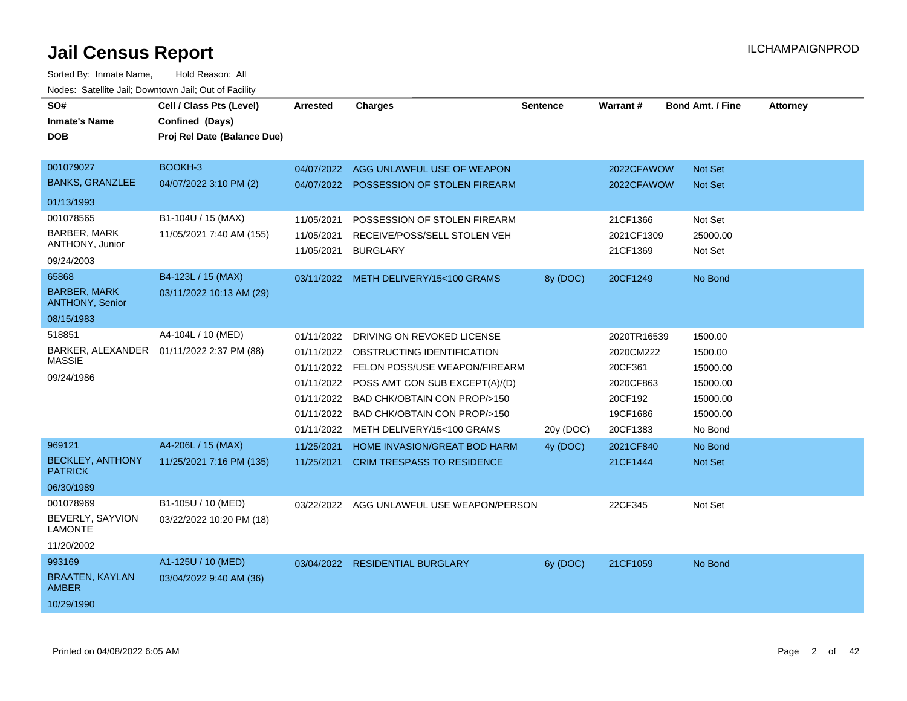| SO#<br><b>Inmate's Name</b><br><b>DOB</b>                  | Cell / Class Pts (Level)<br>Confined (Days)<br>Proj Rel Date (Balance Due) | <b>Arrested</b>                                                                                | <b>Charges</b>                                                                                                                                                                                                            | <b>Sentence</b> | Warrant#                                                                            | <b>Bond Amt. / Fine</b>                                                       | <b>Attorney</b> |
|------------------------------------------------------------|----------------------------------------------------------------------------|------------------------------------------------------------------------------------------------|---------------------------------------------------------------------------------------------------------------------------------------------------------------------------------------------------------------------------|-----------------|-------------------------------------------------------------------------------------|-------------------------------------------------------------------------------|-----------------|
| 001079027                                                  | BOOKH-3                                                                    |                                                                                                | 04/07/2022 AGG UNLAWFUL USE OF WEAPON                                                                                                                                                                                     |                 | 2022CFAWOW                                                                          | <b>Not Set</b>                                                                |                 |
| <b>BANKS, GRANZLEE</b>                                     | 04/07/2022 3:10 PM (2)                                                     |                                                                                                | 04/07/2022 POSSESSION OF STOLEN FIREARM                                                                                                                                                                                   |                 | 2022CFAWOW                                                                          | <b>Not Set</b>                                                                |                 |
| 01/13/1993                                                 |                                                                            |                                                                                                |                                                                                                                                                                                                                           |                 |                                                                                     |                                                                               |                 |
| 001078565                                                  | B1-104U / 15 (MAX)                                                         | 11/05/2021                                                                                     | POSSESSION OF STOLEN FIREARM                                                                                                                                                                                              |                 | 21CF1366                                                                            | Not Set                                                                       |                 |
| BARBER, MARK                                               | 11/05/2021 7:40 AM (155)                                                   | 11/05/2021                                                                                     | RECEIVE/POSS/SELL STOLEN VEH                                                                                                                                                                                              |                 | 2021CF1309                                                                          | 25000.00                                                                      |                 |
| ANTHONY, Junior                                            |                                                                            | 11/05/2021                                                                                     | <b>BURGLARY</b>                                                                                                                                                                                                           |                 | 21CF1369                                                                            | Not Set                                                                       |                 |
| 09/24/2003                                                 |                                                                            |                                                                                                |                                                                                                                                                                                                                           |                 |                                                                                     |                                                                               |                 |
| 65868<br><b>BARBER, MARK</b>                               | B4-123L / 15 (MAX)<br>03/11/2022 10:13 AM (29)                             |                                                                                                | 03/11/2022 METH DELIVERY/15<100 GRAMS                                                                                                                                                                                     | 8y (DOC)        | 20CF1249                                                                            | No Bond                                                                       |                 |
| <b>ANTHONY, Senior</b>                                     |                                                                            |                                                                                                |                                                                                                                                                                                                                           |                 |                                                                                     |                                                                               |                 |
| 08/15/1983                                                 |                                                                            |                                                                                                |                                                                                                                                                                                                                           |                 |                                                                                     |                                                                               |                 |
| 518851<br>BARKER, ALEXANDER<br><b>MASSIE</b><br>09/24/1986 | A4-104L / 10 (MED)<br>01/11/2022 2:37 PM (88)                              | 01/11/2022<br>01/11/2022<br>01/11/2022<br>01/11/2022<br>01/11/2022<br>01/11/2022<br>01/11/2022 | DRIVING ON REVOKED LICENSE<br>OBSTRUCTING IDENTIFICATION<br>FELON POSS/USE WEAPON/FIREARM<br>POSS AMT CON SUB EXCEPT(A)/(D)<br>BAD CHK/OBTAIN CON PROP/>150<br>BAD CHK/OBTAIN CON PROP/>150<br>METH DELIVERY/15<100 GRAMS | 20y (DOC)       | 2020TR16539<br>2020CM222<br>20CF361<br>2020CF863<br>20CF192<br>19CF1686<br>20CF1383 | 1500.00<br>1500.00<br>15000.00<br>15000.00<br>15000.00<br>15000.00<br>No Bond |                 |
| 969121                                                     | A4-206L / 15 (MAX)                                                         | 11/25/2021                                                                                     | HOME INVASION/GREAT BOD HARM                                                                                                                                                                                              | 4y (DOC)        | 2021CF840                                                                           | No Bond                                                                       |                 |
| <b>BECKLEY, ANTHONY</b><br><b>PATRICK</b>                  | 11/25/2021 7:16 PM (135)                                                   | 11/25/2021                                                                                     | <b>CRIM TRESPASS TO RESIDENCE</b>                                                                                                                                                                                         |                 | 21CF1444                                                                            | <b>Not Set</b>                                                                |                 |
| 06/30/1989                                                 |                                                                            |                                                                                                |                                                                                                                                                                                                                           |                 |                                                                                     |                                                                               |                 |
| 001078969<br>BEVERLY, SAYVION<br><b>LAMONTE</b>            | B1-105U / 10 (MED)<br>03/22/2022 10:20 PM (18)                             | 03/22/2022                                                                                     | AGG UNLAWFUL USE WEAPON/PERSON                                                                                                                                                                                            |                 | 22CF345                                                                             | Not Set                                                                       |                 |
| 11/20/2002<br>993169                                       | A1-125U / 10 (MED)                                                         |                                                                                                |                                                                                                                                                                                                                           |                 |                                                                                     |                                                                               |                 |
| <b>BRAATEN, KAYLAN</b><br><b>AMBER</b>                     | 03/04/2022 9:40 AM (36)                                                    |                                                                                                | 03/04/2022 RESIDENTIAL BURGLARY                                                                                                                                                                                           | 6y (DOC)        | 21CF1059                                                                            | No Bond                                                                       |                 |
| 10/29/1990                                                 |                                                                            |                                                                                                |                                                                                                                                                                                                                           |                 |                                                                                     |                                                                               |                 |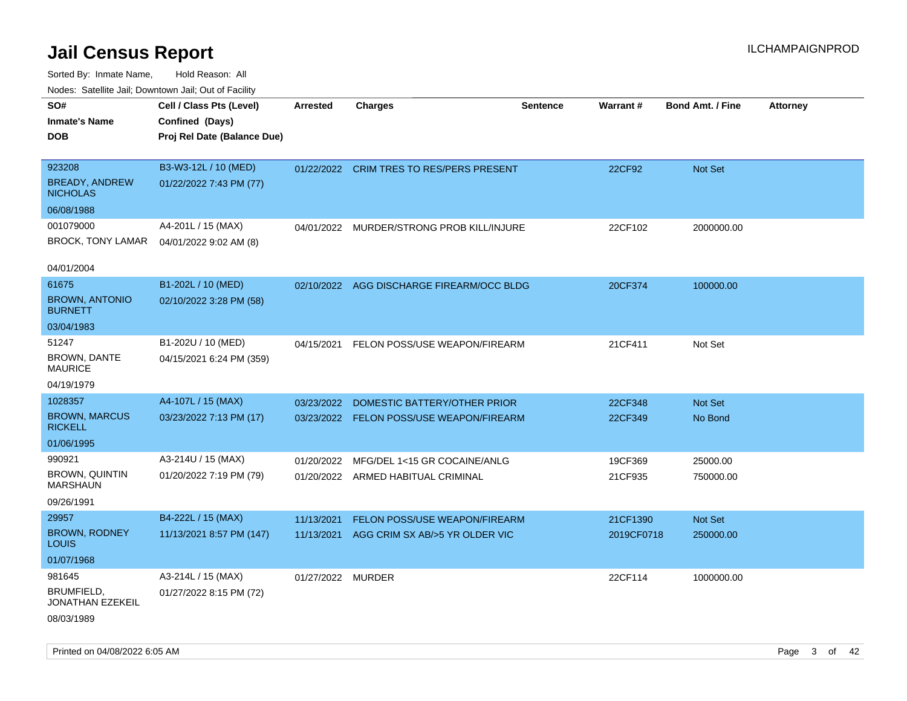| SO#                                      | Cell / Class Pts (Level)    | <b>Arrested</b>   | <b>Charges</b>                            | <b>Sentence</b> | <b>Warrant#</b> | <b>Bond Amt. / Fine</b> | <b>Attorney</b> |
|------------------------------------------|-----------------------------|-------------------|-------------------------------------------|-----------------|-----------------|-------------------------|-----------------|
| <b>Inmate's Name</b>                     | Confined (Days)             |                   |                                           |                 |                 |                         |                 |
| <b>DOB</b>                               | Proj Rel Date (Balance Due) |                   |                                           |                 |                 |                         |                 |
|                                          |                             |                   |                                           |                 |                 |                         |                 |
| 923208                                   | B3-W3-12L / 10 (MED)        | 01/22/2022        | <b>CRIM TRES TO RES/PERS PRESENT</b>      |                 | 22CF92          | Not Set                 |                 |
| <b>BREADY, ANDREW</b><br><b>NICHOLAS</b> | 01/22/2022 7:43 PM (77)     |                   |                                           |                 |                 |                         |                 |
| 06/08/1988                               |                             |                   |                                           |                 |                 |                         |                 |
| 001079000                                | A4-201L / 15 (MAX)          | 04/01/2022        | MURDER/STRONG PROB KILL/INJURE            |                 | 22CF102         | 2000000.00              |                 |
| BROCK, TONY LAMAR                        | 04/01/2022 9:02 AM (8)      |                   |                                           |                 |                 |                         |                 |
| 04/01/2004                               |                             |                   |                                           |                 |                 |                         |                 |
| 61675                                    | B1-202L / 10 (MED)          |                   | 02/10/2022 AGG DISCHARGE FIREARM/OCC BLDG |                 | 20CF374         | 100000.00               |                 |
| <b>BROWN, ANTONIO</b><br><b>BURNETT</b>  | 02/10/2022 3:28 PM (58)     |                   |                                           |                 |                 |                         |                 |
| 03/04/1983                               |                             |                   |                                           |                 |                 |                         |                 |
| 51247                                    | B1-202U / 10 (MED)          | 04/15/2021        | FELON POSS/USE WEAPON/FIREARM             |                 | 21CF411         | Not Set                 |                 |
| BROWN, DANTE<br><b>MAURICE</b>           | 04/15/2021 6:24 PM (359)    |                   |                                           |                 |                 |                         |                 |
| 04/19/1979                               |                             |                   |                                           |                 |                 |                         |                 |
| 1028357                                  | A4-107L / 15 (MAX)          | 03/23/2022        | DOMESTIC BATTERY/OTHER PRIOR              |                 | 22CF348         | Not Set                 |                 |
| <b>BROWN, MARCUS</b><br><b>RICKELL</b>   | 03/23/2022 7:13 PM (17)     |                   | 03/23/2022 FELON POSS/USE WEAPON/FIREARM  |                 | 22CF349         | No Bond                 |                 |
| 01/06/1995                               |                             |                   |                                           |                 |                 |                         |                 |
| 990921                                   | A3-214U / 15 (MAX)          | 01/20/2022        | MFG/DEL 1<15 GR COCAINE/ANLG              |                 | 19CF369         | 25000.00                |                 |
| <b>BROWN, QUINTIN</b><br><b>MARSHAUN</b> | 01/20/2022 7:19 PM (79)     |                   | 01/20/2022 ARMED HABITUAL CRIMINAL        |                 | 21CF935         | 750000.00               |                 |
| 09/26/1991                               |                             |                   |                                           |                 |                 |                         |                 |
| 29957                                    | B4-222L / 15 (MAX)          | 11/13/2021        | FELON POSS/USE WEAPON/FIREARM             |                 | 21CF1390        | Not Set                 |                 |
| <b>BROWN, RODNEY</b><br>LOUIS            | 11/13/2021 8:57 PM (147)    |                   | 11/13/2021 AGG CRIM SX AB/>5 YR OLDER VIC |                 | 2019CF0718      | 250000.00               |                 |
| 01/07/1968                               |                             |                   |                                           |                 |                 |                         |                 |
| 981645                                   | A3-214L / 15 (MAX)          | 01/27/2022 MURDER |                                           |                 | 22CF114         | 1000000.00              |                 |
| BRUMFIELD,<br><b>JONATHAN EZEKEIL</b>    | 01/27/2022 8:15 PM (72)     |                   |                                           |                 |                 |                         |                 |
| 08/03/1989                               |                             |                   |                                           |                 |                 |                         |                 |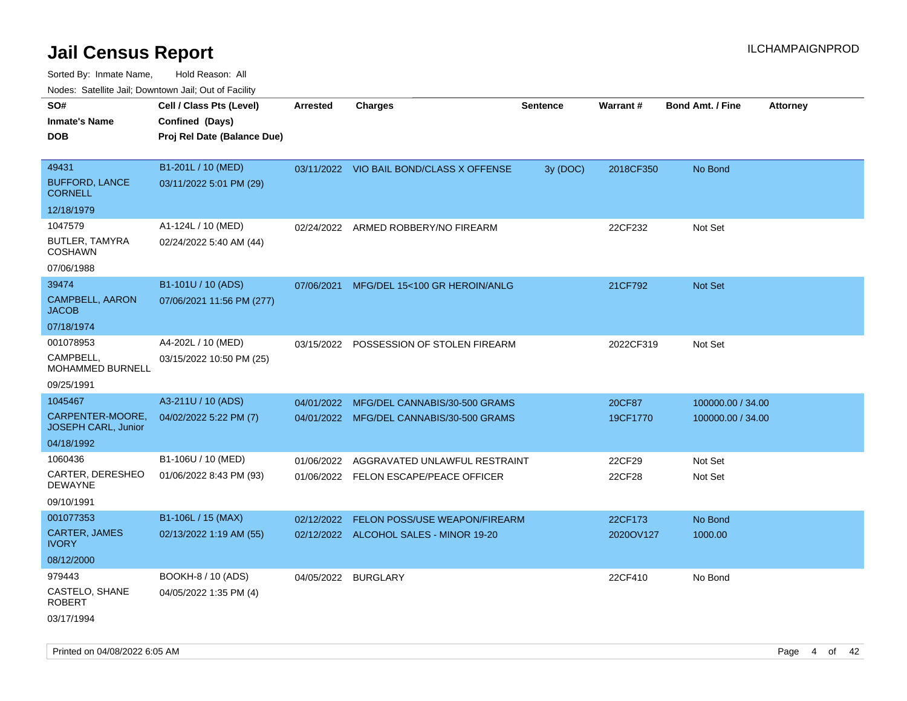| Nudes. Salenne Jan, Downlown Jan, Out of Facility |                             |            |                                          |                 |           |                         |                 |
|---------------------------------------------------|-----------------------------|------------|------------------------------------------|-----------------|-----------|-------------------------|-----------------|
| SO#                                               | Cell / Class Pts (Level)    | Arrested   | <b>Charges</b>                           | <b>Sentence</b> | Warrant#  | <b>Bond Amt. / Fine</b> | <b>Attorney</b> |
| Inmate's Name                                     | Confined (Days)             |            |                                          |                 |           |                         |                 |
| DOB                                               | Proj Rel Date (Balance Due) |            |                                          |                 |           |                         |                 |
|                                                   |                             |            |                                          |                 |           |                         |                 |
| 49431                                             | B1-201L / 10 (MED)          |            | 03/11/2022 VIO BAIL BOND/CLASS X OFFENSE | 3y (DOC)        | 2018CF350 | No Bond                 |                 |
| <b>BUFFORD, LANCE</b><br>CORNELL                  | 03/11/2022 5:01 PM (29)     |            |                                          |                 |           |                         |                 |
| 12/18/1979                                        |                             |            |                                          |                 |           |                         |                 |
| 1047579                                           | A1-124L / 10 (MED)          |            | 02/24/2022 ARMED ROBBERY/NO FIREARM      |                 | 22CF232   | Not Set                 |                 |
| BUTLER, TAMYRA<br>COSHAWN                         | 02/24/2022 5:40 AM (44)     |            |                                          |                 |           |                         |                 |
| 07/06/1988                                        |                             |            |                                          |                 |           |                         |                 |
| 39474                                             | B1-101U / 10 (ADS)          | 07/06/2021 | MFG/DEL 15<100 GR HEROIN/ANLG            |                 | 21CF792   | Not Set                 |                 |
| CAMPBELL, AARON<br><b>JACOB</b>                   | 07/06/2021 11:56 PM (277)   |            |                                          |                 |           |                         |                 |
| 07/18/1974                                        |                             |            |                                          |                 |           |                         |                 |
| 001078953                                         | A4-202L / 10 (MED)          | 03/15/2022 | POSSESSION OF STOLEN FIREARM             |                 | 2022CF319 | Not Set                 |                 |
| CAMPBELL.<br>MOHAMMED BURNELL                     | 03/15/2022 10:50 PM (25)    |            |                                          |                 |           |                         |                 |
| 09/25/1991                                        |                             |            |                                          |                 |           |                         |                 |
| 1045467                                           | A3-211U / 10 (ADS)          | 04/01/2022 | MFG/DEL CANNABIS/30-500 GRAMS            |                 | 20CF87    | 100000.00 / 34.00       |                 |
| CARPENTER-MOORE,<br>JOSEPH CARL, Junior           | 04/02/2022 5:22 PM (7)      |            | 04/01/2022 MFG/DEL CANNABIS/30-500 GRAMS |                 | 19CF1770  | 100000.00 / 34.00       |                 |
| 04/18/1992                                        |                             |            |                                          |                 |           |                         |                 |
| 1060436                                           | B1-106U / 10 (MED)          | 01/06/2022 | AGGRAVATED UNLAWFUL RESTRAINT            |                 | 22CF29    | Not Set                 |                 |
| CARTER, DERESHEO<br>DEWAYNE                       | 01/06/2022 8:43 PM (93)     | 01/06/2022 | FELON ESCAPE/PEACE OFFICER               |                 | 22CF28    | Not Set                 |                 |
| 09/10/1991                                        |                             |            |                                          |                 |           |                         |                 |
| 001077353                                         | B1-106L / 15 (MAX)          | 02/12/2022 | <b>FELON POSS/USE WEAPON/FIREARM</b>     |                 | 22CF173   | No Bond                 |                 |
| <b>CARTER, JAMES</b><br>IVORY                     | 02/13/2022 1:19 AM (55)     |            | 02/12/2022 ALCOHOL SALES - MINOR 19-20   |                 | 2020OV127 | 1000.00                 |                 |
| 08/12/2000                                        |                             |            |                                          |                 |           |                         |                 |
| 979443                                            | <b>BOOKH-8 / 10 (ADS)</b>   |            | 04/05/2022 BURGLARY                      |                 | 22CF410   | No Bond                 |                 |
| CASTELO, SHANE<br><b>ROBERT</b>                   | 04/05/2022 1:35 PM (4)      |            |                                          |                 |           |                         |                 |
| 03/17/1994                                        |                             |            |                                          |                 |           |                         |                 |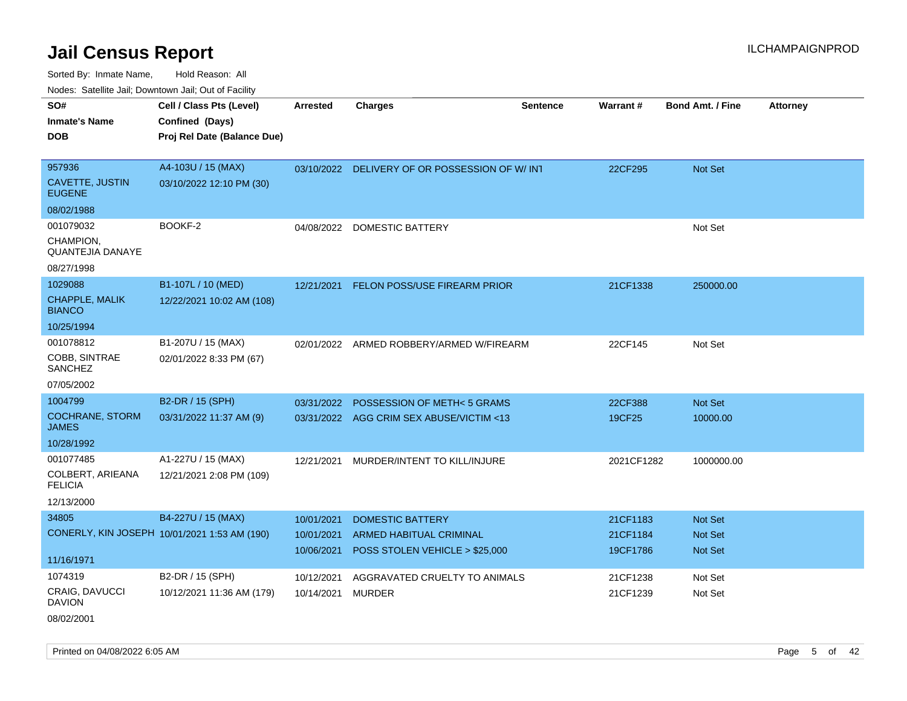Sorted By: Inmate Name, Hold Reason: All Nodes: Satellite Jail; Downtown Jail; Out of Facility

| SO#                                    | Cell / Class Pts (Level)                     | <b>Arrested</b> | <b>Charges</b>                                | <b>Sentence</b> | <b>Warrant#</b> | <b>Bond Amt. / Fine</b> | <b>Attorney</b> |
|----------------------------------------|----------------------------------------------|-----------------|-----------------------------------------------|-----------------|-----------------|-------------------------|-----------------|
| <b>Inmate's Name</b>                   | Confined (Days)                              |                 |                                               |                 |                 |                         |                 |
| <b>DOB</b>                             | Proj Rel Date (Balance Due)                  |                 |                                               |                 |                 |                         |                 |
|                                        |                                              |                 |                                               |                 |                 |                         |                 |
| 957936                                 | A4-103U / 15 (MAX)                           |                 | 03/10/2022 DELIVERY OF OR POSSESSION OF W/INT |                 | 22CF295         | <b>Not Set</b>          |                 |
| CAVETTE, JUSTIN<br><b>EUGENE</b>       | 03/10/2022 12:10 PM (30)                     |                 |                                               |                 |                 |                         |                 |
| 08/02/1988                             |                                              |                 |                                               |                 |                 |                         |                 |
| 001079032                              | BOOKF-2                                      | 04/08/2022      | <b>DOMESTIC BATTERY</b>                       |                 |                 | Not Set                 |                 |
| CHAMPION,<br>QUANTEJIA DANAYE          |                                              |                 |                                               |                 |                 |                         |                 |
| 08/27/1998                             |                                              |                 |                                               |                 |                 |                         |                 |
| 1029088                                | B1-107L / 10 (MED)                           | 12/21/2021      | FELON POSS/USE FIREARM PRIOR                  |                 | 21CF1338        | 250000.00               |                 |
| <b>CHAPPLE, MALIK</b><br><b>BIANCO</b> | 12/22/2021 10:02 AM (108)                    |                 |                                               |                 |                 |                         |                 |
| 10/25/1994                             |                                              |                 |                                               |                 |                 |                         |                 |
| 001078812                              | B1-207U / 15 (MAX)                           | 02/01/2022      | ARMED ROBBERY/ARMED W/FIREARM                 |                 | 22CF145         | Not Set                 |                 |
| COBB, SINTRAE<br>SANCHEZ               | 02/01/2022 8:33 PM (67)                      |                 |                                               |                 |                 |                         |                 |
| 07/05/2002                             |                                              |                 |                                               |                 |                 |                         |                 |
| 1004799                                | B2-DR / 15 (SPH)                             | 03/31/2022      | POSSESSION OF METH<5 GRAMS                    |                 | 22CF388         | Not Set                 |                 |
| <b>COCHRANE, STORM</b><br><b>JAMES</b> | 03/31/2022 11:37 AM (9)                      |                 | 03/31/2022 AGG CRIM SEX ABUSE/VICTIM <13      |                 | 19CF25          | 10000.00                |                 |
| 10/28/1992                             |                                              |                 |                                               |                 |                 |                         |                 |
| 001077485                              | A1-227U / 15 (MAX)                           | 12/21/2021      | MURDER/INTENT TO KILL/INJURE                  |                 | 2021CF1282      | 1000000.00              |                 |
| COLBERT, ARIEANA<br><b>FELICIA</b>     | 12/21/2021 2:08 PM (109)                     |                 |                                               |                 |                 |                         |                 |
| 12/13/2000                             |                                              |                 |                                               |                 |                 |                         |                 |
| 34805                                  | B4-227U / 15 (MAX)                           | 10/01/2021      | <b>DOMESTIC BATTERY</b>                       |                 | 21CF1183        | <b>Not Set</b>          |                 |
|                                        | CONERLY, KIN JOSEPH 10/01/2021 1:53 AM (190) | 10/01/2021      | ARMED HABITUAL CRIMINAL                       |                 | 21CF1184        | <b>Not Set</b>          |                 |
|                                        |                                              | 10/06/2021      | POSS STOLEN VEHICLE > \$25,000                |                 | 19CF1786        | <b>Not Set</b>          |                 |
| 11/16/1971                             |                                              |                 |                                               |                 |                 |                         |                 |
| 1074319                                | B2-DR / 15 (SPH)                             | 10/12/2021      | AGGRAVATED CRUELTY TO ANIMALS                 |                 | 21CF1238        | Not Set                 |                 |
| CRAIG, DAVUCCI<br><b>DAVION</b>        | 10/12/2021 11:36 AM (179)                    | 10/14/2021      | MURDER                                        |                 | 21CF1239        | Not Set                 |                 |

08/02/2001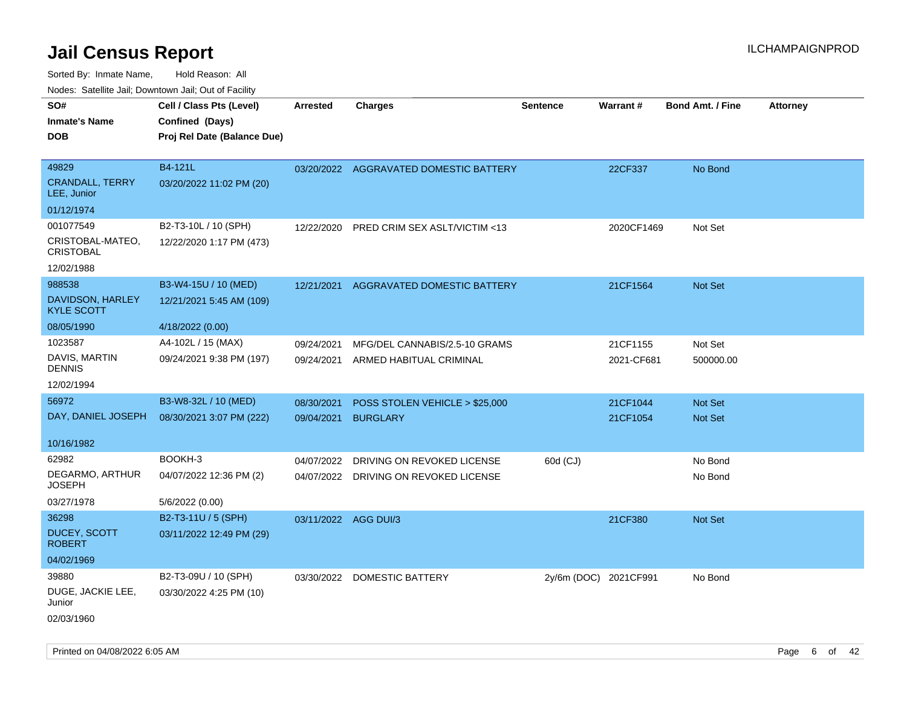Sorted By: Inmate Name, Hold Reason: All

Nodes: Satellite Jail; Downtown Jail; Out of Facility

| SO#                                   | Cell / Class Pts (Level)    | <b>Arrested</b>      | <b>Charges</b>                         | <b>Sentence</b>       | <b>Warrant#</b> | <b>Bond Amt. / Fine</b> | <b>Attorney</b> |
|---------------------------------------|-----------------------------|----------------------|----------------------------------------|-----------------------|-----------------|-------------------------|-----------------|
| <b>Inmate's Name</b>                  | Confined (Days)             |                      |                                        |                       |                 |                         |                 |
| <b>DOB</b>                            | Proj Rel Date (Balance Due) |                      |                                        |                       |                 |                         |                 |
|                                       |                             |                      |                                        |                       |                 |                         |                 |
| 49829                                 | B4-121L                     |                      | 03/20/2022 AGGRAVATED DOMESTIC BATTERY |                       | 22CF337         | No Bond                 |                 |
| <b>CRANDALL, TERRY</b><br>LEE, Junior | 03/20/2022 11:02 PM (20)    |                      |                                        |                       |                 |                         |                 |
| 01/12/1974                            |                             |                      |                                        |                       |                 |                         |                 |
| 001077549                             | B2-T3-10L / 10 (SPH)        | 12/22/2020           | PRED CRIM SEX ASLT/VICTIM <13          |                       | 2020CF1469      | Not Set                 |                 |
| CRISTOBAL-MATEO,<br><b>CRISTOBAL</b>  | 12/22/2020 1:17 PM (473)    |                      |                                        |                       |                 |                         |                 |
| 12/02/1988                            |                             |                      |                                        |                       |                 |                         |                 |
| 988538                                | B3-W4-15U / 10 (MED)        | 12/21/2021           | AGGRAVATED DOMESTIC BATTERY            |                       | 21CF1564        | Not Set                 |                 |
| DAVIDSON, HARLEY<br><b>KYLE SCOTT</b> | 12/21/2021 5:45 AM (109)    |                      |                                        |                       |                 |                         |                 |
| 08/05/1990                            | 4/18/2022 (0.00)            |                      |                                        |                       |                 |                         |                 |
| 1023587                               | A4-102L / 15 (MAX)          | 09/24/2021           | MFG/DEL CANNABIS/2.5-10 GRAMS          |                       | 21CF1155        | Not Set                 |                 |
| DAVIS, MARTIN<br><b>DENNIS</b>        | 09/24/2021 9:38 PM (197)    | 09/24/2021           | ARMED HABITUAL CRIMINAL                |                       | 2021-CF681      | 500000.00               |                 |
| 12/02/1994                            |                             |                      |                                        |                       |                 |                         |                 |
| 56972                                 | B3-W8-32L / 10 (MED)        | 08/30/2021           | POSS STOLEN VEHICLE > \$25,000         |                       | 21CF1044        | <b>Not Set</b>          |                 |
| DAY, DANIEL JOSEPH                    | 08/30/2021 3:07 PM (222)    | 09/04/2021           | <b>BURGLARY</b>                        |                       | 21CF1054        | Not Set                 |                 |
|                                       |                             |                      |                                        |                       |                 |                         |                 |
| 10/16/1982                            |                             |                      |                                        |                       |                 |                         |                 |
| 62982                                 | BOOKH-3                     | 04/07/2022           | DRIVING ON REVOKED LICENSE             | 60d (CJ)              |                 | No Bond                 |                 |
| DEGARMO, ARTHUR<br><b>JOSEPH</b>      | 04/07/2022 12:36 PM (2)     |                      | 04/07/2022 DRIVING ON REVOKED LICENSE  |                       |                 | No Bond                 |                 |
| 03/27/1978                            | 5/6/2022 (0.00)             |                      |                                        |                       |                 |                         |                 |
| 36298                                 | B2-T3-11U / 5 (SPH)         | 03/11/2022 AGG DUI/3 |                                        |                       | 21CF380         | <b>Not Set</b>          |                 |
| <b>DUCEY, SCOTT</b><br><b>ROBERT</b>  | 03/11/2022 12:49 PM (29)    |                      |                                        |                       |                 |                         |                 |
| 04/02/1969                            |                             |                      |                                        |                       |                 |                         |                 |
| 39880                                 | B2-T3-09U / 10 (SPH)        |                      | 03/30/2022 DOMESTIC BATTERY            | 2y/6m (DOC) 2021CF991 |                 | No Bond                 |                 |
| DUGE, JACKIE LEE,<br>Junior           | 03/30/2022 4:25 PM (10)     |                      |                                        |                       |                 |                         |                 |
| 02/03/1960                            |                             |                      |                                        |                       |                 |                         |                 |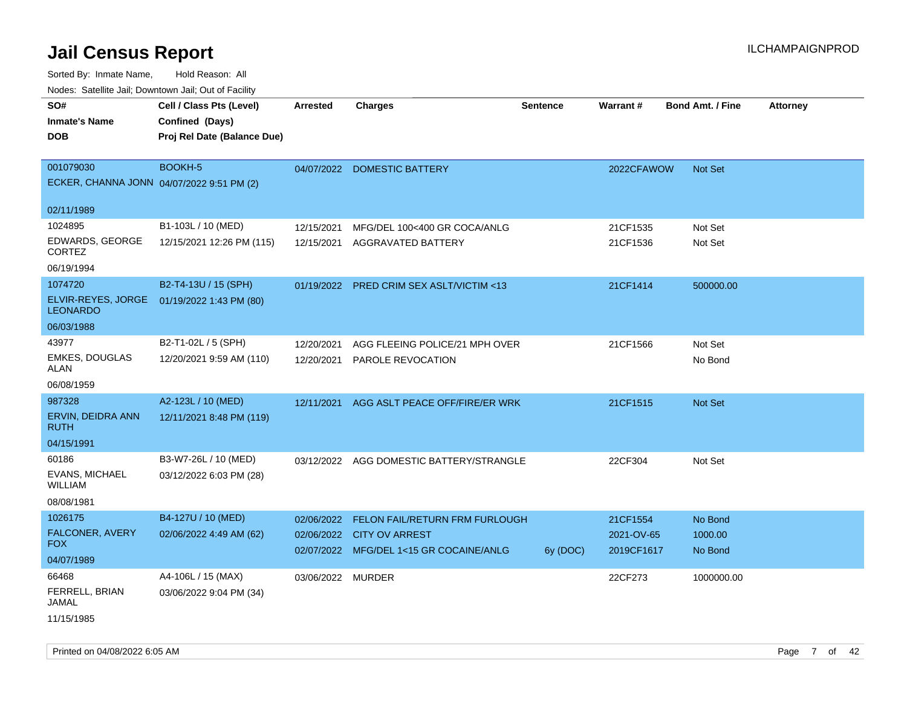| <b>NOULD:</b> Cutomto can, Downtown can, Out of Fability |                             |                   |                                          |                 |            |                         |                 |
|----------------------------------------------------------|-----------------------------|-------------------|------------------------------------------|-----------------|------------|-------------------------|-----------------|
| SO#                                                      | Cell / Class Pts (Level)    | <b>Arrested</b>   | <b>Charges</b>                           | <b>Sentence</b> | Warrant#   | <b>Bond Amt. / Fine</b> | <b>Attorney</b> |
| <b>Inmate's Name</b>                                     | Confined (Days)             |                   |                                          |                 |            |                         |                 |
| <b>DOB</b>                                               | Proj Rel Date (Balance Due) |                   |                                          |                 |            |                         |                 |
|                                                          |                             |                   |                                          |                 |            |                         |                 |
| 001079030                                                | BOOKH-5                     |                   | 04/07/2022 DOMESTIC BATTERY              |                 | 2022CFAWOW | Not Set                 |                 |
| ECKER, CHANNA JONN 04/07/2022 9:51 PM (2)                |                             |                   |                                          |                 |            |                         |                 |
|                                                          |                             |                   |                                          |                 |            |                         |                 |
| 02/11/1989                                               |                             |                   |                                          |                 |            |                         |                 |
| 1024895                                                  | B1-103L / 10 (MED)          | 12/15/2021        | MFG/DEL 100<400 GR COCA/ANLG             |                 | 21CF1535   | Not Set                 |                 |
| EDWARDS, GEORGE<br><b>CORTEZ</b>                         | 12/15/2021 12:26 PM (115)   | 12/15/2021        | AGGRAVATED BATTERY                       |                 | 21CF1536   | Not Set                 |                 |
| 06/19/1994                                               |                             |                   |                                          |                 |            |                         |                 |
| 1074720                                                  | B2-T4-13U / 15 (SPH)        |                   | 01/19/2022 PRED CRIM SEX ASLT/VICTIM <13 |                 | 21CF1414   | 500000.00               |                 |
| ELVIR-REYES, JORGE<br><b>LEONARDO</b>                    | 01/19/2022 1:43 PM (80)     |                   |                                          |                 |            |                         |                 |
| 06/03/1988                                               |                             |                   |                                          |                 |            |                         |                 |
| 43977                                                    | B2-T1-02L / 5 (SPH)         | 12/20/2021        | AGG FLEEING POLICE/21 MPH OVER           |                 | 21CF1566   | Not Set                 |                 |
| <b>EMKES, DOUGLAS</b>                                    | 12/20/2021 9:59 AM (110)    | 12/20/2021        | PAROLE REVOCATION                        |                 |            | No Bond                 |                 |
| ALAN                                                     |                             |                   |                                          |                 |            |                         |                 |
| 06/08/1959                                               |                             |                   |                                          |                 |            |                         |                 |
| 987328                                                   | A2-123L / 10 (MED)          | 12/11/2021        | AGG ASLT PEACE OFF/FIRE/ER WRK           |                 | 21CF1515   | Not Set                 |                 |
| ERVIN, DEIDRA ANN<br><b>RUTH</b>                         | 12/11/2021 8:48 PM (119)    |                   |                                          |                 |            |                         |                 |
| 04/15/1991                                               |                             |                   |                                          |                 |            |                         |                 |
| 60186                                                    | B3-W7-26L / 10 (MED)        |                   | 03/12/2022 AGG DOMESTIC BATTERY/STRANGLE |                 | 22CF304    | Not Set                 |                 |
| EVANS, MICHAEL<br><b>WILLIAM</b>                         | 03/12/2022 6:03 PM (28)     |                   |                                          |                 |            |                         |                 |
| 08/08/1981                                               |                             |                   |                                          |                 |            |                         |                 |
| 1026175                                                  | B4-127U / 10 (MED)          | 02/06/2022        | FELON FAIL/RETURN FRM FURLOUGH           |                 | 21CF1554   | No Bond                 |                 |
| FALCONER, AVERY                                          | 02/06/2022 4:49 AM (62)     | 02/06/2022        | <b>CITY OV ARREST</b>                    |                 | 2021-OV-65 | 1000.00                 |                 |
| <b>FOX</b>                                               |                             |                   | 02/07/2022 MFG/DEL 1<15 GR COCAINE/ANLG  | 6y (DOC)        | 2019CF1617 | No Bond                 |                 |
| 04/07/1989                                               |                             |                   |                                          |                 |            |                         |                 |
| 66468                                                    | A4-106L / 15 (MAX)          | 03/06/2022 MURDER |                                          |                 | 22CF273    | 1000000.00              |                 |
| FERRELL, BRIAN<br>JAMAL                                  | 03/06/2022 9:04 PM (34)     |                   |                                          |                 |            |                         |                 |
| 11/15/1985                                               |                             |                   |                                          |                 |            |                         |                 |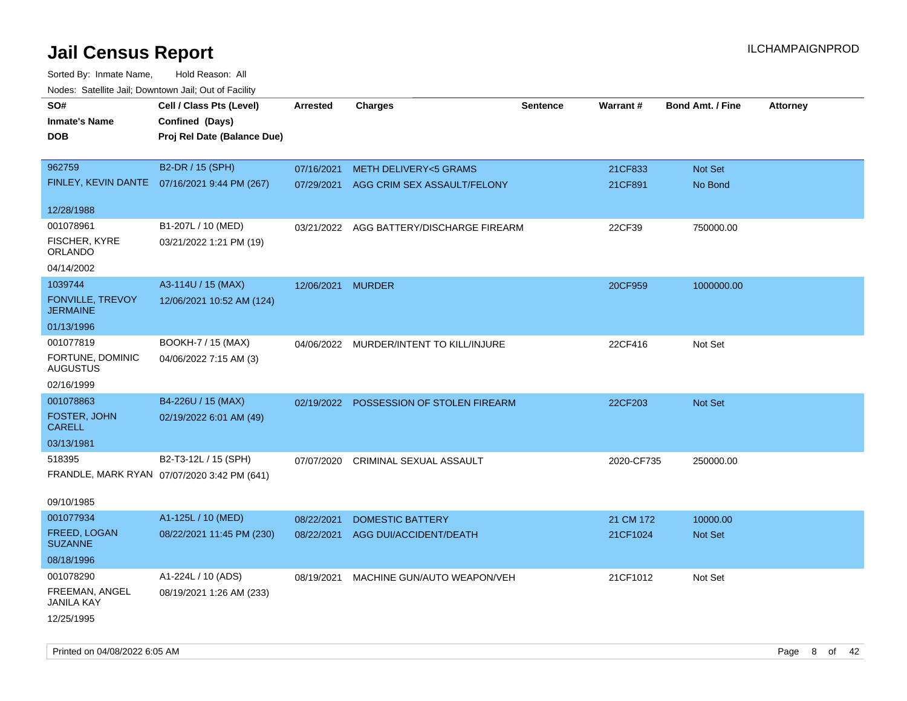| roaco. Catolino dall, Downtown dall, Out of Fability |                                               |                   |                                          |                 |            |                         |                 |
|------------------------------------------------------|-----------------------------------------------|-------------------|------------------------------------------|-----------------|------------|-------------------------|-----------------|
| SO#                                                  | Cell / Class Pts (Level)                      | <b>Arrested</b>   | <b>Charges</b>                           | <b>Sentence</b> | Warrant#   | <b>Bond Amt. / Fine</b> | <b>Attorney</b> |
| <b>Inmate's Name</b>                                 | Confined (Days)                               |                   |                                          |                 |            |                         |                 |
| <b>DOB</b>                                           | Proj Rel Date (Balance Due)                   |                   |                                          |                 |            |                         |                 |
|                                                      |                                               |                   |                                          |                 |            |                         |                 |
| 962759                                               | B2-DR / 15 (SPH)                              | 07/16/2021        | <b>METH DELIVERY&lt;5 GRAMS</b>          |                 | 21CF833    | Not Set                 |                 |
|                                                      | FINLEY, KEVIN DANTE  07/16/2021 9:44 PM (267) |                   | 07/29/2021 AGG CRIM SEX ASSAULT/FELONY   |                 | 21CF891    | No Bond                 |                 |
|                                                      |                                               |                   |                                          |                 |            |                         |                 |
| 12/28/1988                                           |                                               |                   |                                          |                 |            |                         |                 |
| 001078961                                            | B1-207L / 10 (MED)                            |                   | 03/21/2022 AGG BATTERY/DISCHARGE FIREARM |                 | 22CF39     | 750000.00               |                 |
| FISCHER, KYRE<br>ORLANDO                             | 03/21/2022 1:21 PM (19)                       |                   |                                          |                 |            |                         |                 |
| 04/14/2002                                           |                                               |                   |                                          |                 |            |                         |                 |
| 1039744                                              | A3-114U / 15 (MAX)                            | 12/06/2021 MURDER |                                          |                 | 20CF959    | 1000000.00              |                 |
| FONVILLE, TREVOY<br><b>JERMAINE</b>                  | 12/06/2021 10:52 AM (124)                     |                   |                                          |                 |            |                         |                 |
| 01/13/1996                                           |                                               |                   |                                          |                 |            |                         |                 |
| 001077819                                            | BOOKH-7 / 15 (MAX)                            |                   | 04/06/2022 MURDER/INTENT TO KILL/INJURE  |                 | 22CF416    | Not Set                 |                 |
| FORTUNE, DOMINIC<br><b>AUGUSTUS</b>                  | 04/06/2022 7:15 AM (3)                        |                   |                                          |                 |            |                         |                 |
| 02/16/1999                                           |                                               |                   |                                          |                 |            |                         |                 |
| 001078863                                            | B4-226U / 15 (MAX)                            |                   | 02/19/2022 POSSESSION OF STOLEN FIREARM  |                 | 22CF203    | Not Set                 |                 |
| FOSTER, JOHN<br><b>CARELL</b>                        | 02/19/2022 6:01 AM (49)                       |                   |                                          |                 |            |                         |                 |
| 03/13/1981                                           |                                               |                   |                                          |                 |            |                         |                 |
| 518395                                               | B2-T3-12L / 15 (SPH)                          |                   | 07/07/2020 CRIMINAL SEXUAL ASSAULT       |                 | 2020-CF735 | 250000.00               |                 |
|                                                      | FRANDLE, MARK RYAN 07/07/2020 3:42 PM (641)   |                   |                                          |                 |            |                         |                 |
|                                                      |                                               |                   |                                          |                 |            |                         |                 |
| 09/10/1985                                           |                                               |                   |                                          |                 |            |                         |                 |
| 001077934                                            | A1-125L / 10 (MED)                            | 08/22/2021        | <b>DOMESTIC BATTERY</b>                  |                 | 21 CM 172  | 10000.00                |                 |
| FREED, LOGAN<br><b>SUZANNE</b>                       | 08/22/2021 11:45 PM (230)                     | 08/22/2021        | AGG DUI/ACCIDENT/DEATH                   |                 | 21CF1024   | Not Set                 |                 |
| 08/18/1996                                           |                                               |                   |                                          |                 |            |                         |                 |
| 001078290                                            | A1-224L / 10 (ADS)                            | 08/19/2021        | MACHINE GUN/AUTO WEAPON/VEH              |                 | 21CF1012   | Not Set                 |                 |
| FREEMAN, ANGEL<br><b>JANILA KAY</b>                  | 08/19/2021 1:26 AM (233)                      |                   |                                          |                 |            |                         |                 |
| 12/25/1995                                           |                                               |                   |                                          |                 |            |                         |                 |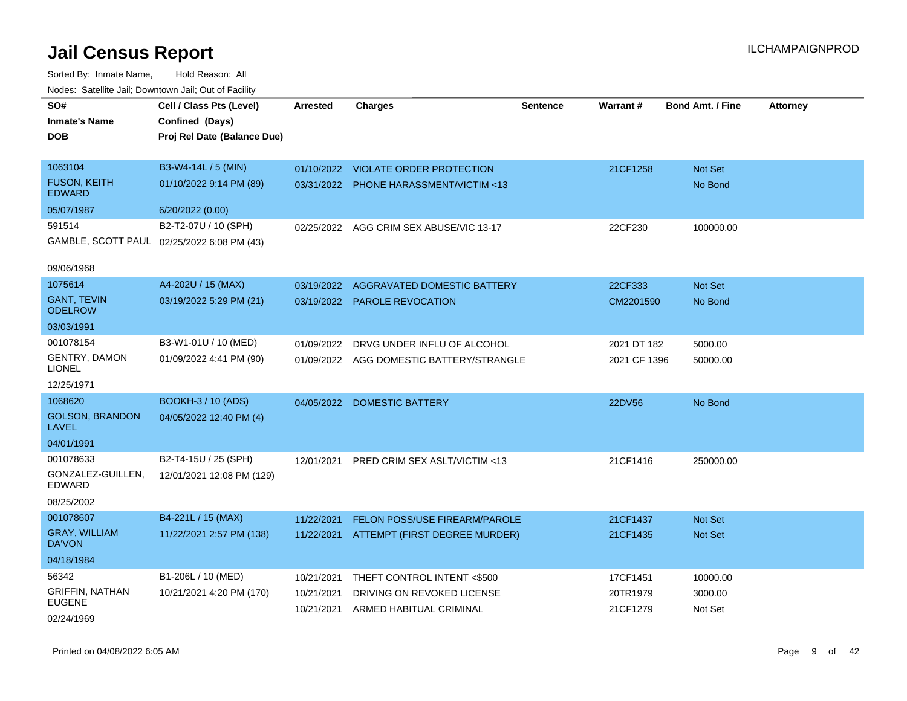| roucs. Calcinic Jan, Downtown Jan, Out of Facility |                                            |                 |                                          |                 |              |                         |                 |
|----------------------------------------------------|--------------------------------------------|-----------------|------------------------------------------|-----------------|--------------|-------------------------|-----------------|
| SO#                                                | Cell / Class Pts (Level)                   | <b>Arrested</b> | <b>Charges</b>                           | <b>Sentence</b> | Warrant#     | <b>Bond Amt. / Fine</b> | <b>Attorney</b> |
| <b>Inmate's Name</b>                               | Confined (Days)                            |                 |                                          |                 |              |                         |                 |
| <b>DOB</b>                                         | Proj Rel Date (Balance Due)                |                 |                                          |                 |              |                         |                 |
|                                                    |                                            |                 |                                          |                 |              |                         |                 |
| 1063104                                            | B3-W4-14L / 5 (MIN)                        |                 | 01/10/2022 VIOLATE ORDER PROTECTION      |                 | 21CF1258     | Not Set                 |                 |
| <b>FUSON, KEITH</b><br><b>EDWARD</b>               | 01/10/2022 9:14 PM (89)                    |                 | 03/31/2022 PHONE HARASSMENT/VICTIM <13   |                 |              | No Bond                 |                 |
| 05/07/1987                                         | 6/20/2022 (0.00)                           |                 |                                          |                 |              |                         |                 |
| 591514                                             | B2-T2-07U / 10 (SPH)                       | 02/25/2022      | AGG CRIM SEX ABUSE/VIC 13-17             |                 | 22CF230      | 100000.00               |                 |
|                                                    | GAMBLE, SCOTT PAUL 02/25/2022 6:08 PM (43) |                 |                                          |                 |              |                         |                 |
| 09/06/1968                                         |                                            |                 |                                          |                 |              |                         |                 |
| 1075614                                            | A4-202U / 15 (MAX)                         | 03/19/2022      | AGGRAVATED DOMESTIC BATTERY              |                 | 22CF333      | Not Set                 |                 |
| <b>GANT, TEVIN</b><br><b>ODELROW</b>               | 03/19/2022 5:29 PM (21)                    |                 | 03/19/2022 PAROLE REVOCATION             |                 | CM2201590    | No Bond                 |                 |
| 03/03/1991                                         |                                            |                 |                                          |                 |              |                         |                 |
| 001078154                                          | B3-W1-01U / 10 (MED)                       |                 | 01/09/2022 DRVG UNDER INFLU OF ALCOHOL   |                 | 2021 DT 182  | 5000.00                 |                 |
| <b>GENTRY, DAMON</b><br><b>LIONEL</b>              | 01/09/2022 4:41 PM (90)                    |                 | 01/09/2022 AGG DOMESTIC BATTERY/STRANGLE |                 | 2021 CF 1396 | 50000.00                |                 |
| 12/25/1971                                         |                                            |                 |                                          |                 |              |                         |                 |
| 1068620                                            | <b>BOOKH-3 / 10 (ADS)</b>                  |                 | 04/05/2022 DOMESTIC BATTERY              |                 | 22DV56       | No Bond                 |                 |
| <b>GOLSON, BRANDON</b><br><b>LAVEL</b>             | 04/05/2022 12:40 PM (4)                    |                 |                                          |                 |              |                         |                 |
| 04/01/1991                                         |                                            |                 |                                          |                 |              |                         |                 |
| 001078633                                          | B2-T4-15U / 25 (SPH)                       | 12/01/2021      | PRED CRIM SEX ASLT/VICTIM <13            |                 | 21CF1416     | 250000.00               |                 |
| GONZALEZ-GUILLEN,<br>EDWARD                        | 12/01/2021 12:08 PM (129)                  |                 |                                          |                 |              |                         |                 |
| 08/25/2002                                         |                                            |                 |                                          |                 |              |                         |                 |
| 001078607                                          | B4-221L / 15 (MAX)                         | 11/22/2021      | FELON POSS/USE FIREARM/PAROLE            |                 | 21CF1437     | Not Set                 |                 |
| <b>GRAY, WILLIAM</b><br><b>DA'VON</b>              | 11/22/2021 2:57 PM (138)                   | 11/22/2021      | ATTEMPT (FIRST DEGREE MURDER)            |                 | 21CF1435     | Not Set                 |                 |
| 04/18/1984                                         |                                            |                 |                                          |                 |              |                         |                 |
| 56342                                              | B1-206L / 10 (MED)                         | 10/21/2021      | THEFT CONTROL INTENT <\$500              |                 | 17CF1451     | 10000.00                |                 |
| <b>GRIFFIN, NATHAN</b>                             | 10/21/2021 4:20 PM (170)                   | 10/21/2021      | DRIVING ON REVOKED LICENSE               |                 | 20TR1979     | 3000.00                 |                 |
| <b>EUGENE</b>                                      |                                            | 10/21/2021      | ARMED HABITUAL CRIMINAL                  |                 | 21CF1279     | Not Set                 |                 |
| 02/24/1969                                         |                                            |                 |                                          |                 |              |                         |                 |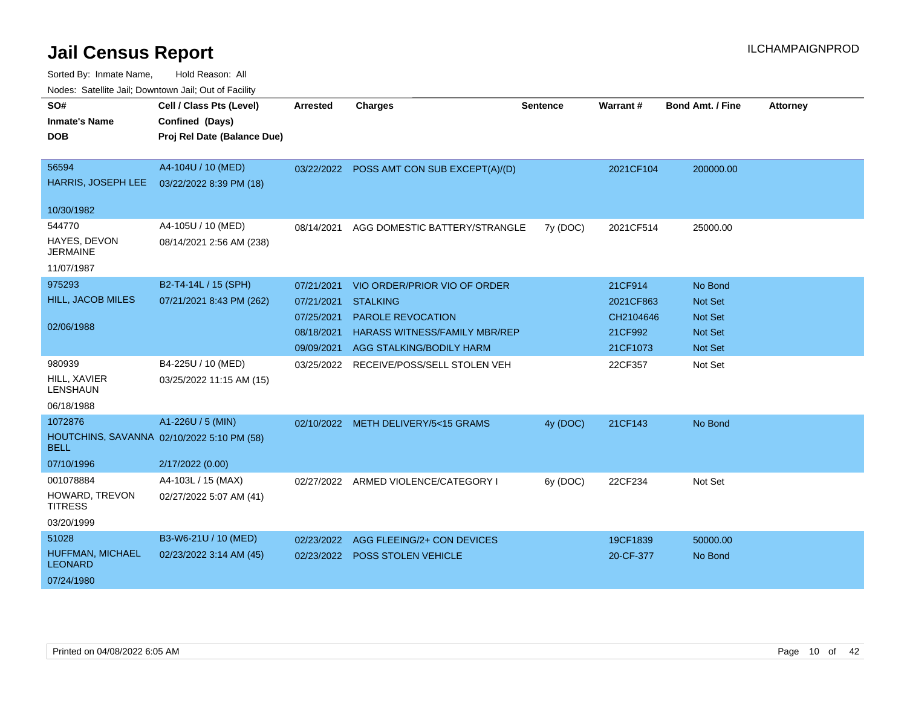| SO#<br><b>Inmate's Name</b><br><b>DOB</b>                   | Cell / Class Pts (Level)<br>Confined (Days)<br>Proj Rel Date (Balance Due)          | <b>Arrested</b>                                                    | <b>Charges</b>                                                                                                                                  | <b>Sentence</b> | <b>Warrant#</b>                                          | <b>Bond Amt. / Fine</b>                                                  | <b>Attorney</b> |
|-------------------------------------------------------------|-------------------------------------------------------------------------------------|--------------------------------------------------------------------|-------------------------------------------------------------------------------------------------------------------------------------------------|-----------------|----------------------------------------------------------|--------------------------------------------------------------------------|-----------------|
| 56594<br>HARRIS, JOSEPH LEE                                 | A4-104U / 10 (MED)<br>03/22/2022 8:39 PM (18)                                       |                                                                    | 03/22/2022 POSS AMT CON SUB EXCEPT(A)/(D)                                                                                                       |                 | 2021CF104                                                | 200000.00                                                                |                 |
| 10/30/1982                                                  |                                                                                     |                                                                    |                                                                                                                                                 |                 |                                                          |                                                                          |                 |
| 544770<br>HAYES, DEVON<br><b>JERMAINE</b><br>11/07/1987     | A4-105U / 10 (MED)<br>08/14/2021 2:56 AM (238)                                      | 08/14/2021                                                         | AGG DOMESTIC BATTERY/STRANGLE                                                                                                                   | 7y (DOC)        | 2021CF514                                                | 25000.00                                                                 |                 |
| 975293<br><b>HILL, JACOB MILES</b><br>02/06/1988            | B2-T4-14L / 15 (SPH)<br>07/21/2021 8:43 PM (262)                                    | 07/21/2021<br>07/21/2021<br>07/25/2021<br>08/18/2021<br>09/09/2021 | VIO ORDER/PRIOR VIO OF ORDER<br><b>STALKING</b><br><b>PAROLE REVOCATION</b><br><b>HARASS WITNESS/FAMILY MBR/REP</b><br>AGG STALKING/BODILY HARM |                 | 21CF914<br>2021CF863<br>CH2104646<br>21CF992<br>21CF1073 | No Bond<br>Not Set<br><b>Not Set</b><br><b>Not Set</b><br><b>Not Set</b> |                 |
| 980939<br>HILL, XAVIER<br>LENSHAUN<br>06/18/1988            | B4-225U / 10 (MED)<br>03/25/2022 11:15 AM (15)                                      | 03/25/2022                                                         | RECEIVE/POSS/SELL STOLEN VEH                                                                                                                    |                 | 22CF357                                                  | Not Set                                                                  |                 |
| 1072876<br>BELL<br>07/10/1996                               | A1-226U / 5 (MIN)<br>HOUTCHINS, SAVANNA 02/10/2022 5:10 PM (58)<br>2/17/2022 (0.00) |                                                                    | 02/10/2022 METH DELIVERY/5<15 GRAMS                                                                                                             | 4y (DOC)        | 21CF143                                                  | No Bond                                                                  |                 |
| 001078884<br>HOWARD, TREVON<br><b>TITRESS</b><br>03/20/1999 | A4-103L / 15 (MAX)<br>02/27/2022 5:07 AM (41)                                       |                                                                    | 02/27/2022 ARMED VIOLENCE/CATEGORY I                                                                                                            | 6y (DOC)        | 22CF234                                                  | Not Set                                                                  |                 |
| 51028<br>HUFFMAN, MICHAEL<br><b>LEONARD</b><br>07/24/1980   | B3-W6-21U / 10 (MED)<br>02/23/2022 3:14 AM (45)                                     | 02/23/2022                                                         | AGG FLEEING/2+ CON DEVICES<br>02/23/2022 POSS STOLEN VEHICLE                                                                                    |                 | 19CF1839<br>20-CF-377                                    | 50000.00<br>No Bond                                                      |                 |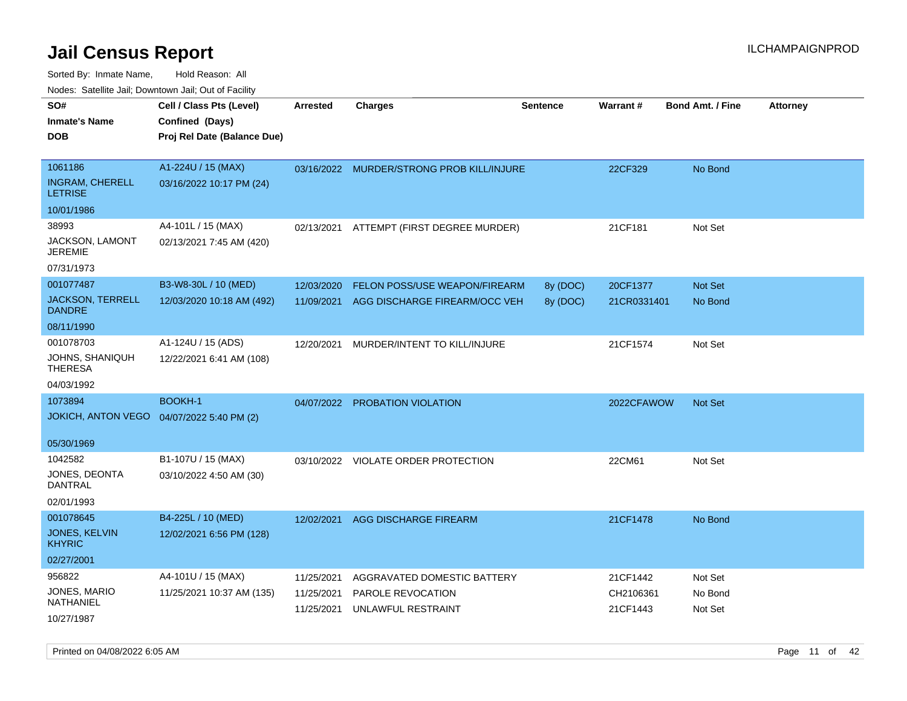| rouco. Calcinic Jan, Downtown Jan, Out of Facility   |                                                                            |                                        |                                                                        |                      |                                   |                               |                 |
|------------------------------------------------------|----------------------------------------------------------------------------|----------------------------------------|------------------------------------------------------------------------|----------------------|-----------------------------------|-------------------------------|-----------------|
| SO#<br>Inmate's Name<br>DOB                          | Cell / Class Pts (Level)<br>Confined (Days)<br>Proj Rel Date (Balance Due) | <b>Arrested</b>                        | Charges                                                                | <b>Sentence</b>      | Warrant#                          | <b>Bond Amt. / Fine</b>       | <b>Attorney</b> |
| 1061186<br><b>INGRAM, CHERELL</b><br><b>LETRISE</b>  | A1-224U / 15 (MAX)<br>03/16/2022 10:17 PM (24)                             |                                        | 03/16/2022 MURDER/STRONG PROB KILL/INJURE                              |                      | 22CF329                           | No Bond                       |                 |
| 10/01/1986                                           |                                                                            |                                        |                                                                        |                      |                                   |                               |                 |
| 38993<br>JACKSON, LAMONT<br>JEREMIE                  | A4-101L / 15 (MAX)<br>02/13/2021 7:45 AM (420)                             | 02/13/2021                             | ATTEMPT (FIRST DEGREE MURDER)                                          |                      | 21CF181                           | Not Set                       |                 |
| 07/31/1973                                           |                                                                            |                                        |                                                                        |                      |                                   |                               |                 |
| 001077487<br><b>JACKSON, TERRELL</b><br>DANDRE       | B3-W8-30L / 10 (MED)<br>12/03/2020 10:18 AM (492)                          | 12/03/2020<br>11/09/2021               | FELON POSS/USE WEAPON/FIREARM<br>AGG DISCHARGE FIREARM/OCC VEH         | 8y (DOC)<br>8y (DOC) | 20CF1377<br>21CR0331401           | Not Set<br>No Bond            |                 |
| 08/11/1990                                           |                                                                            |                                        |                                                                        |                      |                                   |                               |                 |
| 001078703<br>JOHNS, SHANIQUH<br>THERESA              | A1-124U / 15 (ADS)<br>12/22/2021 6:41 AM (108)                             | 12/20/2021                             | MURDER/INTENT TO KILL/INJURE                                           |                      | 21CF1574                          | Not Set                       |                 |
| 04/03/1992                                           |                                                                            |                                        |                                                                        |                      |                                   |                               |                 |
| 1073894<br>JOKICH, ANTON VEGO 04/07/2022 5:40 PM (2) | <b>BOOKH-1</b>                                                             |                                        | 04/07/2022 PROBATION VIOLATION                                         |                      | 2022CFAWOW                        | <b>Not Set</b>                |                 |
| 05/30/1969                                           |                                                                            |                                        |                                                                        |                      |                                   |                               |                 |
| 1042582<br>JONES, DEONTA<br>DANTRAL<br>02/01/1993    | B1-107U / 15 (MAX)<br>03/10/2022 4:50 AM (30)                              |                                        | 03/10/2022 VIOLATE ORDER PROTECTION                                    |                      | 22CM61                            | Not Set                       |                 |
| 001078645                                            | B4-225L / 10 (MED)                                                         | 12/02/2021                             | AGG DISCHARGE FIREARM                                                  |                      | 21CF1478                          | No Bond                       |                 |
| JONES, KELVIN<br><b>KHYRIC</b>                       | 12/02/2021 6:56 PM (128)                                                   |                                        |                                                                        |                      |                                   |                               |                 |
| 02/27/2001                                           |                                                                            |                                        |                                                                        |                      |                                   |                               |                 |
| 956822<br>JONES, MARIO<br>NATHANIEL<br>10/27/1987    | A4-101U / 15 (MAX)<br>11/25/2021 10:37 AM (135)                            | 11/25/2021<br>11/25/2021<br>11/25/2021 | AGGRAVATED DOMESTIC BATTERY<br>PAROLE REVOCATION<br>UNLAWFUL RESTRAINT |                      | 21CF1442<br>CH2106361<br>21CF1443 | Not Set<br>No Bond<br>Not Set |                 |
|                                                      |                                                                            |                                        |                                                                        |                      |                                   |                               |                 |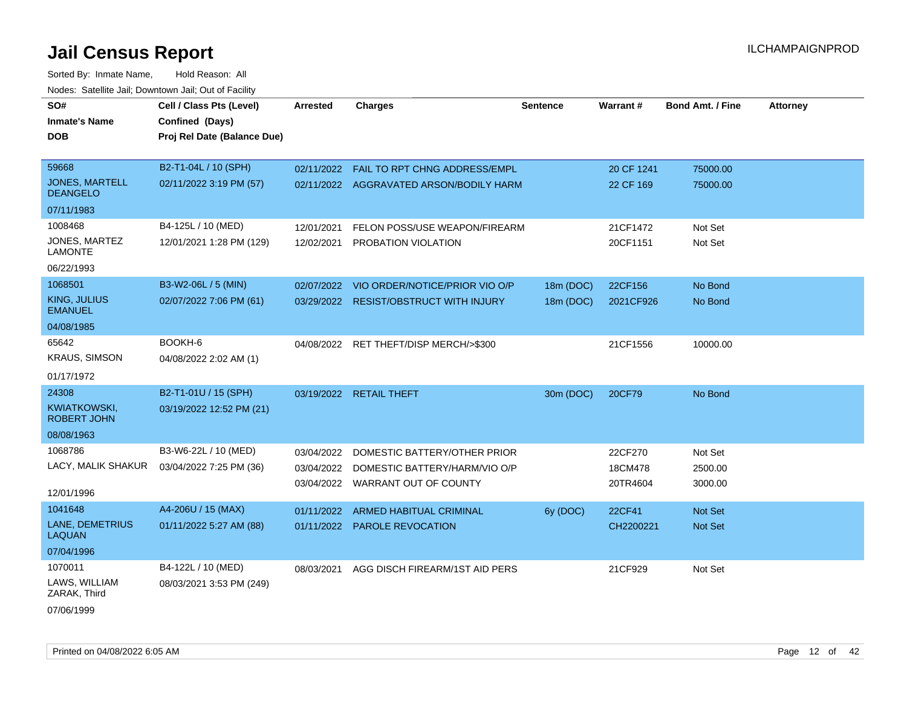| SO#                                      | Cell / Class Pts (Level)    | Arrested   | <b>Charges</b>                          | <b>Sentence</b> | Warrant#   | <b>Bond Amt. / Fine</b> | <b>Attorney</b> |
|------------------------------------------|-----------------------------|------------|-----------------------------------------|-----------------|------------|-------------------------|-----------------|
| <b>Inmate's Name</b>                     | Confined (Days)             |            |                                         |                 |            |                         |                 |
| <b>DOB</b>                               | Proj Rel Date (Balance Due) |            |                                         |                 |            |                         |                 |
|                                          |                             |            |                                         |                 |            |                         |                 |
| 59668                                    | B2-T1-04L / 10 (SPH)        | 02/11/2022 | FAIL TO RPT CHNG ADDRESS/EMPL           |                 | 20 CF 1241 | 75000.00                |                 |
| <b>JONES, MARTELL</b><br><b>DEANGELO</b> | 02/11/2022 3:19 PM (57)     |            | 02/11/2022 AGGRAVATED ARSON/BODILY HARM |                 | 22 CF 169  | 75000.00                |                 |
| 07/11/1983                               |                             |            |                                         |                 |            |                         |                 |
| 1008468                                  | B4-125L / 10 (MED)          | 12/01/2021 | FELON POSS/USE WEAPON/FIREARM           |                 | 21CF1472   | Not Set                 |                 |
| JONES, MARTEZ<br><b>LAMONTE</b>          | 12/01/2021 1:28 PM (129)    | 12/02/2021 | PROBATION VIOLATION                     |                 | 20CF1151   | Not Set                 |                 |
| 06/22/1993                               |                             |            |                                         |                 |            |                         |                 |
| 1068501                                  | B3-W2-06L / 5 (MIN)         | 02/07/2022 | VIO ORDER/NOTICE/PRIOR VIO O/P          | 18m (DOC)       | 22CF156    | No Bond                 |                 |
| KING, JULIUS<br><b>EMANUEL</b>           | 02/07/2022 7:06 PM (61)     |            | 03/29/2022 RESIST/OBSTRUCT WITH INJURY  | 18m (DOC)       | 2021CF926  | No Bond                 |                 |
| 04/08/1985                               |                             |            |                                         |                 |            |                         |                 |
| 65642                                    | BOOKH-6                     |            | 04/08/2022 RET THEFT/DISP MERCH/>\$300  |                 | 21CF1556   | 10000.00                |                 |
| <b>KRAUS, SIMSON</b>                     | 04/08/2022 2:02 AM (1)      |            |                                         |                 |            |                         |                 |
| 01/17/1972                               |                             |            |                                         |                 |            |                         |                 |
| 24308                                    | B2-T1-01U / 15 (SPH)        |            | 03/19/2022 RETAIL THEFT                 | 30m (DOC)       | 20CF79     | No Bond                 |                 |
| KWIATKOWSKI,<br><b>ROBERT JOHN</b>       | 03/19/2022 12:52 PM (21)    |            |                                         |                 |            |                         |                 |
| 08/08/1963                               |                             |            |                                         |                 |            |                         |                 |
| 1068786                                  | B3-W6-22L / 10 (MED)        | 03/04/2022 | DOMESTIC BATTERY/OTHER PRIOR            |                 | 22CF270    | Not Set                 |                 |
| LACY, MALIK SHAKUR                       | 03/04/2022 7:25 PM (36)     | 03/04/2022 | DOMESTIC BATTERY/HARM/VIO O/P           |                 | 18CM478    | 2500.00                 |                 |
|                                          |                             |            | 03/04/2022 WARRANT OUT OF COUNTY        |                 | 20TR4604   | 3000.00                 |                 |
| 12/01/1996                               |                             |            |                                         |                 |            |                         |                 |
| 1041648                                  | A4-206U / 15 (MAX)          | 01/11/2022 | ARMED HABITUAL CRIMINAL                 | 6y (DOC)        | 22CF41     | Not Set                 |                 |
| LANE, DEMETRIUS<br><b>LAQUAN</b>         | 01/11/2022 5:27 AM (88)     |            | 01/11/2022 PAROLE REVOCATION            |                 | CH2200221  | Not Set                 |                 |
| 07/04/1996                               |                             |            |                                         |                 |            |                         |                 |
| 1070011                                  | B4-122L / 10 (MED)          | 08/03/2021 | AGG DISCH FIREARM/1ST AID PERS          |                 | 21CF929    | Not Set                 |                 |
| LAWS, WILLIAM<br>ZARAK, Third            | 08/03/2021 3:53 PM (249)    |            |                                         |                 |            |                         |                 |
| 07/06/1999                               |                             |            |                                         |                 |            |                         |                 |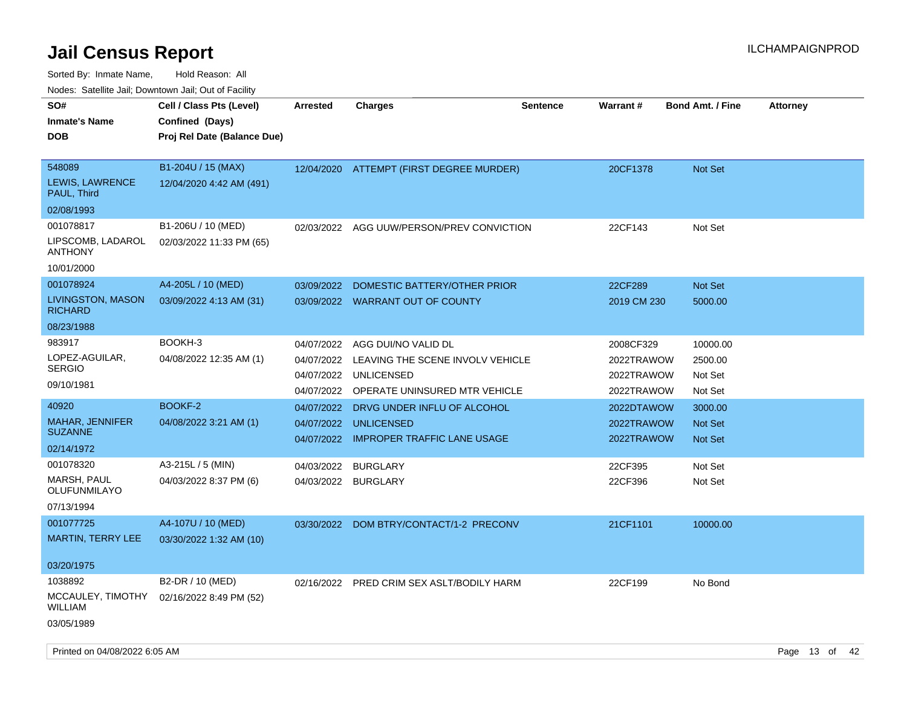Sorted By: Inmate Name, Hold Reason: All

Nodes: Satellite Jail; Downtown Jail; Out of Facility

| SO#<br><b>Inmate's Name</b><br><b>DOB</b>      | Cell / Class Pts (Level)<br>Confined (Days)<br>Proj Rel Date (Balance Due) | <b>Arrested</b>          | <b>Charges</b>                                        | <b>Sentence</b> | Warrant#                 | <b>Bond Amt. / Fine</b> | <b>Attorney</b> |
|------------------------------------------------|----------------------------------------------------------------------------|--------------------------|-------------------------------------------------------|-----------------|--------------------------|-------------------------|-----------------|
| 548089<br>LEWIS, LAWRENCE<br>PAUL, Third       | B1-204U / 15 (MAX)<br>12/04/2020 4:42 AM (491)                             |                          | 12/04/2020 ATTEMPT (FIRST DEGREE MURDER)              |                 | 20CF1378                 | <b>Not Set</b>          |                 |
| 02/08/1993                                     |                                                                            |                          |                                                       |                 |                          |                         |                 |
| 001078817                                      | B1-206U / 10 (MED)                                                         |                          | 02/03/2022 AGG UUW/PERSON/PREV CONVICTION             |                 | 22CF143                  | Not Set                 |                 |
| LIPSCOMB, LADAROL<br><b>ANTHONY</b>            | 02/03/2022 11:33 PM (65)                                                   |                          |                                                       |                 |                          |                         |                 |
| 10/01/2000                                     |                                                                            |                          |                                                       |                 |                          |                         |                 |
| 001078924                                      | A4-205L / 10 (MED)                                                         | 03/09/2022               | DOMESTIC BATTERY/OTHER PRIOR                          |                 | 22CF289                  | <b>Not Set</b>          |                 |
| <b>LIVINGSTON, MASON</b><br><b>RICHARD</b>     | 03/09/2022 4:13 AM (31)                                                    |                          | 03/09/2022 WARRANT OUT OF COUNTY                      |                 | 2019 CM 230              | 5000.00                 |                 |
| 08/23/1988                                     |                                                                            |                          |                                                       |                 |                          |                         |                 |
| 983917                                         | BOOKH-3                                                                    | 04/07/2022               | AGG DUI/NO VALID DL                                   |                 | 2008CF329                | 10000.00                |                 |
| LOPEZ-AGUILAR,<br><b>SERGIO</b>                | 04/08/2022 12:35 AM (1)                                                    | 04/07/2022<br>04/07/2022 | LEAVING THE SCENE INVOLV VEHICLE<br><b>UNLICENSED</b> |                 | 2022TRAWOW<br>2022TRAWOW | 2500.00<br>Not Set      |                 |
| 09/10/1981                                     |                                                                            | 04/07/2022               | OPERATE UNINSURED MTR VEHICLE                         |                 | 2022TRAWOW               | Not Set                 |                 |
| 40920                                          | BOOKF-2                                                                    | 04/07/2022               | DRVG UNDER INFLU OF ALCOHOL                           |                 | 2022DTAWOW               | 3000.00                 |                 |
| MAHAR, JENNIFER<br><b>SUZANNE</b>              | 04/08/2022 3:21 AM (1)                                                     | 04/07/2022               | <b>UNLICENSED</b>                                     |                 | 2022TRAWOW               | <b>Not Set</b>          |                 |
| 02/14/1972                                     |                                                                            |                          | 04/07/2022 IMPROPER TRAFFIC LANE USAGE                |                 | 2022TRAWOW               | <b>Not Set</b>          |                 |
| 001078320                                      | A3-215L / 5 (MIN)                                                          | 04/03/2022               | <b>BURGLARY</b>                                       |                 | 22CF395                  | Not Set                 |                 |
| MARSH, PAUL<br>OLUFUNMILAYO                    | 04/03/2022 8:37 PM (6)                                                     | 04/03/2022               | <b>BURGLARY</b>                                       |                 | 22CF396                  | Not Set                 |                 |
| 07/13/1994                                     |                                                                            |                          |                                                       |                 |                          |                         |                 |
| 001077725                                      | A4-107U / 10 (MED)                                                         | 03/30/2022               | DOM BTRY/CONTACT/1-2 PRECONV                          |                 | 21CF1101                 | 10000.00                |                 |
| MARTIN, TERRY LEE                              | 03/30/2022 1:32 AM (10)                                                    |                          |                                                       |                 |                          |                         |                 |
| 03/20/1975                                     |                                                                            |                          |                                                       |                 |                          |                         |                 |
| 1038892<br>MCCAULEY, TIMOTHY<br><b>WILLIAM</b> | B2-DR / 10 (MED)<br>02/16/2022 8:49 PM (52)                                |                          | 02/16/2022 PRED CRIM SEX ASLT/BODILY HARM             |                 | 22CF199                  | No Bond                 |                 |
| 03/05/1989                                     |                                                                            |                          |                                                       |                 |                          |                         |                 |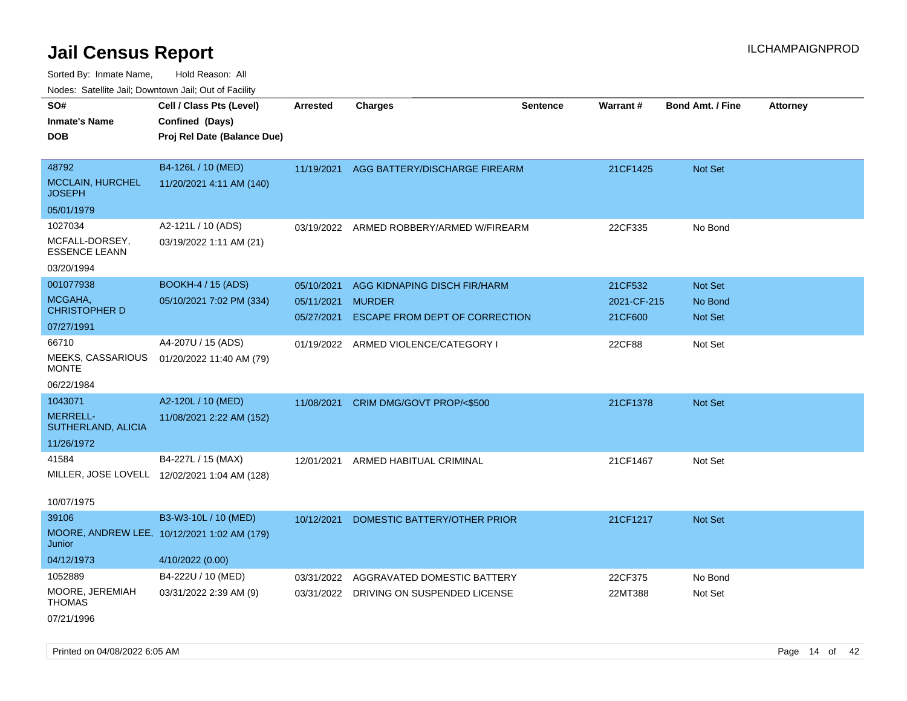| <b>NOULD:</b> Catoline can, Downtown can, Out of Fability |                                              |                   |                                          |                 |             |                         |                 |
|-----------------------------------------------------------|----------------------------------------------|-------------------|------------------------------------------|-----------------|-------------|-------------------------|-----------------|
| SO#                                                       | Cell / Class Pts (Level)                     | <b>Arrested</b>   | <b>Charges</b>                           | <b>Sentence</b> | Warrant#    | <b>Bond Amt. / Fine</b> | <b>Attorney</b> |
| <b>Inmate's Name</b>                                      | Confined (Days)                              |                   |                                          |                 |             |                         |                 |
| <b>DOB</b>                                                | Proj Rel Date (Balance Due)                  |                   |                                          |                 |             |                         |                 |
|                                                           |                                              |                   |                                          |                 |             |                         |                 |
| 48792                                                     | B4-126L / 10 (MED)                           |                   | 11/19/2021 AGG BATTERY/DISCHARGE FIREARM |                 | 21CF1425    | Not Set                 |                 |
| <b>MCCLAIN, HURCHEL</b><br><b>JOSEPH</b>                  | 11/20/2021 4:11 AM (140)                     |                   |                                          |                 |             |                         |                 |
| 05/01/1979                                                |                                              |                   |                                          |                 |             |                         |                 |
| 1027034                                                   | A2-121L / 10 (ADS)                           |                   | 03/19/2022 ARMED ROBBERY/ARMED W/FIREARM |                 | 22CF335     | No Bond                 |                 |
| MCFALL-DORSEY,<br><b>ESSENCE LEANN</b>                    | 03/19/2022 1:11 AM (21)                      |                   |                                          |                 |             |                         |                 |
| 03/20/1994                                                |                                              |                   |                                          |                 |             |                         |                 |
| 001077938                                                 | <b>BOOKH-4 / 15 (ADS)</b>                    | 05/10/2021        | AGG KIDNAPING DISCH FIR/HARM             |                 | 21CF532     | Not Set                 |                 |
| MCGAHA,                                                   | 05/10/2021 7:02 PM (334)                     | 05/11/2021 MURDER |                                          |                 | 2021-CF-215 | No Bond                 |                 |
| <b>CHRISTOPHER D</b>                                      |                                              | 05/27/2021        | <b>ESCAPE FROM DEPT OF CORRECTION</b>    |                 | 21CF600     | Not Set                 |                 |
| 07/27/1991                                                |                                              |                   |                                          |                 |             |                         |                 |
| 66710                                                     | A4-207U / 15 (ADS)                           |                   | 01/19/2022 ARMED VIOLENCE/CATEGORY I     |                 | 22CF88      | Not Set                 |                 |
| MEEKS, CASSARIOUS<br><b>MONTE</b>                         | 01/20/2022 11:40 AM (79)                     |                   |                                          |                 |             |                         |                 |
| 06/22/1984                                                |                                              |                   |                                          |                 |             |                         |                 |
| 1043071                                                   | A2-120L / 10 (MED)                           |                   | 11/08/2021 CRIM DMG/GOVT PROP/<\$500     |                 | 21CF1378    | Not Set                 |                 |
| <b>MERRELL-</b><br>SUTHERLAND, ALICIA                     | 11/08/2021 2:22 AM (152)                     |                   |                                          |                 |             |                         |                 |
| 11/26/1972                                                |                                              |                   |                                          |                 |             |                         |                 |
| 41584                                                     | B4-227L / 15 (MAX)                           | 12/01/2021        | ARMED HABITUAL CRIMINAL                  |                 | 21CF1467    | Not Set                 |                 |
|                                                           | MILLER, JOSE LOVELL 12/02/2021 1:04 AM (128) |                   |                                          |                 |             |                         |                 |
| 10/07/1975                                                |                                              |                   |                                          |                 |             |                         |                 |
| 39106                                                     | B3-W3-10L / 10 (MED)                         | 10/12/2021        | DOMESTIC BATTERY/OTHER PRIOR             |                 | 21CF1217    | Not Set                 |                 |
| Junior                                                    | MOORE, ANDREW LEE, 10/12/2021 1:02 AM (179)  |                   |                                          |                 |             |                         |                 |
| 04/12/1973                                                | 4/10/2022 (0.00)                             |                   |                                          |                 |             |                         |                 |
| 1052889                                                   | B4-222U / 10 (MED)                           | 03/31/2022        | AGGRAVATED DOMESTIC BATTERY              |                 | 22CF375     | No Bond                 |                 |
| MOORE, JEREMIAH<br><b>THOMAS</b>                          | 03/31/2022 2:39 AM (9)                       |                   | 03/31/2022 DRIVING ON SUSPENDED LICENSE  |                 | 22MT388     | Not Set                 |                 |
| 07/21/1996                                                |                                              |                   |                                          |                 |             |                         |                 |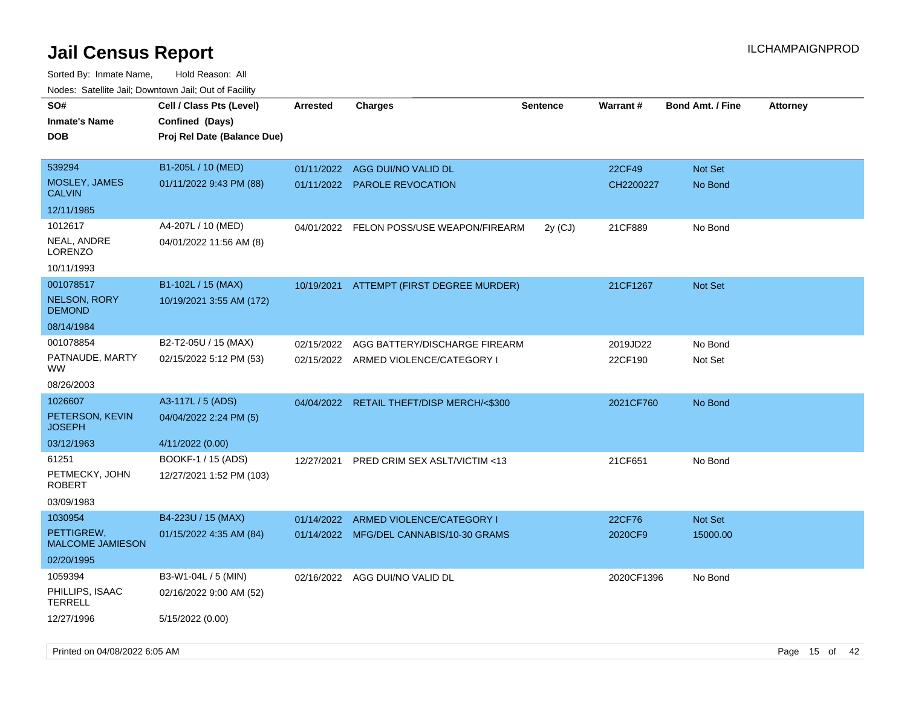| 110a00. 0atomto 0an, Domntonn 0an, 0at 011 aoint<br>SO# | Cell / Class Pts (Level)                       | <b>Arrested</b> | Charges                                   | <b>Sentence</b> | Warrant#   | <b>Bond Amt. / Fine</b> | <b>Attorney</b> |
|---------------------------------------------------------|------------------------------------------------|-----------------|-------------------------------------------|-----------------|------------|-------------------------|-----------------|
| <b>Inmate's Name</b><br><b>DOB</b>                      | Confined (Days)<br>Proj Rel Date (Balance Due) |                 |                                           |                 |            |                         |                 |
| 539294                                                  | B1-205L / 10 (MED)                             | 01/11/2022      | AGG DUI/NO VALID DL                       |                 | 22CF49     | <b>Not Set</b>          |                 |
| MOSLEY, JAMES<br><b>CALVIN</b>                          | 01/11/2022 9:43 PM (88)                        | 01/11/2022      | <b>PAROLE REVOCATION</b>                  |                 | CH2200227  | No Bond                 |                 |
| 12/11/1985                                              |                                                |                 |                                           |                 |            |                         |                 |
| 1012617                                                 | A4-207L / 10 (MED)                             |                 | 04/01/2022 FELON POSS/USE WEAPON/FIREARM  | $2y$ (CJ)       | 21CF889    | No Bond                 |                 |
| NEAL, ANDRE<br>LORENZO                                  | 04/01/2022 11:56 AM (8)                        |                 |                                           |                 |            |                         |                 |
| 10/11/1993                                              |                                                |                 |                                           |                 |            |                         |                 |
| 001078517                                               | B1-102L / 15 (MAX)                             |                 | 10/19/2021 ATTEMPT (FIRST DEGREE MURDER)  |                 | 21CF1267   | <b>Not Set</b>          |                 |
| <b>NELSON, RORY</b><br><b>DEMOND</b>                    | 10/19/2021 3:55 AM (172)                       |                 |                                           |                 |            |                         |                 |
| 08/14/1984                                              |                                                |                 |                                           |                 |            |                         |                 |
| 001078854                                               | B2-T2-05U / 15 (MAX)                           | 02/15/2022      | AGG BATTERY/DISCHARGE FIREARM             |                 | 2019JD22   | No Bond                 |                 |
| PATNAUDE, MARTY<br>WW                                   | 02/15/2022 5:12 PM (53)                        |                 | 02/15/2022 ARMED VIOLENCE/CATEGORY I      |                 | 22CF190    | Not Set                 |                 |
| 08/26/2003                                              |                                                |                 |                                           |                 |            |                         |                 |
| 1026607                                                 | A3-117L / 5 (ADS)                              |                 | 04/04/2022 RETAIL THEFT/DISP MERCH/<\$300 |                 | 2021CF760  | No Bond                 |                 |
| PETERSON, KEVIN<br>JOSEPH                               | 04/04/2022 2:24 PM (5)                         |                 |                                           |                 |            |                         |                 |
| 03/12/1963                                              | 4/11/2022 (0.00)                               |                 |                                           |                 |            |                         |                 |
| 61251                                                   | BOOKF-1 / 15 (ADS)                             | 12/27/2021      | <b>PRED CRIM SEX ASLT/VICTIM &lt;13</b>   |                 | 21CF651    | No Bond                 |                 |
| PETMECKY, JOHN<br><b>ROBERT</b>                         | 12/27/2021 1:52 PM (103)                       |                 |                                           |                 |            |                         |                 |
| 03/09/1983                                              |                                                |                 |                                           |                 |            |                         |                 |
| 1030954                                                 | B4-223U / 15 (MAX)                             | 01/14/2022      | ARMED VIOLENCE/CATEGORY I                 |                 | 22CF76     | Not Set                 |                 |
| PETTIGREW,<br><b>MALCOME JAMIESON</b>                   | 01/15/2022 4:35 AM (84)                        |                 | 01/14/2022 MFG/DEL CANNABIS/10-30 GRAMS   |                 | 2020CF9    | 15000.00                |                 |
| 02/20/1995                                              |                                                |                 |                                           |                 |            |                         |                 |
| 1059394                                                 | B3-W1-04L / 5 (MIN)                            |                 | 02/16/2022 AGG DUI/NO VALID DL            |                 | 2020CF1396 | No Bond                 |                 |
| PHILLIPS, ISAAC<br>TERRELL                              | 02/16/2022 9:00 AM (52)                        |                 |                                           |                 |            |                         |                 |
| 12/27/1996                                              | 5/15/2022 (0.00)                               |                 |                                           |                 |            |                         |                 |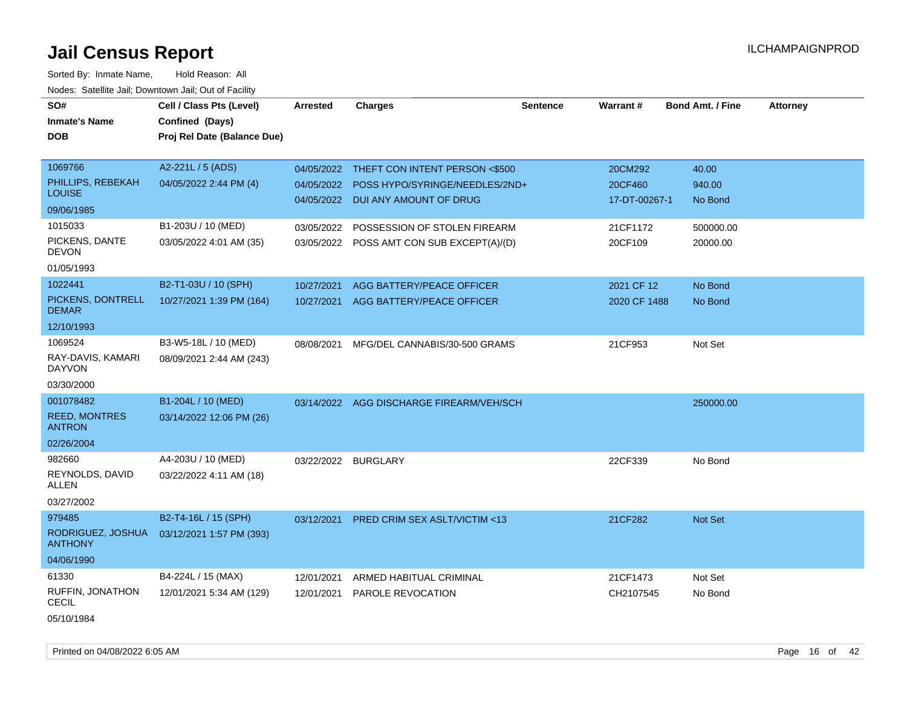Sorted By: Inmate Name, Hold Reason: All Nodes: Satellite Jail; Downtown Jail; Out of Facility

| SO#                                   | Cell / Class Pts (Level)    | <b>Arrested</b> | Charges                                   | <b>Sentence</b> | <b>Warrant#</b> | Bond Amt. / Fine | <b>Attorney</b> |
|---------------------------------------|-----------------------------|-----------------|-------------------------------------------|-----------------|-----------------|------------------|-----------------|
| <b>Inmate's Name</b>                  | Confined (Days)             |                 |                                           |                 |                 |                  |                 |
| <b>DOB</b>                            | Proj Rel Date (Balance Due) |                 |                                           |                 |                 |                  |                 |
|                                       |                             |                 |                                           |                 |                 |                  |                 |
| 1069766                               | A2-221L / 5 (ADS)           | 04/05/2022      | THEFT CON INTENT PERSON <\$500            |                 | 20CM292         | 40.00            |                 |
| PHILLIPS, REBEKAH<br><b>LOUISE</b>    | 04/05/2022 2:44 PM (4)      | 04/05/2022      | POSS HYPO/SYRINGE/NEEDLES/2ND+            |                 | 20CF460         | 940.00           |                 |
| 09/06/1985                            |                             |                 | 04/05/2022 DUI ANY AMOUNT OF DRUG         |                 | 17-DT-00267-1   | No Bond          |                 |
| 1015033                               | B1-203U / 10 (MED)          | 03/05/2022      | POSSESSION OF STOLEN FIREARM              |                 | 21CF1172        | 500000.00        |                 |
| PICKENS, DANTE<br><b>DEVON</b>        | 03/05/2022 4:01 AM (35)     |                 | 03/05/2022 POSS AMT CON SUB EXCEPT(A)/(D) |                 | 20CF109         | 20000.00         |                 |
| 01/05/1993                            |                             |                 |                                           |                 |                 |                  |                 |
| 1022441                               | B2-T1-03U / 10 (SPH)        | 10/27/2021      | AGG BATTERY/PEACE OFFICER                 |                 | 2021 CF 12      | No Bond          |                 |
| PICKENS, DONTRELL<br><b>DEMAR</b>     | 10/27/2021 1:39 PM (164)    |                 | 10/27/2021 AGG BATTERY/PEACE OFFICER      |                 | 2020 CF 1488    | No Bond          |                 |
| 12/10/1993                            |                             |                 |                                           |                 |                 |                  |                 |
| 1069524                               | B3-W5-18L / 10 (MED)        | 08/08/2021      | MFG/DEL CANNABIS/30-500 GRAMS             |                 | 21CF953         | Not Set          |                 |
| RAY-DAVIS, KAMARI<br><b>DAYVON</b>    | 08/09/2021 2:44 AM (243)    |                 |                                           |                 |                 |                  |                 |
| 03/30/2000                            |                             |                 |                                           |                 |                 |                  |                 |
| 001078482                             | B1-204L / 10 (MED)          | 03/14/2022      | AGG DISCHARGE FIREARM/VEH/SCH             |                 |                 | 250000.00        |                 |
| <b>REED, MONTRES</b><br><b>ANTRON</b> | 03/14/2022 12:06 PM (26)    |                 |                                           |                 |                 |                  |                 |
| 02/26/2004                            |                             |                 |                                           |                 |                 |                  |                 |
| 982660                                | A4-203U / 10 (MED)          |                 | 03/22/2022 BURGLARY                       |                 | 22CF339         | No Bond          |                 |
| REYNOLDS, DAVID<br><b>ALLEN</b>       | 03/22/2022 4:11 AM (18)     |                 |                                           |                 |                 |                  |                 |
| 03/27/2002                            |                             |                 |                                           |                 |                 |                  |                 |
| 979485                                | B2-T4-16L / 15 (SPH)        | 03/12/2021      | <b>PRED CRIM SEX ASLT/VICTIM &lt;13</b>   |                 | 21CF282         | <b>Not Set</b>   |                 |
| RODRIGUEZ, JOSHUA<br><b>ANTHONY</b>   | 03/12/2021 1:57 PM (393)    |                 |                                           |                 |                 |                  |                 |
| 04/06/1990                            |                             |                 |                                           |                 |                 |                  |                 |
| 61330                                 | B4-224L / 15 (MAX)          | 12/01/2021      | ARMED HABITUAL CRIMINAL                   |                 | 21CF1473        | Not Set          |                 |
| RUFFIN, JONATHON<br><b>CECIL</b>      | 12/01/2021 5:34 AM (129)    | 12/01/2021      | PAROLE REVOCATION                         |                 | CH2107545       | No Bond          |                 |
| 05/10/1984                            |                             |                 |                                           |                 |                 |                  |                 |

Printed on 04/08/2022 6:05 AM **Page 16** of 42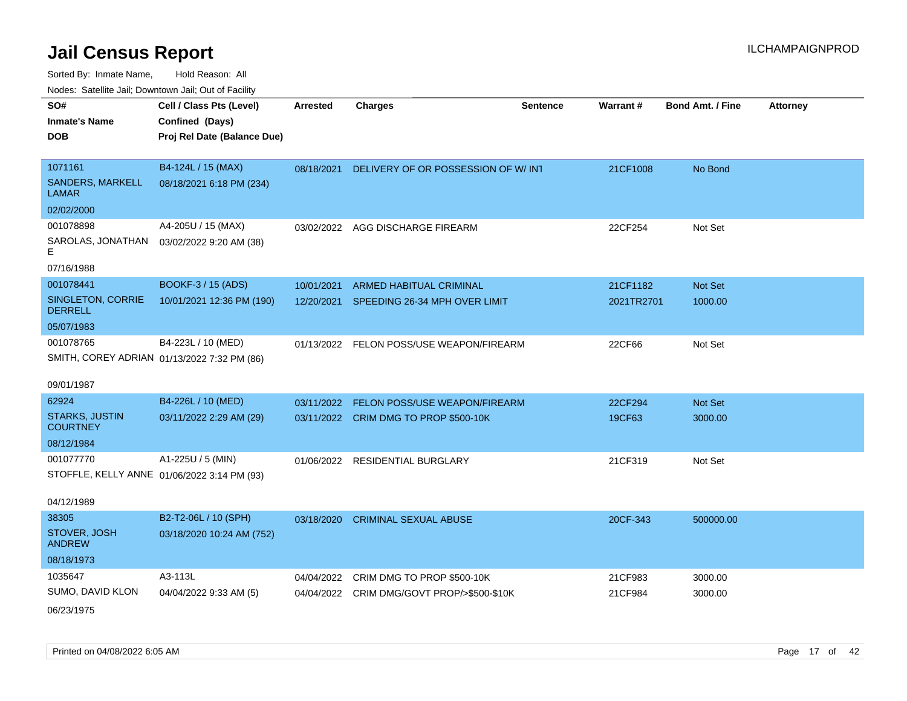| <b>Nedee:</b> Catoline can, Domnomi can, Oat or I domt |                                                                            |                 |                                            |                 |            |                         |                 |
|--------------------------------------------------------|----------------------------------------------------------------------------|-----------------|--------------------------------------------|-----------------|------------|-------------------------|-----------------|
| SO#<br>Inmate's Name<br>DOB                            | Cell / Class Pts (Level)<br>Confined (Days)<br>Proj Rel Date (Balance Due) | <b>Arrested</b> | <b>Charges</b>                             | <b>Sentence</b> | Warrant#   | <b>Bond Amt. / Fine</b> | <b>Attorney</b> |
| 1071161<br>SANDERS, MARKELL<br>LAMAR                   | B4-124L / 15 (MAX)<br>08/18/2021 6:18 PM (234)                             | 08/18/2021      | DELIVERY OF OR POSSESSION OF W/INT         |                 | 21CF1008   | No Bond                 |                 |
| 02/02/2000                                             |                                                                            |                 |                                            |                 |            |                         |                 |
| 001078898<br>E.                                        | A4-205U / 15 (MAX)<br>SAROLAS, JONATHAN  03/02/2022 9:20 AM (38)           |                 | 03/02/2022 AGG DISCHARGE FIREARM           |                 | 22CF254    | Not Set                 |                 |
| 07/16/1988                                             |                                                                            |                 |                                            |                 |            |                         |                 |
| 001078441                                              | BOOKF-3 / 15 (ADS)                                                         | 10/01/2021      | <b>ARMED HABITUAL CRIMINAL</b>             |                 | 21CF1182   | <b>Not Set</b>          |                 |
| SINGLETON, CORRIE<br><b>DERRELL</b>                    | 10/01/2021 12:36 PM (190)                                                  | 12/20/2021      | SPEEDING 26-34 MPH OVER LIMIT              |                 | 2021TR2701 | 1000.00                 |                 |
| 05/07/1983                                             |                                                                            |                 |                                            |                 |            |                         |                 |
| 001078765                                              | B4-223L / 10 (MED)<br>SMITH, COREY ADRIAN 01/13/2022 7:32 PM (86)          |                 | 01/13/2022 FELON POSS/USE WEAPON/FIREARM   |                 | 22CF66     | Not Set                 |                 |
| 09/01/1987                                             |                                                                            |                 |                                            |                 |            |                         |                 |
| 62924                                                  | B4-226L / 10 (MED)                                                         | 03/11/2022      | <b>FELON POSS/USE WEAPON/FIREARM</b>       |                 | 22CF294    | Not Set                 |                 |
| <b>STARKS, JUSTIN</b><br><b>COURTNEY</b>               | 03/11/2022 2:29 AM (29)                                                    |                 | 03/11/2022 CRIM DMG TO PROP \$500-10K      |                 | 19CF63     | 3000.00                 |                 |
| 08/12/1984                                             |                                                                            |                 |                                            |                 |            |                         |                 |
| 001077770                                              | A1-225U / 5 (MIN)                                                          | 01/06/2022      | RESIDENTIAL BURGLARY                       |                 | 21CF319    | Not Set                 |                 |
|                                                        | STOFFLE, KELLY ANNE 01/06/2022 3:14 PM (93)                                |                 |                                            |                 |            |                         |                 |
| 04/12/1989                                             |                                                                            |                 |                                            |                 |            |                         |                 |
| 38305                                                  | B2-T2-06L / 10 (SPH)                                                       | 03/18/2020      | <b>CRIMINAL SEXUAL ABUSE</b>               |                 | 20CF-343   | 500000.00               |                 |
| STOVER, JOSH<br><b>ANDREW</b>                          | 03/18/2020 10:24 AM (752)                                                  |                 |                                            |                 |            |                         |                 |
| 08/18/1973                                             |                                                                            |                 |                                            |                 |            |                         |                 |
| 1035647                                                | A3-113L                                                                    | 04/04/2022      | CRIM DMG TO PROP \$500-10K                 |                 | 21CF983    | 3000.00                 |                 |
| SUMO, DAVID KLON                                       | 04/04/2022 9:33 AM (5)                                                     |                 | 04/04/2022 CRIM DMG/GOVT PROP/>\$500-\$10K |                 | 21CF984    | 3000.00                 |                 |
| 06/23/1975                                             |                                                                            |                 |                                            |                 |            |                         |                 |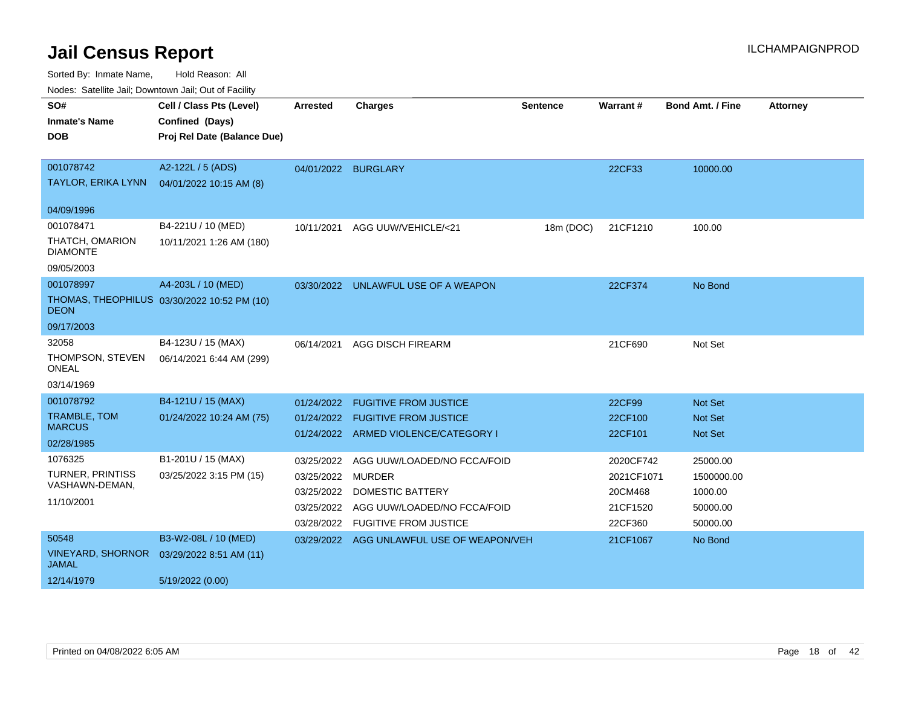Sorted By: Inmate Name, Hold Reason: All

Nodes: Satellite Jail; Downtown Jail; Out of Facility

| SO#<br><b>Inmate's Name</b><br><b>DOB</b>                     | Cell / Class Pts (Level)<br>Confined (Days)<br>Proj Rel Date (Balance Due) | <b>Arrested</b>                                                           | <b>Charges</b>                                                                                                        | <b>Sentence</b> | Warrant#                                                  | <b>Bond Amt. / Fine</b>                                   | <b>Attorney</b> |
|---------------------------------------------------------------|----------------------------------------------------------------------------|---------------------------------------------------------------------------|-----------------------------------------------------------------------------------------------------------------------|-----------------|-----------------------------------------------------------|-----------------------------------------------------------|-----------------|
| 001078742<br>TAYLOR, ERIKA LYNN                               | A2-122L / 5 (ADS)<br>04/01/2022 10:15 AM (8)                               |                                                                           | 04/01/2022 BURGLARY                                                                                                   |                 | 22CF33                                                    | 10000.00                                                  |                 |
| 04/09/1996                                                    |                                                                            |                                                                           |                                                                                                                       |                 |                                                           |                                                           |                 |
| 001078471<br>THATCH, OMARION<br><b>DIAMONTE</b><br>09/05/2003 | B4-221U / 10 (MED)<br>10/11/2021 1:26 AM (180)                             | 10/11/2021                                                                | AGG UUW/VEHICLE/<21                                                                                                   | 18m (DOC)       | 21CF1210                                                  | 100.00                                                    |                 |
| 001078997<br><b>DEON</b><br>09/17/2003                        | A4-203L / 10 (MED)<br>THOMAS, THEOPHILUS 03/30/2022 10:52 PM (10)          |                                                                           | 03/30/2022 UNLAWFUL USE OF A WEAPON                                                                                   |                 | 22CF374                                                   | No Bond                                                   |                 |
| 32058<br>THOMPSON, STEVEN<br><b>ONEAL</b><br>03/14/1969       | B4-123U / 15 (MAX)<br>06/14/2021 6:44 AM (299)                             | 06/14/2021                                                                | <b>AGG DISCH FIREARM</b>                                                                                              |                 | 21CF690                                                   | Not Set                                                   |                 |
| 001078792<br>TRAMBLE, TOM<br><b>MARCUS</b><br>02/28/1985      | B4-121U / 15 (MAX)<br>01/24/2022 10:24 AM (75)                             | 01/24/2022                                                                | <b>FUGITIVE FROM JUSTICE</b><br>01/24/2022 FUGITIVE FROM JUSTICE<br>01/24/2022 ARMED VIOLENCE/CATEGORY I              |                 | 22CF99<br>22CF100<br>22CF101                              | <b>Not Set</b><br><b>Not Set</b><br><b>Not Set</b>        |                 |
| 1076325<br>TURNER, PRINTISS<br>VASHAWN-DEMAN,<br>11/10/2001   | B1-201U / 15 (MAX)<br>03/25/2022 3:15 PM (15)                              | 03/25/2022<br>03/25/2022 MURDER<br>03/25/2022<br>03/25/2022<br>03/28/2022 | AGG UUW/LOADED/NO FCCA/FOID<br><b>DOMESTIC BATTERY</b><br>AGG UUW/LOADED/NO FCCA/FOID<br><b>FUGITIVE FROM JUSTICE</b> |                 | 2020CF742<br>2021CF1071<br>20CM468<br>21CF1520<br>22CF360 | 25000.00<br>1500000.00<br>1000.00<br>50000.00<br>50000.00 |                 |
| 50548<br><b>VINEYARD, SHORNOR</b><br>JAMAL<br>12/14/1979      | B3-W2-08L / 10 (MED)<br>03/29/2022 8:51 AM (11)<br>5/19/2022 (0.00)        |                                                                           | 03/29/2022 AGG UNLAWFUL USE OF WEAPON/VEH                                                                             |                 | 21CF1067                                                  | No Bond                                                   |                 |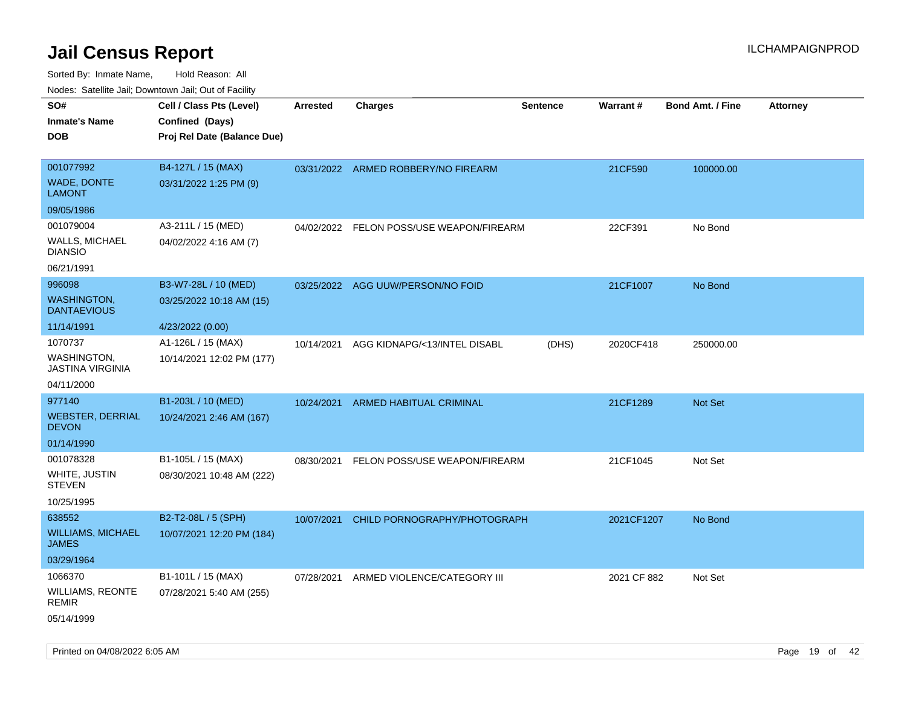| roaco. Calcinio dan, Downtown dan, Cal or Fability |                             |            |                                     |                 |                 |                         |                 |
|----------------------------------------------------|-----------------------------|------------|-------------------------------------|-----------------|-----------------|-------------------------|-----------------|
| SO#                                                | Cell / Class Pts (Level)    | Arrested   | <b>Charges</b>                      | <b>Sentence</b> | <b>Warrant#</b> | <b>Bond Amt. / Fine</b> | <b>Attorney</b> |
| Inmate's Name                                      | Confined (Days)             |            |                                     |                 |                 |                         |                 |
| DOB                                                | Proj Rel Date (Balance Due) |            |                                     |                 |                 |                         |                 |
|                                                    |                             |            |                                     |                 |                 |                         |                 |
| 001077992                                          | B4-127L / 15 (MAX)          |            | 03/31/2022 ARMED ROBBERY/NO FIREARM |                 | 21CF590         | 100000.00               |                 |
| <b>WADE, DONTE</b><br>LAMONT                       | 03/31/2022 1:25 PM (9)      |            |                                     |                 |                 |                         |                 |
| 09/05/1986                                         |                             |            |                                     |                 |                 |                         |                 |
| 001079004                                          | A3-211L / 15 (MED)          | 04/02/2022 | FELON POSS/USE WEAPON/FIREARM       |                 | 22CF391         | No Bond                 |                 |
| <b>WALLS, MICHAEL</b><br><b>DIANSIO</b>            | 04/02/2022 4:16 AM (7)      |            |                                     |                 |                 |                         |                 |
| 06/21/1991                                         |                             |            |                                     |                 |                 |                         |                 |
| 996098                                             | B3-W7-28L / 10 (MED)        |            | 03/25/2022 AGG UUW/PERSON/NO FOID   |                 | 21CF1007        | No Bond                 |                 |
| WASHINGTON,<br><b>DANTAEVIOUS</b>                  | 03/25/2022 10:18 AM (15)    |            |                                     |                 |                 |                         |                 |
| 11/14/1991                                         | 4/23/2022 (0.00)            |            |                                     |                 |                 |                         |                 |
| 1070737                                            | A1-126L / 15 (MAX)          | 10/14/2021 | AGG KIDNAPG/<13/INTEL DISABL        | (DHS)           | 2020CF418       | 250000.00               |                 |
| <b>WASHINGTON</b><br><b>JASTINA VIRGINIA</b>       | 10/14/2021 12:02 PM (177)   |            |                                     |                 |                 |                         |                 |
| 04/11/2000                                         |                             |            |                                     |                 |                 |                         |                 |
| 977140                                             | B1-203L / 10 (MED)          | 10/24/2021 | ARMED HABITUAL CRIMINAL             |                 | 21CF1289        | Not Set                 |                 |
| <b>WEBSTER, DERRIAL</b><br><b>DEVON</b>            | 10/24/2021 2:46 AM (167)    |            |                                     |                 |                 |                         |                 |
| 01/14/1990                                         |                             |            |                                     |                 |                 |                         |                 |
| 001078328                                          | B1-105L / 15 (MAX)          | 08/30/2021 | FELON POSS/USE WEAPON/FIREARM       |                 | 21CF1045        | Not Set                 |                 |
| WHITE, JUSTIN<br>STEVEN                            | 08/30/2021 10:48 AM (222)   |            |                                     |                 |                 |                         |                 |
| 10/25/1995                                         |                             |            |                                     |                 |                 |                         |                 |
| 638552                                             | B2-T2-08L / 5 (SPH)         | 10/07/2021 | CHILD PORNOGRAPHY/PHOTOGRAPH        |                 | 2021CF1207      | No Bond                 |                 |
| <b>WILLIAMS, MICHAEL</b><br>JAMES                  | 10/07/2021 12:20 PM (184)   |            |                                     |                 |                 |                         |                 |
| 03/29/1964                                         |                             |            |                                     |                 |                 |                         |                 |
| 1066370                                            | B1-101L / 15 (MAX)          | 07/28/2021 | ARMED VIOLENCE/CATEGORY III         |                 | 2021 CF 882     | Not Set                 |                 |
| WILLIAMS, REONTE<br>REMIR                          | 07/28/2021 5:40 AM (255)    |            |                                     |                 |                 |                         |                 |
| 05/14/1999                                         |                             |            |                                     |                 |                 |                         |                 |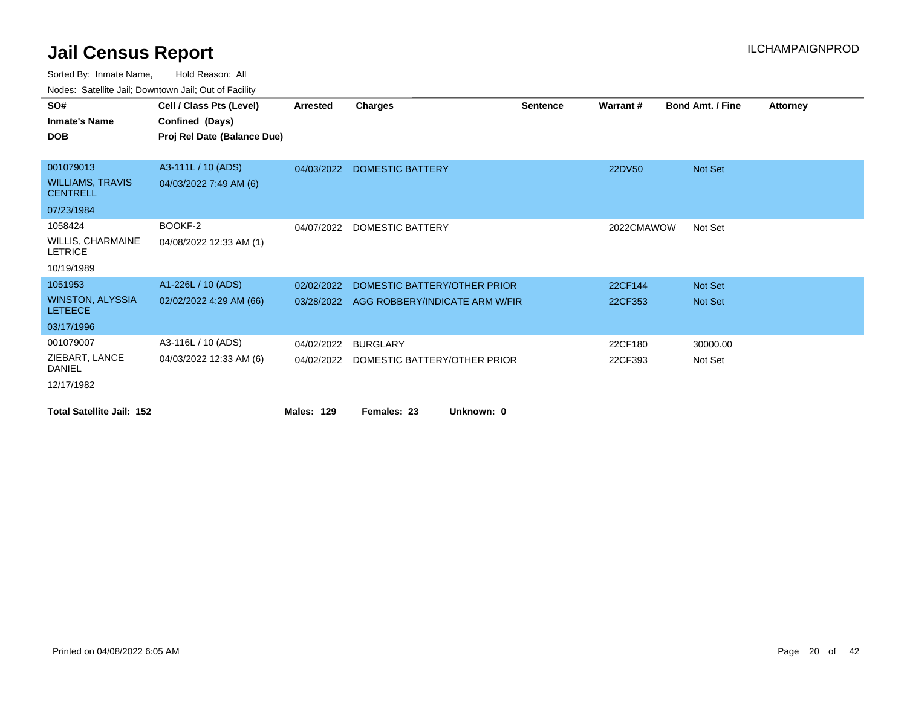|                                            | <u>Rodos.</u> Odtomto dan, Downtown dan, Out or I domty |                   |                                           |                 |            |                         |                 |
|--------------------------------------------|---------------------------------------------------------|-------------------|-------------------------------------------|-----------------|------------|-------------------------|-----------------|
| SO#                                        | Cell / Class Pts (Level)                                | <b>Arrested</b>   | <b>Charges</b>                            | <b>Sentence</b> | Warrant#   | <b>Bond Amt. / Fine</b> | <b>Attorney</b> |
| <b>Inmate's Name</b>                       | Confined (Days)                                         |                   |                                           |                 |            |                         |                 |
| <b>DOB</b>                                 | Proj Rel Date (Balance Due)                             |                   |                                           |                 |            |                         |                 |
|                                            |                                                         |                   |                                           |                 |            |                         |                 |
| 001079013                                  | A3-111L / 10 (ADS)                                      | 04/03/2022        | DOMESTIC BATTERY                          |                 | 22DV50     | Not Set                 |                 |
| <b>WILLIAMS, TRAVIS</b><br><b>CENTRELL</b> | 04/03/2022 7:49 AM (6)                                  |                   |                                           |                 |            |                         |                 |
| 07/23/1984                                 |                                                         |                   |                                           |                 |            |                         |                 |
| 1058424                                    | BOOKF-2                                                 | 04/07/2022        | DOMESTIC BATTERY                          |                 | 2022CMAWOW | Not Set                 |                 |
| <b>WILLIS, CHARMAINE</b><br><b>LETRICE</b> | 04/08/2022 12:33 AM (1)                                 |                   |                                           |                 |            |                         |                 |
| 10/19/1989                                 |                                                         |                   |                                           |                 |            |                         |                 |
| 1051953                                    | A1-226L / 10 (ADS)                                      | 02/02/2022        | DOMESTIC BATTERY/OTHER PRIOR              |                 | 22CF144    | <b>Not Set</b>          |                 |
| <b>WINSTON, ALYSSIA</b><br><b>LETEECE</b>  | 02/02/2022 4:29 AM (66)                                 |                   | 03/28/2022 AGG ROBBERY/INDICATE ARM W/FIR |                 | 22CF353    | <b>Not Set</b>          |                 |
| 03/17/1996                                 |                                                         |                   |                                           |                 |            |                         |                 |
| 001079007                                  | A3-116L / 10 (ADS)                                      | 04/02/2022        | <b>BURGLARY</b>                           |                 | 22CF180    | 30000.00                |                 |
| ZIEBART, LANCE<br><b>DANIEL</b>            | 04/03/2022 12:33 AM (6)                                 | 04/02/2022        | DOMESTIC BATTERY/OTHER PRIOR              |                 | 22CF393    | Not Set                 |                 |
| 12/17/1982                                 |                                                         |                   |                                           |                 |            |                         |                 |
| <b>Total Satellite Jail: 152</b>           |                                                         | <b>Males: 129</b> | Females: 23<br>Unknown: 0                 |                 |            |                         |                 |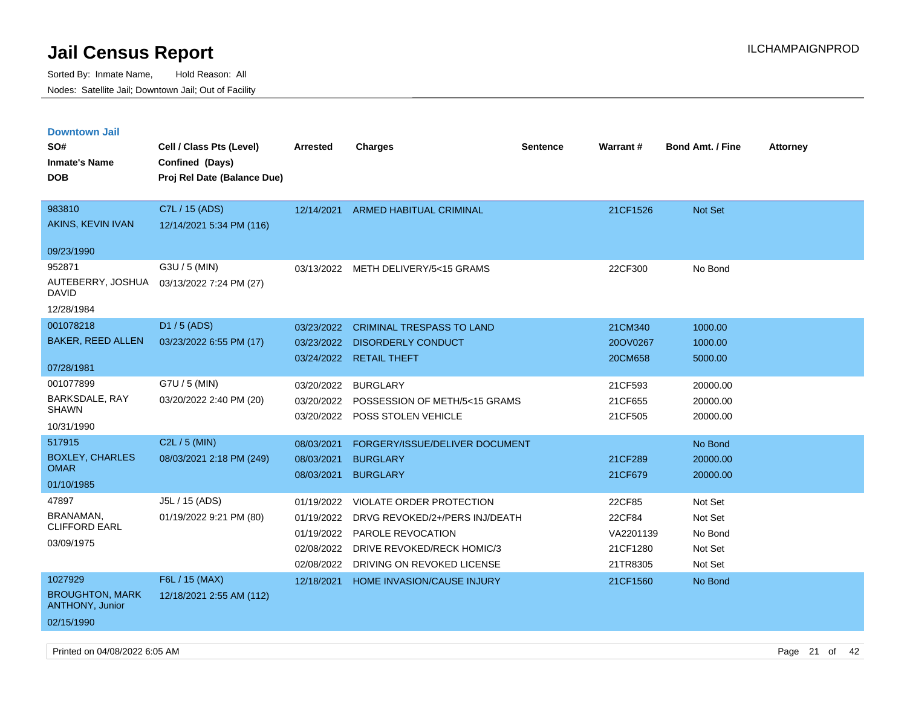| <b>Downtown Jail</b>                             |                             |                 |                                   |                 |                 |                         |                 |
|--------------------------------------------------|-----------------------------|-----------------|-----------------------------------|-----------------|-----------------|-------------------------|-----------------|
| SO#                                              | Cell / Class Pts (Level)    | <b>Arrested</b> | <b>Charges</b>                    | <b>Sentence</b> | <b>Warrant#</b> | <b>Bond Amt. / Fine</b> | <b>Attorney</b> |
| <b>Inmate's Name</b>                             | Confined (Days)             |                 |                                   |                 |                 |                         |                 |
| <b>DOB</b>                                       | Proj Rel Date (Balance Due) |                 |                                   |                 |                 |                         |                 |
|                                                  |                             |                 |                                   |                 |                 |                         |                 |
| 983810                                           | C7L / 15 (ADS)              | 12/14/2021      | <b>ARMED HABITUAL CRIMINAL</b>    |                 | 21CF1526        | Not Set                 |                 |
| AKINS, KEVIN IVAN                                | 12/14/2021 5:34 PM (116)    |                 |                                   |                 |                 |                         |                 |
| 09/23/1990                                       |                             |                 |                                   |                 |                 |                         |                 |
| 952871                                           | G3U / 5 (MIN)               | 03/13/2022      | METH DELIVERY/5<15 GRAMS          |                 | 22CF300         | No Bond                 |                 |
| AUTEBERRY, JOSHUA<br>DAVID                       | 03/13/2022 7:24 PM (27)     |                 |                                   |                 |                 |                         |                 |
| 12/28/1984                                       |                             |                 |                                   |                 |                 |                         |                 |
| 001078218                                        | D1 / 5 (ADS)                | 03/23/2022      | <b>CRIMINAL TRESPASS TO LAND</b>  |                 | 21CM340         | 1000.00                 |                 |
| <b>BAKER, REED ALLEN</b>                         | 03/23/2022 6:55 PM (17)     | 03/23/2022      | <b>DISORDERLY CONDUCT</b>         |                 | 20OV0267        | 1000.00                 |                 |
|                                                  |                             |                 | 03/24/2022 RETAIL THEFT           |                 | 20CM658         | 5000.00                 |                 |
| 07/28/1981                                       |                             |                 |                                   |                 |                 |                         |                 |
| 001077899                                        | G7U / 5 (MIN)               | 03/20/2022      | <b>BURGLARY</b>                   |                 | 21CF593         | 20000.00                |                 |
| <b>BARKSDALE, RAY</b><br><b>SHAWN</b>            | 03/20/2022 2:40 PM (20)     | 03/20/2022      | POSSESSION OF METH/5<15 GRAMS     |                 | 21CF655         | 20000.00                |                 |
| 10/31/1990                                       |                             | 03/20/2022      | POSS STOLEN VEHICLE               |                 | 21CF505         | 20000.00                |                 |
|                                                  |                             |                 |                                   |                 |                 |                         |                 |
| 517915                                           | C2L / 5 (MIN)               | 08/03/2021      | FORGERY/ISSUE/DELIVER DOCUMENT    |                 |                 | No Bond                 |                 |
| <b>BOXLEY, CHARLES</b><br><b>OMAR</b>            | 08/03/2021 2:18 PM (249)    | 08/03/2021      | <b>BURGLARY</b>                   |                 | 21CF289         | 20000.00                |                 |
| 01/10/1985                                       |                             | 08/03/2021      | <b>BURGLARY</b>                   |                 | 21CF679         | 20000.00                |                 |
| 47897                                            | J5L / 15 (ADS)              | 01/19/2022      | VIOLATE ORDER PROTECTION          |                 | 22CF85          | Not Set                 |                 |
| BRANAMAN,                                        | 01/19/2022 9:21 PM (80)     | 01/19/2022      | DRVG REVOKED/2+/PERS INJ/DEATH    |                 | 22CF84          | Not Set                 |                 |
| <b>CLIFFORD EARL</b>                             |                             | 01/19/2022      | PAROLE REVOCATION                 |                 | VA2201139       | No Bond                 |                 |
| 03/09/1975                                       |                             | 02/08/2022      | DRIVE REVOKED/RECK HOMIC/3        |                 | 21CF1280        | Not Set                 |                 |
|                                                  |                             | 02/08/2022      | DRIVING ON REVOKED LICENSE        |                 | 21TR8305        | Not Set                 |                 |
| 1027929                                          | F6L / 15 (MAX)              | 12/18/2021      | <b>HOME INVASION/CAUSE INJURY</b> |                 | 21CF1560        | No Bond                 |                 |
| <b>BROUGHTON, MARK</b><br><b>ANTHONY, Junior</b> | 12/18/2021 2:55 AM (112)    |                 |                                   |                 |                 |                         |                 |
| 02/15/1990                                       |                             |                 |                                   |                 |                 |                         |                 |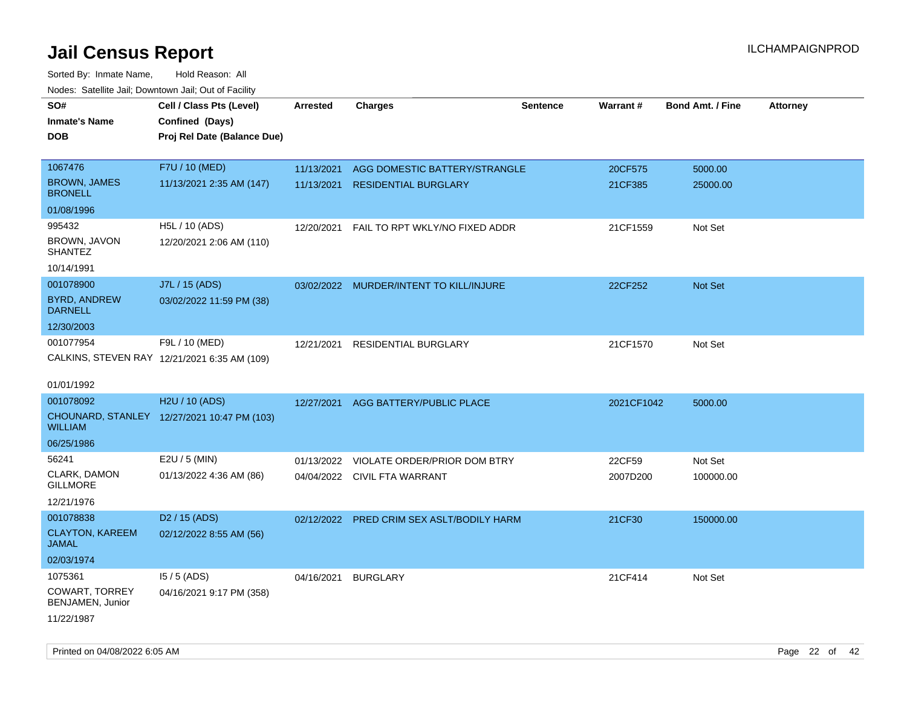| roaco. Catolino dall, Downtown dall, Out of Fability |                                              |                 |                                           |                 |                 |                         |                 |
|------------------------------------------------------|----------------------------------------------|-----------------|-------------------------------------------|-----------------|-----------------|-------------------------|-----------------|
| SO#                                                  | Cell / Class Pts (Level)                     | <b>Arrested</b> | <b>Charges</b>                            | <b>Sentence</b> | <b>Warrant#</b> | <b>Bond Amt. / Fine</b> | <b>Attorney</b> |
| <b>Inmate's Name</b>                                 | Confined (Days)                              |                 |                                           |                 |                 |                         |                 |
| <b>DOB</b>                                           | Proj Rel Date (Balance Due)                  |                 |                                           |                 |                 |                         |                 |
|                                                      |                                              |                 |                                           |                 |                 |                         |                 |
| 1067476                                              | F7U / 10 (MED)                               | 11/13/2021      | AGG DOMESTIC BATTERY/STRANGLE             |                 | 20CF575         | 5000.00                 |                 |
| <b>BROWN, JAMES</b><br><b>BRONELL</b>                | 11/13/2021 2:35 AM (147)                     | 11/13/2021      | <b>RESIDENTIAL BURGLARY</b>               |                 | 21CF385         | 25000.00                |                 |
| 01/08/1996                                           |                                              |                 |                                           |                 |                 |                         |                 |
| 995432                                               | H5L / 10 (ADS)                               | 12/20/2021      | FAIL TO RPT WKLY/NO FIXED ADDR            |                 | 21CF1559        | Not Set                 |                 |
| BROWN, JAVON<br><b>SHANTEZ</b>                       | 12/20/2021 2:06 AM (110)                     |                 |                                           |                 |                 |                         |                 |
| 10/14/1991                                           |                                              |                 |                                           |                 |                 |                         |                 |
| 001078900                                            | J7L / 15 (ADS)                               |                 | 03/02/2022 MURDER/INTENT TO KILL/INJURE   |                 | 22CF252         | Not Set                 |                 |
| <b>BYRD, ANDREW</b><br><b>DARNELL</b>                | 03/02/2022 11:59 PM (38)                     |                 |                                           |                 |                 |                         |                 |
| 12/30/2003                                           |                                              |                 |                                           |                 |                 |                         |                 |
| 001077954                                            | F9L / 10 (MED)                               | 12/21/2021      | RESIDENTIAL BURGLARY                      |                 | 21CF1570        | Not Set                 |                 |
|                                                      | CALKINS, STEVEN RAY 12/21/2021 6:35 AM (109) |                 |                                           |                 |                 |                         |                 |
|                                                      |                                              |                 |                                           |                 |                 |                         |                 |
| 01/01/1992                                           |                                              |                 |                                           |                 |                 |                         |                 |
| 001078092                                            | H2U / 10 (ADS)                               | 12/27/2021      | AGG BATTERY/PUBLIC PLACE                  |                 | 2021CF1042      | 5000.00                 |                 |
| WILLIAM                                              | CHOUNARD, STANLEY 12/27/2021 10:47 PM (103)  |                 |                                           |                 |                 |                         |                 |
| 06/25/1986                                           |                                              |                 |                                           |                 |                 |                         |                 |
| 56241                                                | E2U / 5 (MIN)                                | 01/13/2022      | VIOLATE ORDER/PRIOR DOM BTRY              |                 | 22CF59          | Not Set                 |                 |
| CLARK, DAMON<br><b>GILLMORE</b>                      | 01/13/2022 4:36 AM (86)                      |                 | 04/04/2022 CIVIL FTA WARRANT              |                 | 2007D200        | 100000.00               |                 |
| 12/21/1976                                           |                                              |                 |                                           |                 |                 |                         |                 |
| 001078838                                            | D <sub>2</sub> / 15 (ADS)                    |                 | 02/12/2022 PRED CRIM SEX ASLT/BODILY HARM |                 | 21CF30          | 150000.00               |                 |
| <b>CLAYTON, KAREEM</b><br>JAMAL                      | 02/12/2022 8:55 AM (56)                      |                 |                                           |                 |                 |                         |                 |
| 02/03/1974                                           |                                              |                 |                                           |                 |                 |                         |                 |
| 1075361                                              | $15/5$ (ADS)                                 | 04/16/2021      | <b>BURGLARY</b>                           |                 | 21CF414         | Not Set                 |                 |
| <b>COWART, TORREY</b><br>BENJAMEN, Junior            | 04/16/2021 9:17 PM (358)                     |                 |                                           |                 |                 |                         |                 |
| 11/22/1987                                           |                                              |                 |                                           |                 |                 |                         |                 |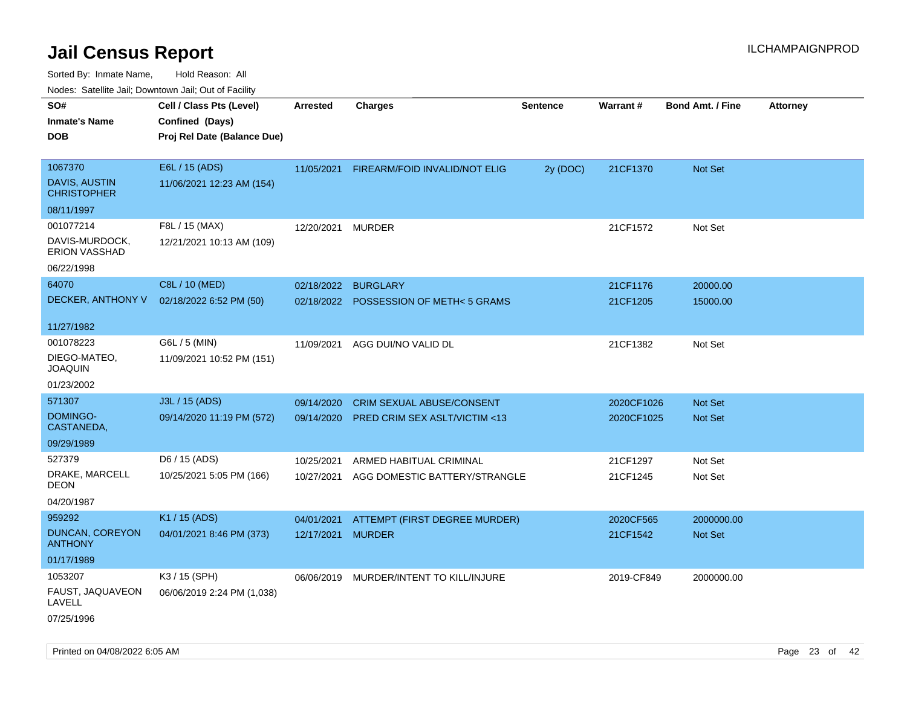| Youes. Sateme Jan, Downtown Jan, Out or Facility |                             |            |                                         |          |            |                         |                 |
|--------------------------------------------------|-----------------------------|------------|-----------------------------------------|----------|------------|-------------------------|-----------------|
| SO#                                              | Cell / Class Pts (Level)    | Arrested   | <b>Charges</b>                          | Sentence | Warrant#   | <b>Bond Amt. / Fine</b> | <b>Attorney</b> |
| <b>Inmate's Name</b>                             | Confined (Days)             |            |                                         |          |            |                         |                 |
| <b>DOB</b>                                       | Proj Rel Date (Balance Due) |            |                                         |          |            |                         |                 |
|                                                  |                             |            |                                         |          |            |                         |                 |
| 1067370                                          | E6L / 15 (ADS)              | 11/05/2021 | FIREARM/FOID INVALID/NOT ELIG           | 2y (DOC) | 21CF1370   | Not Set                 |                 |
| DAVIS, AUSTIN<br><b>CHRISTOPHER</b>              | 11/06/2021 12:23 AM (154)   |            |                                         |          |            |                         |                 |
| 08/11/1997                                       |                             |            |                                         |          |            |                         |                 |
| 001077214                                        | F8L / 15 (MAX)              | 12/20/2021 | <b>MURDER</b>                           |          | 21CF1572   | Not Set                 |                 |
| DAVIS-MURDOCK,<br><b>ERION VASSHAD</b>           | 12/21/2021 10:13 AM (109)   |            |                                         |          |            |                         |                 |
| 06/22/1998                                       |                             |            |                                         |          |            |                         |                 |
| 64070                                            | C8L / 10 (MED)              | 02/18/2022 | <b>BURGLARY</b>                         |          | 21CF1176   | 20000.00                |                 |
| DECKER, ANTHONY V                                | 02/18/2022 6:52 PM (50)     | 02/18/2022 | <b>POSSESSION OF METH&lt;5 GRAMS</b>    |          | 21CF1205   | 15000.00                |                 |
|                                                  |                             |            |                                         |          |            |                         |                 |
| 11/27/1982                                       |                             |            |                                         |          |            |                         |                 |
| 001078223                                        | G6L / 5 (MIN)               | 11/09/2021 | AGG DUI/NO VALID DL                     |          | 21CF1382   | Not Set                 |                 |
| DIEGO-MATEO,<br>JOAQUIN                          | 11/09/2021 10:52 PM (151)   |            |                                         |          |            |                         |                 |
| 01/23/2002                                       |                             |            |                                         |          |            |                         |                 |
| 571307                                           | J3L / 15 (ADS)              | 09/14/2020 | <b>CRIM SEXUAL ABUSE/CONSENT</b>        |          | 2020CF1026 | <b>Not Set</b>          |                 |
| DOMINGO-<br>CASTANEDA,                           | 09/14/2020 11:19 PM (572)   | 09/14/2020 | PRED CRIM SEX ASLT/VICTIM <13           |          | 2020CF1025 | Not Set                 |                 |
| 09/29/1989                                       |                             |            |                                         |          |            |                         |                 |
| 527379                                           | D6 / 15 (ADS)               | 10/25/2021 | ARMED HABITUAL CRIMINAL                 |          | 21CF1297   | Not Set                 |                 |
| DRAKE, MARCELL<br>DEON                           | 10/25/2021 5:05 PM (166)    | 10/27/2021 | AGG DOMESTIC BATTERY/STRANGLE           |          | 21CF1245   | Not Set                 |                 |
| 04/20/1987                                       |                             |            |                                         |          |            |                         |                 |
| 959292                                           | K1 / 15 (ADS)               | 04/01/2021 | ATTEMPT (FIRST DEGREE MURDER)           |          | 2020CF565  | 2000000.00              |                 |
| <b>DUNCAN, COREYON</b><br><b>ANTHONY</b>         | 04/01/2021 8:46 PM (373)    | 12/17/2021 | <b>MURDER</b>                           |          | 21CF1542   | Not Set                 |                 |
| 01/17/1989                                       |                             |            |                                         |          |            |                         |                 |
| 1053207                                          | K3 / 15 (SPH)               |            | 06/06/2019 MURDER/INTENT TO KILL/INJURE |          | 2019-CF849 | 2000000.00              |                 |
| FAUST, JAQUAVEON<br>LAVELL                       | 06/06/2019 2:24 PM (1,038)  |            |                                         |          |            |                         |                 |
| 07/25/1996                                       |                             |            |                                         |          |            |                         |                 |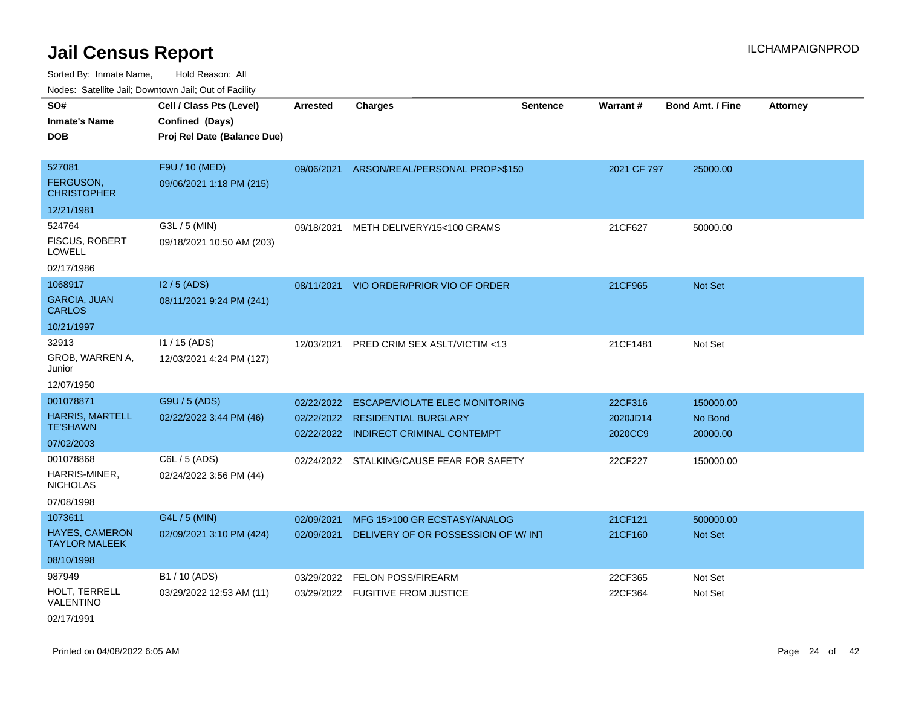| roaco. Catolino cali, Domntonn cali, Out of Facility |                             |                 |                                           |                 |             |                         |                 |
|------------------------------------------------------|-----------------------------|-----------------|-------------------------------------------|-----------------|-------------|-------------------------|-----------------|
| SO#                                                  | Cell / Class Pts (Level)    | <b>Arrested</b> | <b>Charges</b>                            | <b>Sentence</b> | Warrant#    | <b>Bond Amt. / Fine</b> | <b>Attorney</b> |
| <b>Inmate's Name</b>                                 | Confined (Days)             |                 |                                           |                 |             |                         |                 |
| <b>DOB</b>                                           | Proj Rel Date (Balance Due) |                 |                                           |                 |             |                         |                 |
|                                                      |                             |                 |                                           |                 |             |                         |                 |
| 527081                                               | F9U / 10 (MED)              |                 | 09/06/2021 ARSON/REAL/PERSONAL PROP>\$150 |                 | 2021 CF 797 | 25000.00                |                 |
| <b>FERGUSON,</b><br><b>CHRISTOPHER</b>               | 09/06/2021 1:18 PM (215)    |                 |                                           |                 |             |                         |                 |
| 12/21/1981                                           |                             |                 |                                           |                 |             |                         |                 |
| 524764                                               | G3L / 5 (MIN)               | 09/18/2021      | METH DELIVERY/15<100 GRAMS                |                 | 21CF627     | 50000.00                |                 |
| <b>FISCUS, ROBERT</b><br>LOWELL                      | 09/18/2021 10:50 AM (203)   |                 |                                           |                 |             |                         |                 |
| 02/17/1986                                           |                             |                 |                                           |                 |             |                         |                 |
| 1068917                                              | $12/5$ (ADS)                |                 | 08/11/2021 VIO ORDER/PRIOR VIO OF ORDER   |                 | 21CF965     | Not Set                 |                 |
| <b>GARCIA, JUAN</b><br><b>CARLOS</b>                 | 08/11/2021 9:24 PM (241)    |                 |                                           |                 |             |                         |                 |
| 10/21/1997                                           |                             |                 |                                           |                 |             |                         |                 |
| 32913                                                | $11/15$ (ADS)               | 12/03/2021      | <b>PRED CRIM SEX ASLT/VICTIM &lt;13</b>   |                 | 21CF1481    | Not Set                 |                 |
| GROB, WARREN A,<br>Junior                            | 12/03/2021 4:24 PM (127)    |                 |                                           |                 |             |                         |                 |
| 12/07/1950                                           |                             |                 |                                           |                 |             |                         |                 |
| 001078871                                            | G9U / 5 (ADS)               | 02/22/2022      | <b>ESCAPE/VIOLATE ELEC MONITORING</b>     |                 | 22CF316     | 150000.00               |                 |
| <b>HARRIS, MARTELL</b>                               | 02/22/2022 3:44 PM (46)     |                 | 02/22/2022 RESIDENTIAL BURGLARY           |                 | 2020JD14    | No Bond                 |                 |
| <b>TE'SHAWN</b>                                      |                             |                 | 02/22/2022 INDIRECT CRIMINAL CONTEMPT     |                 | 2020CC9     | 20000.00                |                 |
| 07/02/2003                                           |                             |                 |                                           |                 |             |                         |                 |
| 001078868                                            | C6L / 5 (ADS)               |                 | 02/24/2022 STALKING/CAUSE FEAR FOR SAFETY |                 | 22CF227     | 150000.00               |                 |
| HARRIS-MINER,<br><b>NICHOLAS</b>                     | 02/24/2022 3:56 PM (44)     |                 |                                           |                 |             |                         |                 |
| 07/08/1998                                           |                             |                 |                                           |                 |             |                         |                 |
| 1073611                                              | G4L / 5 (MIN)               | 02/09/2021      | MFG 15>100 GR ECSTASY/ANALOG              |                 | 21CF121     | 500000.00               |                 |
| HAYES, CAMERON<br><b>TAYLOR MALEEK</b>               | 02/09/2021 3:10 PM (424)    | 02/09/2021      | DELIVERY OF OR POSSESSION OF W/INT        |                 | 21CF160     | Not Set                 |                 |
| 08/10/1998                                           |                             |                 |                                           |                 |             |                         |                 |
| 987949                                               | B1 / 10 (ADS)               | 03/29/2022      | <b>FELON POSS/FIREARM</b>                 |                 | 22CF365     | Not Set                 |                 |
| HOLT, TERRELL<br>VALENTINO                           | 03/29/2022 12:53 AM (11)    |                 | 03/29/2022 FUGITIVE FROM JUSTICE          |                 | 22CF364     | Not Set                 |                 |
| 02/17/1991                                           |                             |                 |                                           |                 |             |                         |                 |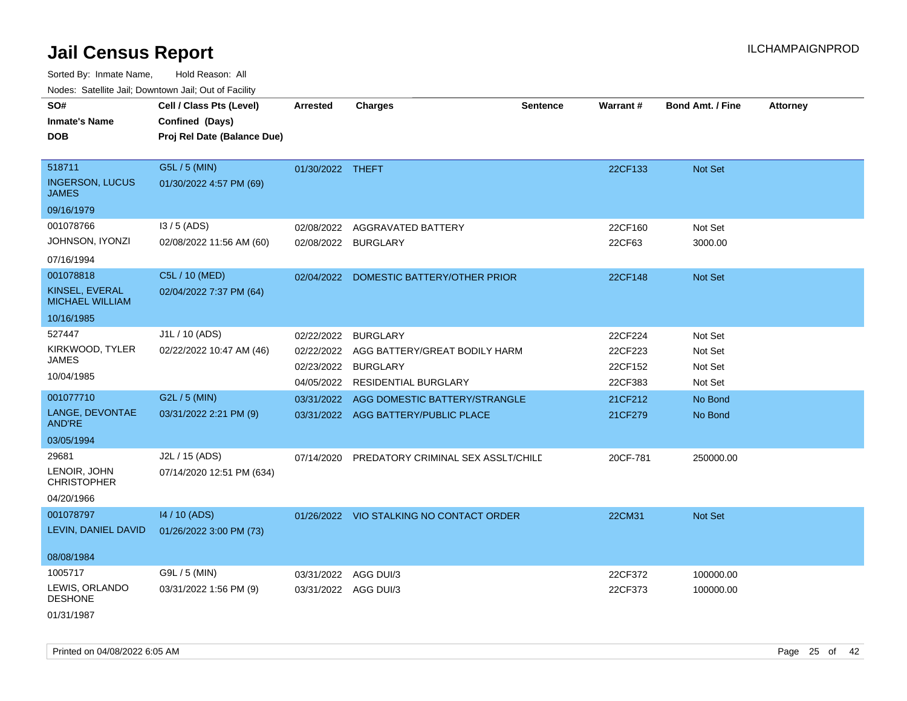Sorted By: Inmate Name, Hold Reason: All

Nodes: Satellite Jail; Downtown Jail; Out of Facility

| SO#                                      | Cell / Class Pts (Level)    | <b>Arrested</b>      | <b>Charges</b>                           | Sentence | Warrant# | <b>Bond Amt. / Fine</b> | <b>Attorney</b> |
|------------------------------------------|-----------------------------|----------------------|------------------------------------------|----------|----------|-------------------------|-----------------|
| <b>Inmate's Name</b>                     | Confined (Days)             |                      |                                          |          |          |                         |                 |
| <b>DOB</b>                               | Proj Rel Date (Balance Due) |                      |                                          |          |          |                         |                 |
|                                          |                             |                      |                                          |          |          |                         |                 |
| 518711                                   | G5L / 5 (MIN)               | 01/30/2022 THEFT     |                                          |          | 22CF133  | Not Set                 |                 |
| <b>INGERSON, LUCUS</b><br><b>JAMES</b>   | 01/30/2022 4:57 PM (69)     |                      |                                          |          |          |                         |                 |
| 09/16/1979                               |                             |                      |                                          |          |          |                         |                 |
| 001078766                                | $13/5$ (ADS)                | 02/08/2022           | AGGRAVATED BATTERY                       |          | 22CF160  | Not Set                 |                 |
| JOHNSON, IYONZI                          | 02/08/2022 11:56 AM (60)    | 02/08/2022 BURGLARY  |                                          |          | 22CF63   | 3000.00                 |                 |
| 07/16/1994                               |                             |                      |                                          |          |          |                         |                 |
| 001078818                                | C5L / 10 (MED)              |                      | 02/04/2022 DOMESTIC BATTERY/OTHER PRIOR  |          | 22CF148  | Not Set                 |                 |
| KINSEL, EVERAL<br><b>MICHAEL WILLIAM</b> | 02/04/2022 7:37 PM (64)     |                      |                                          |          |          |                         |                 |
| 10/16/1985                               |                             |                      |                                          |          |          |                         |                 |
| 527447                                   | J1L / 10 (ADS)              | 02/22/2022           | <b>BURGLARY</b>                          |          | 22CF224  | Not Set                 |                 |
| KIRKWOOD, TYLER                          | 02/22/2022 10:47 AM (46)    | 02/22/2022           | AGG BATTERY/GREAT BODILY HARM            |          | 22CF223  | Not Set                 |                 |
| JAMES                                    |                             | 02/23/2022           | <b>BURGLARY</b>                          |          | 22CF152  | Not Set                 |                 |
| 10/04/1985                               |                             |                      | 04/05/2022 RESIDENTIAL BURGLARY          |          | 22CF383  | Not Set                 |                 |
| 001077710                                | G2L / 5 (MIN)               | 03/31/2022           | AGG DOMESTIC BATTERY/STRANGLE            |          | 21CF212  | No Bond                 |                 |
| LANGE, DEVONTAE<br><b>AND'RE</b>         | 03/31/2022 2:21 PM (9)      |                      | 03/31/2022 AGG BATTERY/PUBLIC PLACE      |          | 21CF279  | No Bond                 |                 |
| 03/05/1994                               |                             |                      |                                          |          |          |                         |                 |
| 29681                                    | J2L / 15 (ADS)              | 07/14/2020           | PREDATORY CRIMINAL SEX ASSLT/CHILE       |          | 20CF-781 | 250000.00               |                 |
| LENOIR, JOHN<br><b>CHRISTOPHER</b>       | 07/14/2020 12:51 PM (634)   |                      |                                          |          |          |                         |                 |
| 04/20/1966                               |                             |                      |                                          |          |          |                         |                 |
| 001078797                                | 14 / 10 (ADS)               |                      | 01/26/2022 VIO STALKING NO CONTACT ORDER |          | 22CM31   | Not Set                 |                 |
| LEVIN, DANIEL DAVID                      | 01/26/2022 3:00 PM (73)     |                      |                                          |          |          |                         |                 |
| 08/08/1984                               |                             |                      |                                          |          |          |                         |                 |
| 1005717                                  | G9L / 5 (MIN)               | 03/31/2022           | AGG DUI/3                                |          | 22CF372  | 100000.00               |                 |
| LEWIS, ORLANDO<br><b>DESHONE</b>         | 03/31/2022 1:56 PM (9)      | 03/31/2022 AGG DUI/3 |                                          |          | 22CF373  | 100000.00               |                 |
| 01/31/1987                               |                             |                      |                                          |          |          |                         |                 |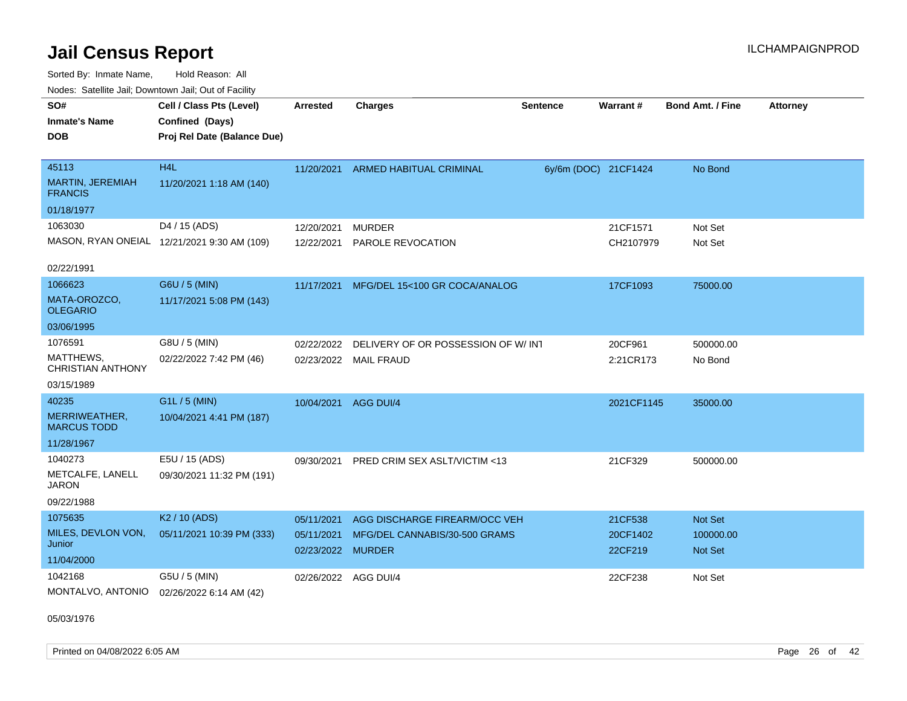Sorted By: Inmate Name, Hold Reason: All Nodes: Satellite Jail; Downtown Jail; Out of Facility

| SO#<br><b>Inmate's Name</b><br><b>DOB</b>                      | Cell / Class Pts (Level)<br>Confined (Days)<br>Proj Rel Date (Balance Due) | <b>Arrested</b>                               | <b>Charges</b>                                                 | <b>Sentence</b> | <b>Warrant#</b>                | <b>Bond Amt. / Fine</b>         | <b>Attorney</b> |
|----------------------------------------------------------------|----------------------------------------------------------------------------|-----------------------------------------------|----------------------------------------------------------------|-----------------|--------------------------------|---------------------------------|-----------------|
| 45113<br>MARTIN, JEREMIAH<br><b>FRANCIS</b>                    | H <sub>4</sub> L<br>11/20/2021 1:18 AM (140)                               | 11/20/2021                                    | ARMED HABITUAL CRIMINAL                                        |                 | 6y/6m (DOC) 21CF1424           | No Bond                         |                 |
| 01/18/1977                                                     |                                                                            |                                               |                                                                |                 |                                |                                 |                 |
| 1063030                                                        | D4 / 15 (ADS)<br>MASON, RYAN ONEIAL 12/21/2021 9:30 AM (109)               | 12/20/2021<br>12/22/2021                      | <b>MURDER</b><br>PAROLE REVOCATION                             |                 | 21CF1571<br>CH2107979          | Not Set<br>Not Set              |                 |
| 02/22/1991                                                     |                                                                            |                                               |                                                                |                 |                                |                                 |                 |
| 1066623<br>MATA-OROZCO,<br><b>OLEGARIO</b>                     | G6U / 5 (MIN)<br>11/17/2021 5:08 PM (143)                                  | 11/17/2021                                    | MFG/DEL 15<100 GR COCA/ANALOG                                  |                 | 17CF1093                       | 75000.00                        |                 |
| 03/06/1995                                                     |                                                                            |                                               |                                                                |                 |                                |                                 |                 |
| 1076591<br>MATTHEWS,<br><b>CHRISTIAN ANTHONY</b><br>03/15/1989 | G8U / 5 (MIN)<br>02/22/2022 7:42 PM (46)                                   | 02/22/2022                                    | DELIVERY OF OR POSSESSION OF W/INT<br>02/23/2022 MAIL FRAUD    |                 | 20CF961<br>2:21CR173           | 500000.00<br>No Bond            |                 |
| 40235<br>MERRIWEATHER,<br><b>MARCUS TODD</b><br>11/28/1967     | G1L / 5 (MIN)<br>10/04/2021 4:41 PM (187)                                  | 10/04/2021                                    | AGG DUI/4                                                      |                 | 2021CF1145                     | 35000.00                        |                 |
| 1040273<br>METCALFE, LANELL<br><b>JARON</b><br>09/22/1988      | E5U / 15 (ADS)<br>09/30/2021 11:32 PM (191)                                | 09/30/2021                                    | PRED CRIM SEX ASLT/VICTIM <13                                  |                 | 21CF329                        | 500000.00                       |                 |
| 1075635<br>MILES, DEVLON VON,<br>Junior<br>11/04/2000          | K <sub>2</sub> / 10 (ADS)<br>05/11/2021 10:39 PM (333)                     | 05/11/2021<br>05/11/2021<br>02/23/2022 MURDER | AGG DISCHARGE FIREARM/OCC VEH<br>MFG/DEL CANNABIS/30-500 GRAMS |                 | 21CF538<br>20CF1402<br>22CF219 | Not Set<br>100000.00<br>Not Set |                 |
| 1042168<br>MONTALVO, ANTONIO                                   | G5U / 5 (MIN)<br>02/26/2022 6:14 AM (42)                                   | 02/26/2022 AGG DUI/4                          |                                                                |                 | 22CF238                        | Not Set                         |                 |

05/03/1976

Printed on 04/08/2022 6:05 AM Page 26 of 42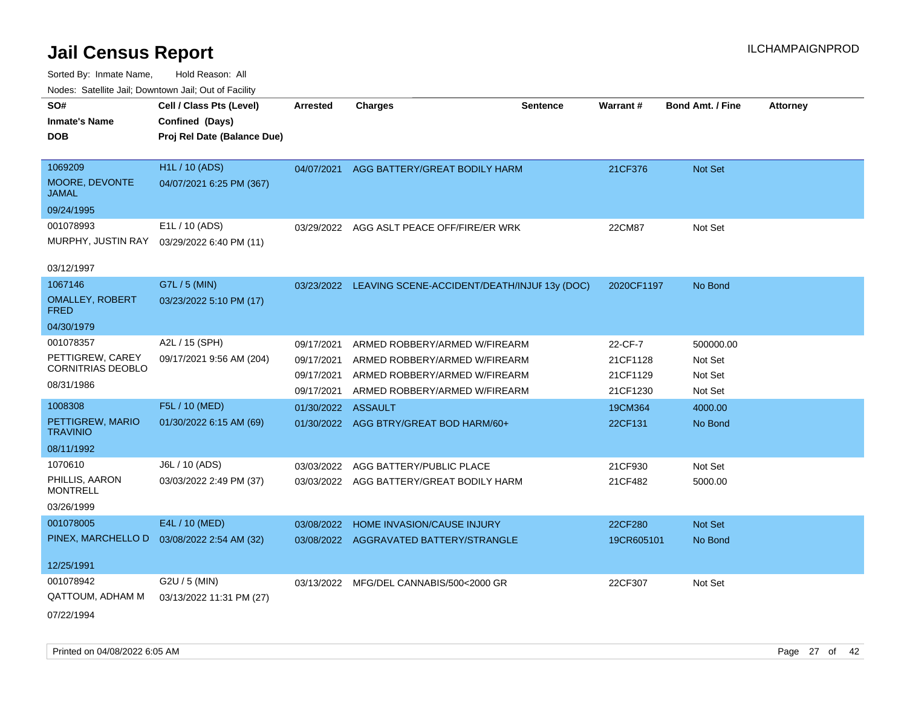| SO#                                   | Cell / Class Pts (Level)    | <b>Arrested</b> | <b>Charges</b>                                          | <b>Sentence</b> | Warrant#   | <b>Bond Amt. / Fine</b> | <b>Attorney</b> |
|---------------------------------------|-----------------------------|-----------------|---------------------------------------------------------|-----------------|------------|-------------------------|-----------------|
| <b>Inmate's Name</b>                  | Confined (Days)             |                 |                                                         |                 |            |                         |                 |
| DOB                                   | Proj Rel Date (Balance Due) |                 |                                                         |                 |            |                         |                 |
| 1069209                               | <b>H1L / 10 (ADS)</b>       | 04/07/2021      | AGG BATTERY/GREAT BODILY HARM                           |                 | 21CF376    | <b>Not Set</b>          |                 |
| MOORE, DEVONTE<br><b>JAMAL</b>        | 04/07/2021 6:25 PM (367)    |                 |                                                         |                 |            |                         |                 |
| 09/24/1995                            |                             |                 |                                                         |                 |            |                         |                 |
| 001078993                             | E1L / 10 (ADS)              | 03/29/2022      | AGG ASLT PEACE OFF/FIRE/ER WRK                          |                 | 22CM87     | Not Set                 |                 |
| MURPHY, JUSTIN RAY                    | 03/29/2022 6:40 PM (11)     |                 |                                                         |                 |            |                         |                 |
| 03/12/1997                            |                             |                 |                                                         |                 |            |                         |                 |
| 1067146                               | G7L / 5 (MIN)               |                 | 03/23/2022 LEAVING SCENE-ACCIDENT/DEATH/INJUF 13y (DOC) |                 | 2020CF1197 | No Bond                 |                 |
| <b>OMALLEY, ROBERT</b><br><b>FRED</b> | 03/23/2022 5:10 PM (17)     |                 |                                                         |                 |            |                         |                 |
| 04/30/1979                            |                             |                 |                                                         |                 |            |                         |                 |
| 001078357                             | A2L / 15 (SPH)              | 09/17/2021      | ARMED ROBBERY/ARMED W/FIREARM                           |                 | 22-CF-7    | 500000.00               |                 |
| PETTIGREW, CAREY                      | 09/17/2021 9:56 AM (204)    | 09/17/2021      | ARMED ROBBERY/ARMED W/FIREARM                           |                 | 21CF1128   | Not Set                 |                 |
| CORNITRIAS DEOBLO                     |                             | 09/17/2021      | ARMED ROBBERY/ARMED W/FIREARM                           |                 | 21CF1129   | Not Set                 |                 |
| 08/31/1986                            |                             | 09/17/2021      | ARMED ROBBERY/ARMED W/FIREARM                           |                 | 21CF1230   | Not Set                 |                 |
| 1008308                               | F5L / 10 (MED)              | 01/30/2022      | <b>ASSAULT</b>                                          |                 | 19CM364    | 4000.00                 |                 |
| PETTIGREW, MARIO<br><b>TRAVINIO</b>   | 01/30/2022 6:15 AM (69)     |                 | 01/30/2022 AGG BTRY/GREAT BOD HARM/60+                  |                 | 22CF131    | No Bond                 |                 |
| 08/11/1992                            |                             |                 |                                                         |                 |            |                         |                 |
| 1070610                               | J6L / 10 (ADS)              | 03/03/2022      | AGG BATTERY/PUBLIC PLACE                                |                 | 21CF930    | Not Set                 |                 |
| PHILLIS, AARON<br><b>MONTRELL</b>     | 03/03/2022 2:49 PM (37)     |                 | 03/03/2022 AGG BATTERY/GREAT BODILY HARM                |                 | 21CF482    | 5000.00                 |                 |
| 03/26/1999                            |                             |                 |                                                         |                 |            |                         |                 |
| 001078005                             | E4L / 10 (MED)              | 03/08/2022      | HOME INVASION/CAUSE INJURY                              |                 | 22CF280    | Not Set                 |                 |
| PINEX, MARCHELLO D                    | 03/08/2022 2:54 AM (32)     |                 | 03/08/2022 AGGRAVATED BATTERY/STRANGLE                  |                 | 19CR605101 | No Bond                 |                 |
| 12/25/1991                            |                             |                 |                                                         |                 |            |                         |                 |
| 001078942                             |                             |                 |                                                         |                 |            |                         |                 |
|                                       | G2U / 5 (MIN)               | 03/13/2022      | MFG/DEL CANNABIS/500<2000 GR                            |                 | 22CF307    | Not Set                 |                 |
| QATTOUM, ADHAM M                      | 03/13/2022 11:31 PM (27)    |                 |                                                         |                 |            |                         |                 |
| 07/22/1994                            |                             |                 |                                                         |                 |            |                         |                 |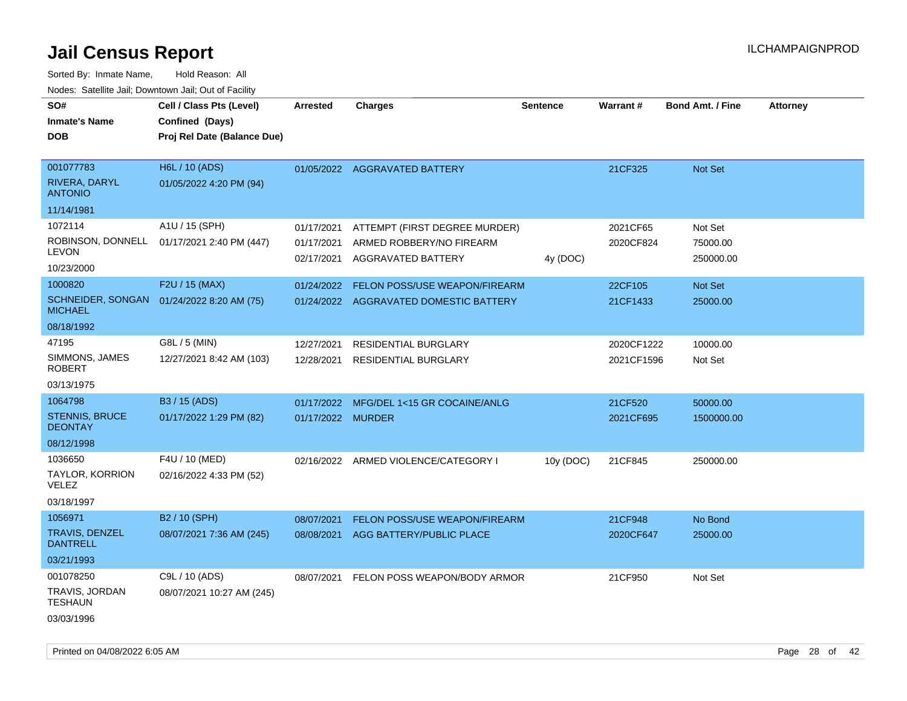| rougs. Calcing Jan, Downtown Jan, Out of Facility |                                             |                          |                                                |                 |                 |                         |                 |
|---------------------------------------------------|---------------------------------------------|--------------------------|------------------------------------------------|-----------------|-----------------|-------------------------|-----------------|
| SO#<br><b>Inmate's Name</b>                       | Cell / Class Pts (Level)<br>Confined (Days) | <b>Arrested</b>          | <b>Charges</b>                                 | <b>Sentence</b> | <b>Warrant#</b> | <b>Bond Amt. / Fine</b> | <b>Attorney</b> |
| <b>DOB</b>                                        | Proj Rel Date (Balance Due)                 |                          |                                                |                 |                 |                         |                 |
| 001077783                                         | H6L / 10 (ADS)                              |                          | 01/05/2022 AGGRAVATED BATTERY                  |                 | 21CF325         | Not Set                 |                 |
| RIVERA, DARYL<br><b>ANTONIO</b>                   | 01/05/2022 4:20 PM (94)                     |                          |                                                |                 |                 |                         |                 |
| 11/14/1981                                        |                                             |                          |                                                |                 |                 |                         |                 |
| 1072114                                           | A1U / 15 (SPH)                              | 01/17/2021               | ATTEMPT (FIRST DEGREE MURDER)                  |                 | 2021CF65        | Not Set                 |                 |
| LEVON                                             | ROBINSON, DONNELL 01/17/2021 2:40 PM (447)  | 01/17/2021<br>02/17/2021 | ARMED ROBBERY/NO FIREARM<br>AGGRAVATED BATTERY | 4y (DOC)        | 2020CF824       | 75000.00<br>250000.00   |                 |
| 10/23/2000                                        |                                             |                          |                                                |                 |                 |                         |                 |
| 1000820                                           | F2U / 15 (MAX)                              | 01/24/2022               | FELON POSS/USE WEAPON/FIREARM                  |                 | 22CF105         | Not Set                 |                 |
| <b>MICHAEL</b>                                    | SCHNEIDER, SONGAN 01/24/2022 8:20 AM (75)   |                          | 01/24/2022 AGGRAVATED DOMESTIC BATTERY         |                 | 21CF1433        | 25000.00                |                 |
| 08/18/1992                                        |                                             |                          |                                                |                 |                 |                         |                 |
| 47195                                             | G8L / 5 (MIN)                               | 12/27/2021               | <b>RESIDENTIAL BURGLARY</b>                    |                 | 2020CF1222      | 10000.00                |                 |
| SIMMONS, JAMES<br>ROBERT                          | 12/27/2021 8:42 AM (103)                    | 12/28/2021               | <b>RESIDENTIAL BURGLARY</b>                    |                 | 2021CF1596      | Not Set                 |                 |
| 03/13/1975                                        |                                             |                          |                                                |                 |                 |                         |                 |
| 1064798                                           | B3 / 15 (ADS)                               | 01/17/2022               | MFG/DEL 1<15 GR COCAINE/ANLG                   |                 | 21CF520         | 50000.00                |                 |
| STENNIS, BRUCE<br><b>DEONTAY</b>                  | 01/17/2022 1:29 PM (82)                     | 01/17/2022 MURDER        |                                                |                 | 2021CF695       | 1500000.00              |                 |
| 08/12/1998                                        |                                             |                          |                                                |                 |                 |                         |                 |
| 1036650                                           | F4U / 10 (MED)                              |                          | 02/16/2022 ARMED VIOLENCE/CATEGORY I           | 10y (DOC)       | 21CF845         | 250000.00               |                 |
| <b>TAYLOR, KORRION</b><br>VELEZ                   | 02/16/2022 4:33 PM (52)                     |                          |                                                |                 |                 |                         |                 |
| 03/18/1997                                        |                                             |                          |                                                |                 |                 |                         |                 |
| 1056971                                           | B2 / 10 (SPH)                               | 08/07/2021               | FELON POSS/USE WEAPON/FIREARM                  |                 | 21CF948         | No Bond                 |                 |
| <b>TRAVIS, DENZEL</b><br><b>DANTRELL</b>          | 08/07/2021 7:36 AM (245)                    | 08/08/2021               | AGG BATTERY/PUBLIC PLACE                       |                 | 2020CF647       | 25000.00                |                 |
| 03/21/1993                                        |                                             |                          |                                                |                 |                 |                         |                 |
| 001078250                                         | C9L / 10 (ADS)                              | 08/07/2021               | FELON POSS WEAPON/BODY ARMOR                   |                 | 21CF950         | Not Set                 |                 |
| TRAVIS, JORDAN<br>TESHAUN                         | 08/07/2021 10:27 AM (245)                   |                          |                                                |                 |                 |                         |                 |
| 03/03/1996                                        |                                             |                          |                                                |                 |                 |                         |                 |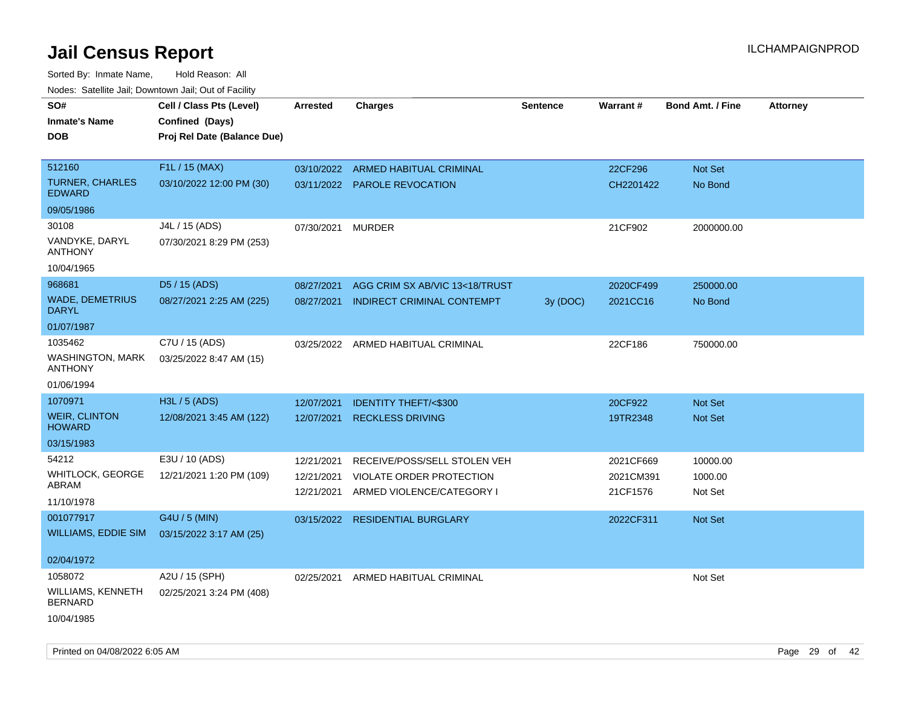| roaco. Catolino cali, Domntonn cali, Out of Facility |                             |            |                                 |                 |           |                         |                 |
|------------------------------------------------------|-----------------------------|------------|---------------------------------|-----------------|-----------|-------------------------|-----------------|
| SO#                                                  | Cell / Class Pts (Level)    | Arrested   | <b>Charges</b>                  | <b>Sentence</b> | Warrant#  | <b>Bond Amt. / Fine</b> | <b>Attorney</b> |
| <b>Inmate's Name</b>                                 | Confined (Days)             |            |                                 |                 |           |                         |                 |
| <b>DOB</b>                                           | Proj Rel Date (Balance Due) |            |                                 |                 |           |                         |                 |
|                                                      |                             |            |                                 |                 |           |                         |                 |
| 512160                                               | F1L / 15 (MAX)              | 03/10/2022 | ARMED HABITUAL CRIMINAL         |                 | 22CF296   | Not Set                 |                 |
| <b>TURNER, CHARLES</b><br><b>EDWARD</b>              | 03/10/2022 12:00 PM (30)    |            | 03/11/2022 PAROLE REVOCATION    |                 | CH2201422 | No Bond                 |                 |
| 09/05/1986                                           |                             |            |                                 |                 |           |                         |                 |
| 30108                                                | J4L / 15 (ADS)              | 07/30/2021 | <b>MURDER</b>                   |                 | 21CF902   | 2000000.00              |                 |
| VANDYKE, DARYL<br><b>ANTHONY</b>                     | 07/30/2021 8:29 PM (253)    |            |                                 |                 |           |                         |                 |
| 10/04/1965                                           |                             |            |                                 |                 |           |                         |                 |
| 968681                                               | D5 / 15 (ADS)               | 08/27/2021 | AGG CRIM SX AB/VIC 13<18/TRUST  |                 | 2020CF499 | 250000.00               |                 |
| <b>WADE, DEMETRIUS</b><br><b>DARYL</b>               | 08/27/2021 2:25 AM (225)    | 08/27/2021 | INDIRECT CRIMINAL CONTEMPT      | 3y (DOC)        | 2021CC16  | No Bond                 |                 |
| 01/07/1987                                           |                             |            |                                 |                 |           |                         |                 |
| 1035462                                              | C7U / 15 (ADS)              | 03/25/2022 | ARMED HABITUAL CRIMINAL         |                 | 22CF186   | 750000.00               |                 |
| <b>WASHINGTON, MARK</b><br><b>ANTHONY</b>            | 03/25/2022 8:47 AM (15)     |            |                                 |                 |           |                         |                 |
| 01/06/1994                                           |                             |            |                                 |                 |           |                         |                 |
| 1070971                                              | H3L / 5 (ADS)               | 12/07/2021 | <b>IDENTITY THEFT/&lt;\$300</b> |                 | 20CF922   | <b>Not Set</b>          |                 |
| <b>WEIR, CLINTON</b><br><b>HOWARD</b>                | 12/08/2021 3:45 AM (122)    | 12/07/2021 | <b>RECKLESS DRIVING</b>         |                 | 19TR2348  | Not Set                 |                 |
| 03/15/1983                                           |                             |            |                                 |                 |           |                         |                 |
| 54212                                                | E3U / 10 (ADS)              | 12/21/2021 | RECEIVE/POSS/SELL STOLEN VEH    |                 | 2021CF669 | 10000.00                |                 |
| WHITLOCK, GEORGE                                     | 12/21/2021 1:20 PM (109)    | 12/21/2021 | VIOLATE ORDER PROTECTION        |                 | 2021CM391 | 1000.00                 |                 |
| ABRAM                                                |                             | 12/21/2021 | ARMED VIOLENCE/CATEGORY I       |                 | 21CF1576  | Not Set                 |                 |
| 11/10/1978                                           |                             |            |                                 |                 |           |                         |                 |
| 001077917                                            | G4U / 5 (MIN)               | 03/15/2022 | <b>RESIDENTIAL BURGLARY</b>     |                 | 2022CF311 | <b>Not Set</b>          |                 |
| WILLIAMS, EDDIE SIM                                  | 03/15/2022 3:17 AM (25)     |            |                                 |                 |           |                         |                 |
|                                                      |                             |            |                                 |                 |           |                         |                 |
| 02/04/1972                                           |                             |            |                                 |                 |           |                         |                 |
| 1058072                                              | A2U / 15 (SPH)              | 02/25/2021 | ARMED HABITUAL CRIMINAL         |                 |           | Not Set                 |                 |
| WILLIAMS, KENNETH<br><b>BERNARD</b>                  | 02/25/2021 3:24 PM (408)    |            |                                 |                 |           |                         |                 |
| 10/04/1985                                           |                             |            |                                 |                 |           |                         |                 |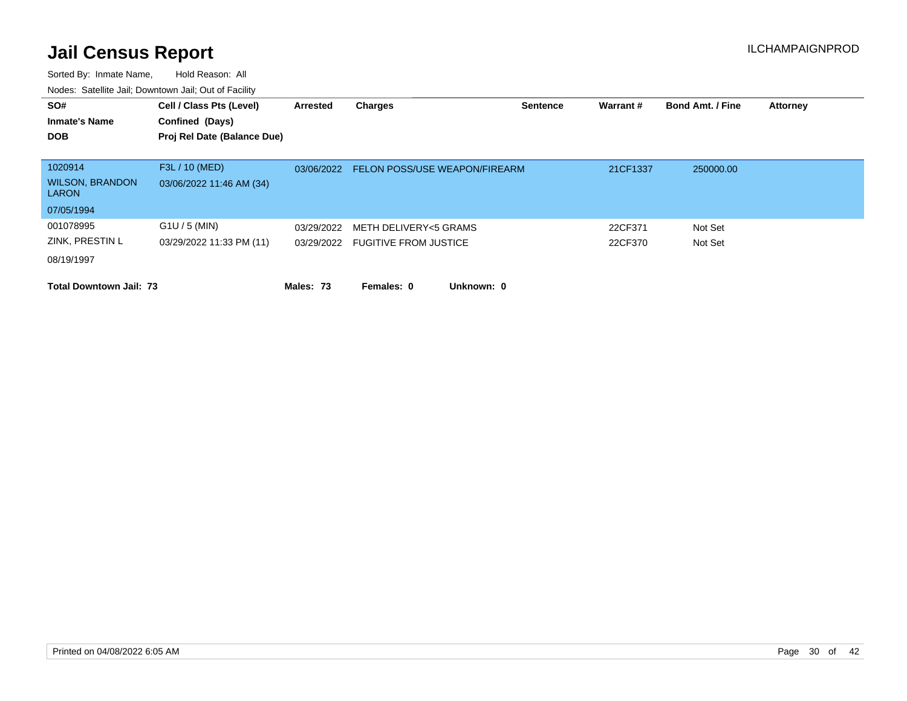| SO#<br><b>Inmate's Name</b>            | Cell / Class Pts (Level)<br>Confined (Days) | Arrested   | <b>Charges</b>                   | <b>Sentence</b> | Warrant# | <b>Bond Amt. / Fine</b> | <b>Attorney</b> |
|----------------------------------------|---------------------------------------------|------------|----------------------------------|-----------------|----------|-------------------------|-----------------|
| <b>DOB</b>                             | Proj Rel Date (Balance Due)                 |            |                                  |                 |          |                         |                 |
| 1020914                                | F3L / 10 (MED)                              | 03/06/2022 | FELON POSS/USE WEAPON/FIREARM    |                 | 21CF1337 | 250000.00               |                 |
| <b>WILSON, BRANDON</b><br><b>LARON</b> | 03/06/2022 11:46 AM (34)                    |            |                                  |                 |          |                         |                 |
| 07/05/1994                             |                                             |            |                                  |                 |          |                         |                 |
| 001078995                              | $G1U / 5$ (MIN)                             | 03/29/2022 | METH DELIVERY<5 GRAMS            |                 | 22CF371  | Not Set                 |                 |
| ZINK, PRESTIN L                        | 03/29/2022 11:33 PM (11)                    |            | 03/29/2022 FUGITIVE FROM JUSTICE |                 | 22CF370  | Not Set                 |                 |
| 08/19/1997                             |                                             |            |                                  |                 |          |                         |                 |
| <b>Total Downtown Jail: 73</b>         |                                             | Males: 73  | Unknown: 0<br>Females: 0         |                 |          |                         |                 |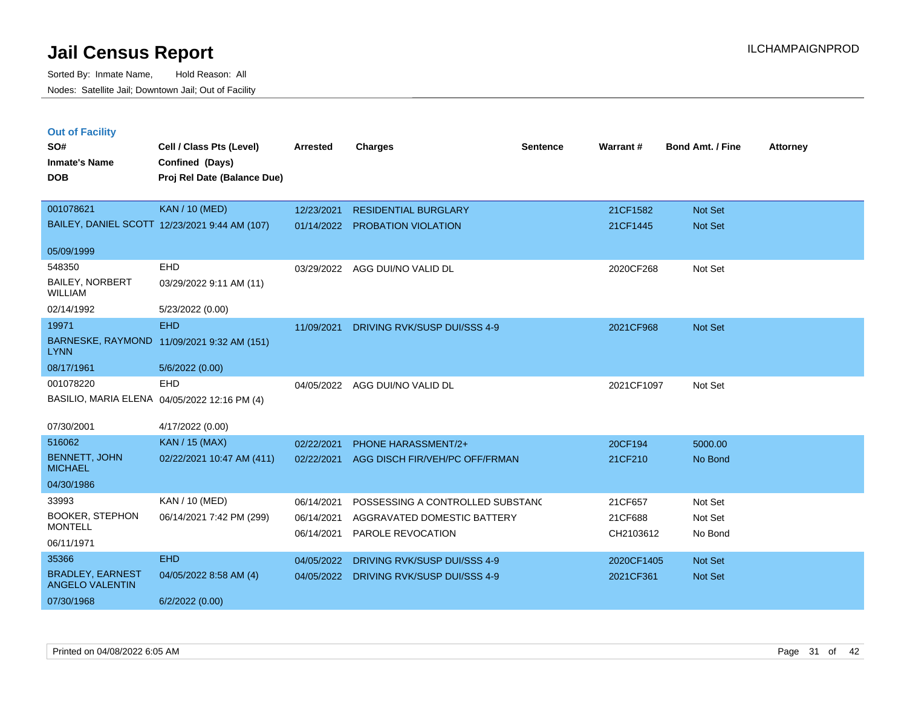|  | <b>Out of Facility</b> |  |
|--|------------------------|--|
|--|------------------------|--|

| SO#                                               | Cell / Class Pts (Level)                      | <b>Arrested</b> | <b>Charges</b>                      | <b>Sentence</b> | Warrant #  | <b>Bond Amt. / Fine</b> | <b>Attorney</b> |
|---------------------------------------------------|-----------------------------------------------|-----------------|-------------------------------------|-----------------|------------|-------------------------|-----------------|
| <b>Inmate's Name</b>                              | Confined (Days)                               |                 |                                     |                 |            |                         |                 |
| <b>DOB</b>                                        | Proj Rel Date (Balance Due)                   |                 |                                     |                 |            |                         |                 |
| 001078621                                         | <b>KAN / 10 (MED)</b>                         | 12/23/2021      | <b>RESIDENTIAL BURGLARY</b>         |                 | 21CF1582   | Not Set                 |                 |
|                                                   | BAILEY, DANIEL SCOTT 12/23/2021 9:44 AM (107) |                 | 01/14/2022 PROBATION VIOLATION      |                 | 21CF1445   | Not Set                 |                 |
| 05/09/1999                                        |                                               |                 |                                     |                 |            |                         |                 |
| 548350                                            | <b>EHD</b>                                    | 03/29/2022      | AGG DUI/NO VALID DL                 |                 | 2020CF268  | Not Set                 |                 |
| <b>BAILEY, NORBERT</b><br><b>WILLIAM</b>          | 03/29/2022 9:11 AM (11)                       |                 |                                     |                 |            |                         |                 |
| 02/14/1992                                        | 5/23/2022 (0.00)                              |                 |                                     |                 |            |                         |                 |
| 19971                                             | <b>EHD</b>                                    | 11/09/2021      | <b>DRIVING RVK/SUSP DUI/SSS 4-9</b> |                 | 2021CF968  | Not Set                 |                 |
| <b>LYNN</b>                                       | BARNESKE, RAYMOND 11/09/2021 9:32 AM (151)    |                 |                                     |                 |            |                         |                 |
| 08/17/1961                                        | 5/6/2022 (0.00)                               |                 |                                     |                 |            |                         |                 |
| 001078220                                         | <b>EHD</b>                                    |                 | 04/05/2022 AGG DUI/NO VALID DL      |                 | 2021CF1097 | Not Set                 |                 |
|                                                   | BASILIO, MARIA ELENA 04/05/2022 12:16 PM (4)  |                 |                                     |                 |            |                         |                 |
| 07/30/2001                                        | 4/17/2022 (0.00)                              |                 |                                     |                 |            |                         |                 |
| 516062                                            | <b>KAN / 15 (MAX)</b>                         | 02/22/2021      | PHONE HARASSMENT/2+                 |                 | 20CF194    | 5000.00                 |                 |
| <b>BENNETT, JOHN</b><br><b>MICHAEL</b>            | 02/22/2021 10:47 AM (411)                     | 02/22/2021      | AGG DISCH FIR/VEH/PC OFF/FRMAN      |                 | 21CF210    | No Bond                 |                 |
| 04/30/1986                                        |                                               |                 |                                     |                 |            |                         |                 |
| 33993                                             | KAN / 10 (MED)                                | 06/14/2021      | POSSESSING A CONTROLLED SUBSTANC    |                 | 21CF657    | Not Set                 |                 |
| <b>BOOKER, STEPHON</b><br><b>MONTELL</b>          | 06/14/2021 7:42 PM (299)                      | 06/14/2021      | AGGRAVATED DOMESTIC BATTERY         |                 | 21CF688    | Not Set                 |                 |
| 06/11/1971                                        |                                               |                 | 06/14/2021 PAROLE REVOCATION        |                 | CH2103612  | No Bond                 |                 |
| 35366                                             | <b>EHD</b>                                    | 04/05/2022      | DRIVING RVK/SUSP DUI/SSS 4-9        |                 | 2020CF1405 | Not Set                 |                 |
| <b>BRADLEY, EARNEST</b><br><b>ANGELO VALENTIN</b> | 04/05/2022 8:58 AM (4)                        | 04/05/2022      | DRIVING RVK/SUSP DUI/SSS 4-9        |                 | 2021CF361  | Not Set                 |                 |
| 07/30/1968                                        | 6/2/2022(0.00)                                |                 |                                     |                 |            |                         |                 |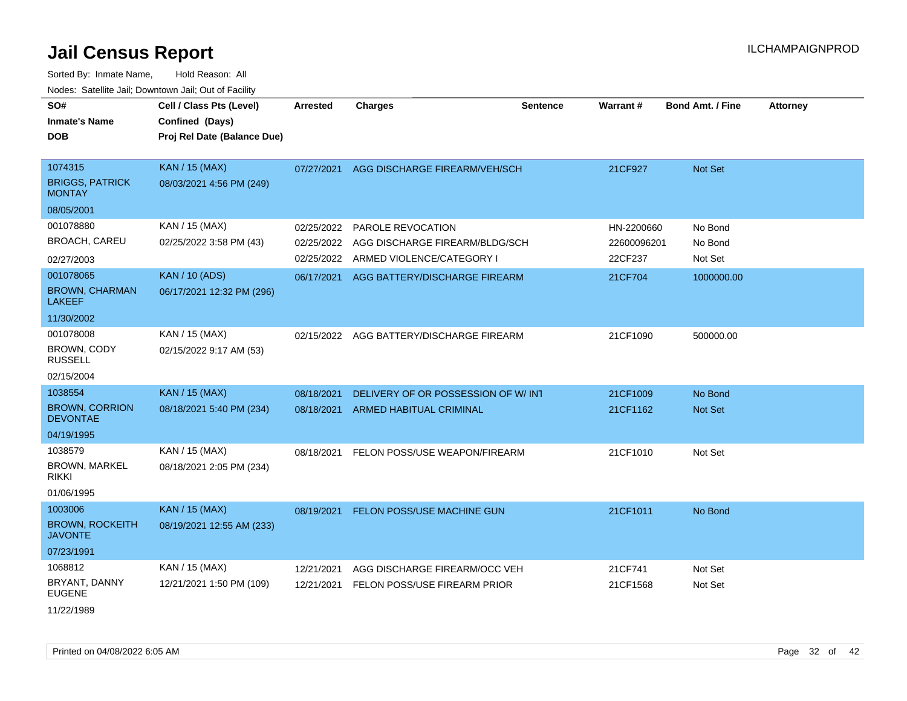| SO#<br><b>Inmate's Name</b><br>DOB                                | Cell / Class Pts (Level)<br>Confined (Days)<br>Proj Rel Date (Balance Due) | <b>Arrested</b>                        | <b>Charges</b>                                                                   | <b>Sentence</b> | Warrant#                             | Bond Amt. / Fine              | <b>Attorney</b> |
|-------------------------------------------------------------------|----------------------------------------------------------------------------|----------------------------------------|----------------------------------------------------------------------------------|-----------------|--------------------------------------|-------------------------------|-----------------|
| 1074315<br><b>BRIGGS, PATRICK</b><br><b>MONTAY</b>                | <b>KAN / 15 (MAX)</b><br>08/03/2021 4:56 PM (249)                          | 07/27/2021                             | AGG DISCHARGE FIREARM/VEH/SCH                                                    |                 | 21CF927                              | Not Set                       |                 |
| 08/05/2001                                                        |                                                                            |                                        |                                                                                  |                 |                                      |                               |                 |
| 001078880<br><b>BROACH, CAREU</b>                                 | KAN / 15 (MAX)<br>02/25/2022 3:58 PM (43)                                  | 02/25/2022<br>02/25/2022<br>02/25/2022 | PAROLE REVOCATION<br>AGG DISCHARGE FIREARM/BLDG/SCH<br>ARMED VIOLENCE/CATEGORY I |                 | HN-2200660<br>22600096201<br>22CF237 | No Bond<br>No Bond<br>Not Set |                 |
| 02/27/2003<br>001078065<br><b>BROWN, CHARMAN</b><br><b>LAKEEF</b> | <b>KAN / 10 (ADS)</b><br>06/17/2021 12:32 PM (296)                         | 06/17/2021                             | AGG BATTERY/DISCHARGE FIREARM                                                    |                 | 21CF704                              | 1000000.00                    |                 |
| 11/30/2002                                                        |                                                                            |                                        |                                                                                  |                 |                                      |                               |                 |
| 001078008<br><b>BROWN, CODY</b><br><b>RUSSELL</b>                 | KAN / 15 (MAX)<br>02/15/2022 9:17 AM (53)                                  | 02/15/2022                             | AGG BATTERY/DISCHARGE FIREARM                                                    |                 | 21CF1090                             | 500000.00                     |                 |
| 02/15/2004<br>1038554                                             |                                                                            |                                        |                                                                                  |                 |                                      |                               |                 |
| <b>BROWN, CORRION</b><br><b>DEVONTAE</b><br>04/19/1995            | KAN / 15 (MAX)<br>08/18/2021 5:40 PM (234)                                 | 08/18/2021<br>08/18/2021               | DELIVERY OF OR POSSESSION OF W/INT<br>ARMED HABITUAL CRIMINAL                    |                 | 21CF1009<br>21CF1162                 | No Bond<br><b>Not Set</b>     |                 |
| 1038579                                                           |                                                                            |                                        |                                                                                  |                 |                                      |                               |                 |
| BROWN, MARKEL<br>rikki                                            | KAN / 15 (MAX)<br>08/18/2021 2:05 PM (234)                                 | 08/18/2021                             | FELON POSS/USE WEAPON/FIREARM                                                    |                 | 21CF1010                             | Not Set                       |                 |
| 01/06/1995                                                        |                                                                            |                                        |                                                                                  |                 |                                      |                               |                 |
| 1003006<br><b>BROWN, ROCKEITH</b><br><b>JAVONTE</b>               | <b>KAN / 15 (MAX)</b><br>08/19/2021 12:55 AM (233)                         | 08/19/2021                             | FELON POSS/USE MACHINE GUN                                                       |                 | 21CF1011                             | No Bond                       |                 |
| 07/23/1991                                                        |                                                                            |                                        |                                                                                  |                 |                                      |                               |                 |
| 1068812                                                           | KAN / 15 (MAX)                                                             | 12/21/2021                             | AGG DISCHARGE FIREARM/OCC VEH                                                    |                 | 21CF741                              | Not Set                       |                 |
| BRYANT, DANNY<br><b>EUGENE</b><br>11/22/1989                      | 12/21/2021 1:50 PM (109)                                                   | 12/21/2021                             | FELON POSS/USE FIREARM PRIOR                                                     |                 | 21CF1568                             | Not Set                       |                 |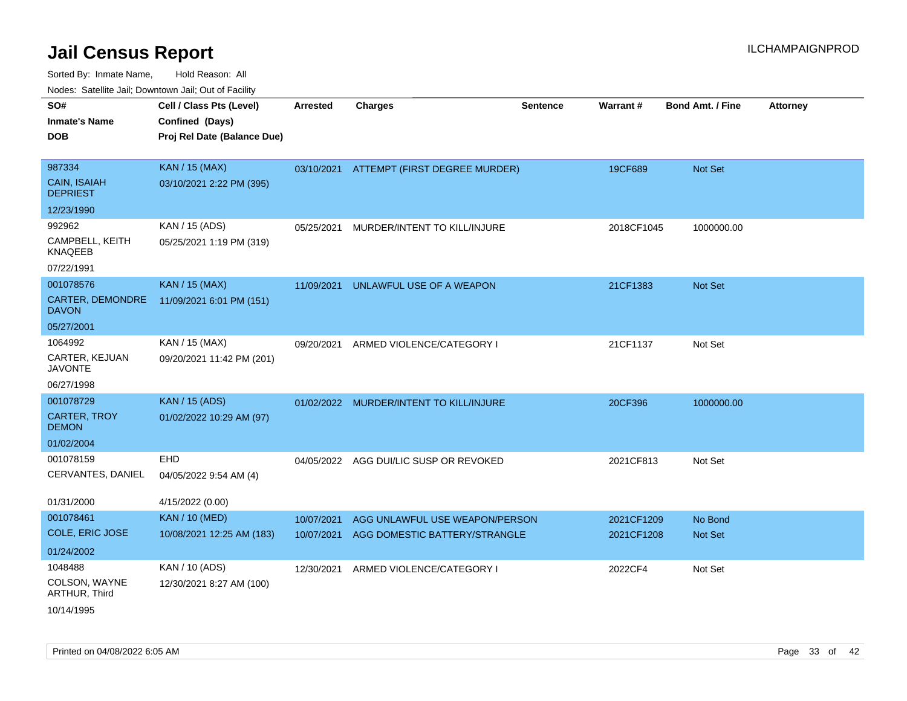| 110a00. 0atomto 0an, Domntonn 0an, 0at 011 aont, |                                                                            |                 |                                |                 |            |                         |                 |
|--------------------------------------------------|----------------------------------------------------------------------------|-----------------|--------------------------------|-----------------|------------|-------------------------|-----------------|
| SO#<br><b>Inmate's Name</b><br><b>DOB</b>        | Cell / Class Pts (Level)<br>Confined (Days)<br>Proj Rel Date (Balance Due) | <b>Arrested</b> | <b>Charges</b>                 | <b>Sentence</b> | Warrant#   | <b>Bond Amt. / Fine</b> | <b>Attorney</b> |
|                                                  |                                                                            |                 |                                |                 |            |                         |                 |
| 987334                                           | <b>KAN / 15 (MAX)</b>                                                      | 03/10/2021      | ATTEMPT (FIRST DEGREE MURDER)  |                 | 19CF689    | <b>Not Set</b>          |                 |
| <b>CAIN, ISAIAH</b><br><b>DEPRIEST</b>           | 03/10/2021 2:22 PM (395)                                                   |                 |                                |                 |            |                         |                 |
| 12/23/1990                                       |                                                                            |                 |                                |                 |            |                         |                 |
| 992962                                           | KAN / 15 (ADS)                                                             | 05/25/2021      | MURDER/INTENT TO KILL/INJURE   |                 | 2018CF1045 | 1000000.00              |                 |
| CAMPBELL, KEITH<br>KNAQEEB                       | 05/25/2021 1:19 PM (319)                                                   |                 |                                |                 |            |                         |                 |
| 07/22/1991                                       |                                                                            |                 |                                |                 |            |                         |                 |
| 001078576                                        | <b>KAN / 15 (MAX)</b>                                                      | 11/09/2021      | UNLAWFUL USE OF A WEAPON       |                 | 21CF1383   | Not Set                 |                 |
| CARTER, DEMONDRE<br><b>DAVON</b>                 | 11/09/2021 6:01 PM (151)                                                   |                 |                                |                 |            |                         |                 |
| 05/27/2001                                       |                                                                            |                 |                                |                 |            |                         |                 |
| 1064992                                          | KAN / 15 (MAX)                                                             | 09/20/2021      | ARMED VIOLENCE/CATEGORY I      |                 | 21CF1137   | Not Set                 |                 |
| CARTER, KEJUAN<br><b>JAVONTE</b>                 | 09/20/2021 11:42 PM (201)                                                  |                 |                                |                 |            |                         |                 |
| 06/27/1998                                       |                                                                            |                 |                                |                 |            |                         |                 |
| 001078729                                        | <b>KAN / 15 (ADS)</b>                                                      | 01/02/2022      | MURDER/INTENT TO KILL/INJURE   |                 | 20CF396    | 1000000.00              |                 |
| <b>CARTER, TROY</b><br><b>DEMON</b>              | 01/02/2022 10:29 AM (97)                                                   |                 |                                |                 |            |                         |                 |
| 01/02/2004                                       |                                                                            |                 |                                |                 |            |                         |                 |
| 001078159                                        | EHD                                                                        | 04/05/2022      | AGG DUI/LIC SUSP OR REVOKED    |                 | 2021CF813  | Not Set                 |                 |
| CERVANTES, DANIEL                                | 04/05/2022 9:54 AM (4)                                                     |                 |                                |                 |            |                         |                 |
| 01/31/2000                                       | 4/15/2022 (0.00)                                                           |                 |                                |                 |            |                         |                 |
| 001078461                                        | <b>KAN / 10 (MED)</b>                                                      | 10/07/2021      | AGG UNLAWFUL USE WEAPON/PERSON |                 | 2021CF1209 | No Bond                 |                 |
| <b>COLE, ERIC JOSE</b>                           | 10/08/2021 12:25 AM (183)                                                  | 10/07/2021      | AGG DOMESTIC BATTERY/STRANGLE  |                 | 2021CF1208 | <b>Not Set</b>          |                 |
| 01/24/2002                                       |                                                                            |                 |                                |                 |            |                         |                 |
| 1048488                                          | KAN / 10 (ADS)                                                             | 12/30/2021      | ARMED VIOLENCE/CATEGORY I      |                 | 2022CF4    | Not Set                 |                 |
| COLSON, WAYNE<br>ARTHUR, Third                   | 12/30/2021 8:27 AM (100)                                                   |                 |                                |                 |            |                         |                 |
| 10/14/1995                                       |                                                                            |                 |                                |                 |            |                         |                 |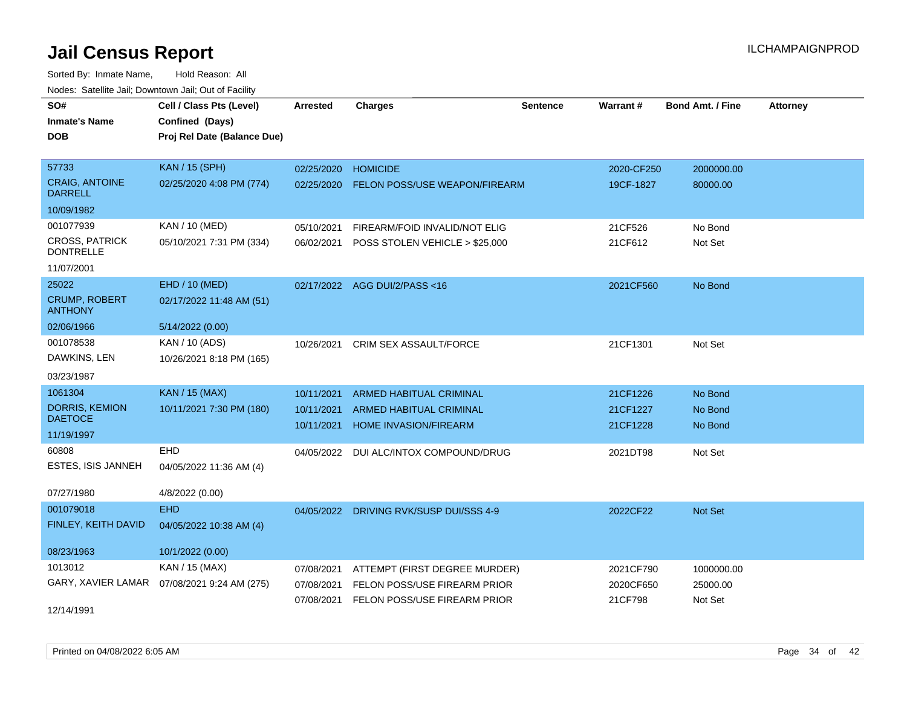| SO#                                       | Cell / Class Pts (Level)    | <b>Arrested</b> | <b>Charges</b>                          | <b>Sentence</b> | Warrant#   | <b>Bond Amt. / Fine</b> | <b>Attorney</b> |
|-------------------------------------------|-----------------------------|-----------------|-----------------------------------------|-----------------|------------|-------------------------|-----------------|
| <b>Inmate's Name</b>                      | Confined (Days)             |                 |                                         |                 |            |                         |                 |
| <b>DOB</b>                                | Proj Rel Date (Balance Due) |                 |                                         |                 |            |                         |                 |
|                                           |                             |                 |                                         |                 |            |                         |                 |
| 57733                                     | <b>KAN / 15 (SPH)</b>       | 02/25/2020      | <b>HOMICIDE</b>                         |                 | 2020-CF250 | 2000000.00              |                 |
| <b>CRAIG, ANTOINE</b><br><b>DARRELL</b>   | 02/25/2020 4:08 PM (774)    | 02/25/2020      | <b>FELON POSS/USE WEAPON/FIREARM</b>    |                 | 19CF-1827  | 80000.00                |                 |
| 10/09/1982                                |                             |                 |                                         |                 |            |                         |                 |
| 001077939                                 | KAN / 10 (MED)              | 05/10/2021      | FIREARM/FOID INVALID/NOT ELIG           |                 | 21CF526    | No Bond                 |                 |
| <b>CROSS, PATRICK</b><br><b>DONTRELLE</b> | 05/10/2021 7:31 PM (334)    | 06/02/2021      | POSS STOLEN VEHICLE > \$25,000          |                 | 21CF612    | Not Set                 |                 |
| 11/07/2001                                |                             |                 |                                         |                 |            |                         |                 |
| 25022                                     | EHD / 10 (MED)              |                 | 02/17/2022 AGG DUI/2/PASS<16            |                 | 2021CF560  | No Bond                 |                 |
| <b>CRUMP, ROBERT</b><br><b>ANTHONY</b>    | 02/17/2022 11:48 AM (51)    |                 |                                         |                 |            |                         |                 |
| 02/06/1966                                | 5/14/2022 (0.00)            |                 |                                         |                 |            |                         |                 |
| 001078538                                 | KAN / 10 (ADS)              | 10/26/2021      | <b>CRIM SEX ASSAULT/FORCE</b>           |                 | 21CF1301   | Not Set                 |                 |
| DAWKINS, LEN                              | 10/26/2021 8:18 PM (165)    |                 |                                         |                 |            |                         |                 |
| 03/23/1987                                |                             |                 |                                         |                 |            |                         |                 |
| 1061304                                   | <b>KAN / 15 (MAX)</b>       | 10/11/2021      | <b>ARMED HABITUAL CRIMINAL</b>          |                 | 21CF1226   | No Bond                 |                 |
| <b>DORRIS, KEMION</b>                     | 10/11/2021 7:30 PM (180)    | 10/11/2021      | <b>ARMED HABITUAL CRIMINAL</b>          |                 | 21CF1227   | No Bond                 |                 |
| <b>DAETOCE</b>                            |                             | 10/11/2021      | <b>HOME INVASION/FIREARM</b>            |                 | 21CF1228   | No Bond                 |                 |
| 11/19/1997                                |                             |                 |                                         |                 |            |                         |                 |
| 60808                                     | EHD                         |                 | 04/05/2022 DUI ALC/INTOX COMPOUND/DRUG  |                 | 2021DT98   | Not Set                 |                 |
| ESTES, ISIS JANNEH                        | 04/05/2022 11:36 AM (4)     |                 |                                         |                 |            |                         |                 |
| 07/27/1980                                | 4/8/2022 (0.00)             |                 |                                         |                 |            |                         |                 |
| 001079018                                 | <b>EHD</b>                  |                 | 04/05/2022 DRIVING RVK/SUSP DUI/SSS 4-9 |                 | 2022CF22   | Not Set                 |                 |
| FINLEY, KEITH DAVID                       | 04/05/2022 10:38 AM (4)     |                 |                                         |                 |            |                         |                 |
| 08/23/1963                                | 10/1/2022 (0.00)            |                 |                                         |                 |            |                         |                 |
| 1013012                                   | KAN / 15 (MAX)              | 07/08/2021      | ATTEMPT (FIRST DEGREE MURDER)           |                 | 2021CF790  | 1000000.00              |                 |
| GARY, XAVIER LAMAR                        | 07/08/2021 9:24 AM (275)    | 07/08/2021      | FELON POSS/USE FIREARM PRIOR            |                 | 2020CF650  | 25000.00                |                 |
|                                           |                             |                 | 07/08/2021 FELON POSS/USE FIREARM PRIOR |                 | 21CF798    | Not Set                 |                 |
| 12/14/1991                                |                             |                 |                                         |                 |            |                         |                 |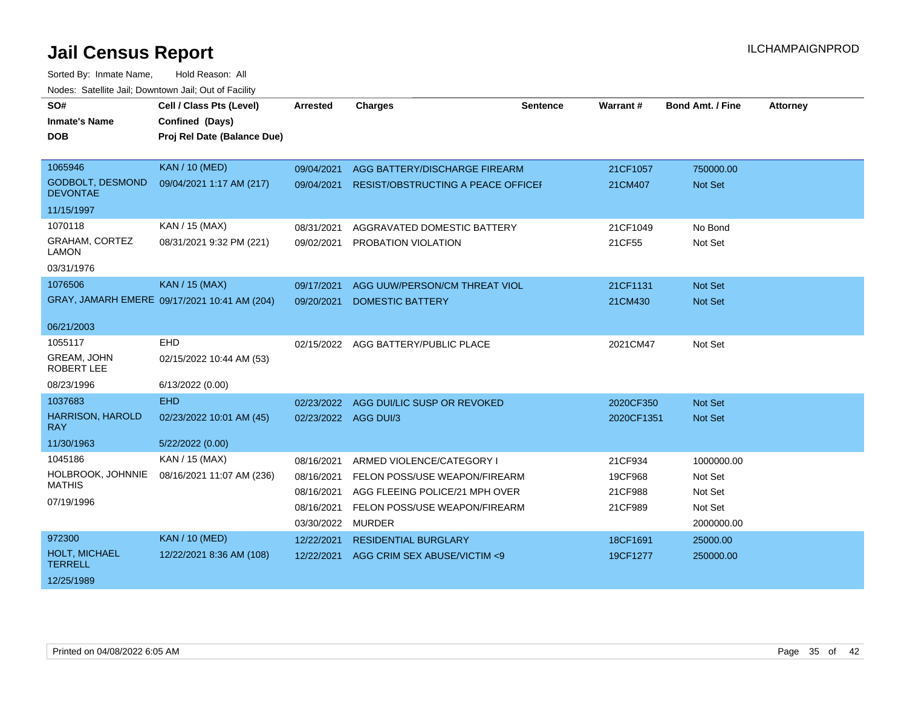| SO#<br><b>Inmate's Name</b><br><b>DOB</b>  | Cell / Class Pts (Level)<br>Confined (Days)<br>Proj Rel Date (Balance Due) | <b>Arrested</b>          | <b>Charges</b>                                                  | <b>Sentence</b> | Warrant#           | <b>Bond Amt. / Fine</b> | <b>Attorney</b> |
|--------------------------------------------|----------------------------------------------------------------------------|--------------------------|-----------------------------------------------------------------|-----------------|--------------------|-------------------------|-----------------|
| 1065946                                    | <b>KAN / 10 (MED)</b>                                                      | 09/04/2021               | AGG BATTERY/DISCHARGE FIREARM                                   |                 | 21CF1057           | 750000.00               |                 |
| <b>GODBOLT, DESMOND</b><br><b>DEVONTAE</b> | 09/04/2021 1:17 AM (217)                                                   | 09/04/2021               | RESIST/OBSTRUCTING A PEACE OFFICEF                              |                 | 21CM407            | Not Set                 |                 |
| 11/15/1997                                 |                                                                            |                          |                                                                 |                 |                    |                         |                 |
| 1070118                                    | KAN / 15 (MAX)                                                             | 08/31/2021               | AGGRAVATED DOMESTIC BATTERY                                     |                 | 21CF1049           | No Bond                 |                 |
| <b>GRAHAM, CORTEZ</b><br><b>LAMON</b>      | 08/31/2021 9:32 PM (221)                                                   | 09/02/2021               | PROBATION VIOLATION                                             |                 | 21CF55             | Not Set                 |                 |
| 03/31/1976                                 |                                                                            |                          |                                                                 |                 |                    |                         |                 |
| 1076506                                    | <b>KAN / 15 (MAX)</b>                                                      | 09/17/2021               | AGG UUW/PERSON/CM THREAT VIOL                                   |                 | 21CF1131           | Not Set                 |                 |
|                                            | GRAY, JAMARH EMERE 09/17/2021 10:41 AM (204)                               | 09/20/2021               | <b>DOMESTIC BATTERY</b>                                         |                 | 21CM430            | <b>Not Set</b>          |                 |
| 06/21/2003                                 |                                                                            |                          |                                                                 |                 |                    |                         |                 |
| 1055117                                    | EHD                                                                        |                          | 02/15/2022 AGG BATTERY/PUBLIC PLACE                             |                 | 2021CM47           | Not Set                 |                 |
| <b>GREAM, JOHN</b><br><b>ROBERT LEE</b>    | 02/15/2022 10:44 AM (53)                                                   |                          |                                                                 |                 |                    |                         |                 |
| 08/23/1996                                 | 6/13/2022 (0.00)                                                           |                          |                                                                 |                 |                    |                         |                 |
| 1037683                                    | <b>EHD</b>                                                                 | 02/23/2022               | AGG DUI/LIC SUSP OR REVOKED                                     |                 | 2020CF350          | <b>Not Set</b>          |                 |
| <b>HARRISON, HAROLD</b><br><b>RAY</b>      | 02/23/2022 10:01 AM (45)                                                   | 02/23/2022 AGG DUI/3     |                                                                 |                 | 2020CF1351         | Not Set                 |                 |
| 11/30/1963                                 | 5/22/2022 (0.00)                                                           |                          |                                                                 |                 |                    |                         |                 |
| 1045186                                    | KAN / 15 (MAX)                                                             | 08/16/2021               | ARMED VIOLENCE/CATEGORY I                                       |                 | 21CF934            | 1000000.00              |                 |
| HOLBROOK, JOHNNIE<br><b>MATHIS</b>         | 08/16/2021 11:07 AM (236)                                                  | 08/16/2021<br>08/16/2021 | FELON POSS/USE WEAPON/FIREARM<br>AGG FLEEING POLICE/21 MPH OVER |                 | 19CF968<br>21CF988 | Not Set<br>Not Set      |                 |
| 07/19/1996                                 |                                                                            | 08/16/2021               | FELON POSS/USE WEAPON/FIREARM                                   |                 | 21CF989            | Not Set                 |                 |
|                                            |                                                                            | 03/30/2022               | <b>MURDER</b>                                                   |                 |                    | 2000000.00              |                 |
| 972300                                     | <b>KAN / 10 (MED)</b>                                                      | 12/22/2021               | <b>RESIDENTIAL BURGLARY</b>                                     |                 | 18CF1691           | 25000.00                |                 |
| HOLT, MICHAEL<br><b>TERRELL</b>            | 12/22/2021 8:36 AM (108)                                                   | 12/22/2021               | AGG CRIM SEX ABUSE/VICTIM <9                                    |                 | 19CF1277           | 250000.00               |                 |
| 12/25/1989                                 |                                                                            |                          |                                                                 |                 |                    |                         |                 |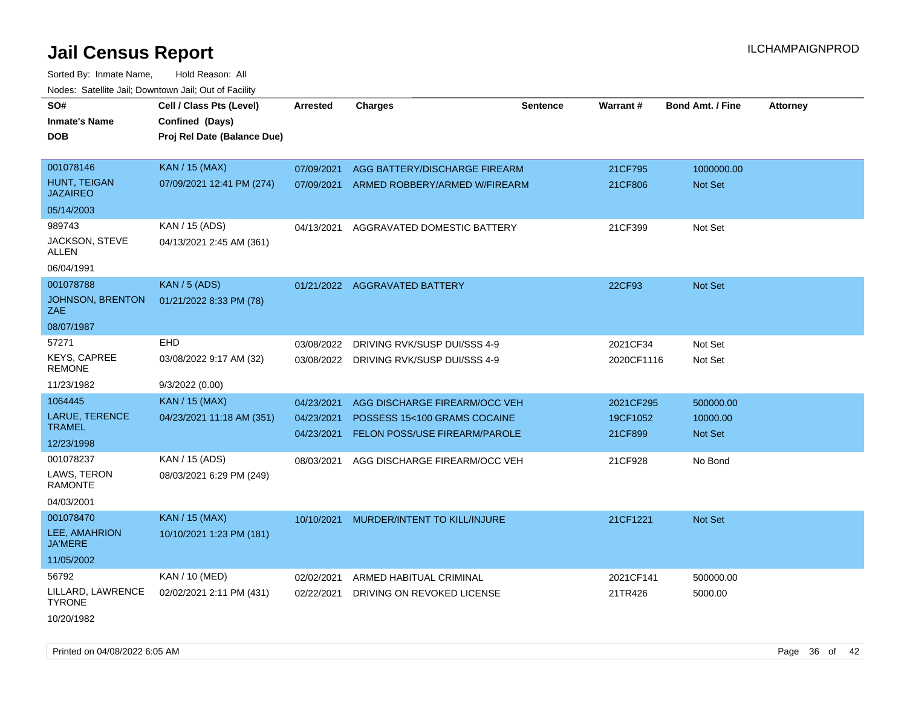| SO#                                    | Cell / Class Pts (Level)    | <b>Arrested</b> | <b>Charges</b>                       | <b>Sentence</b> | Warrant#   | <b>Bond Amt. / Fine</b> | <b>Attorney</b> |
|----------------------------------------|-----------------------------|-----------------|--------------------------------------|-----------------|------------|-------------------------|-----------------|
| <b>Inmate's Name</b>                   | Confined (Days)             |                 |                                      |                 |            |                         |                 |
| DOB                                    | Proj Rel Date (Balance Due) |                 |                                      |                 |            |                         |                 |
|                                        |                             |                 |                                      |                 |            |                         |                 |
| 001078146                              | <b>KAN / 15 (MAX)</b>       | 07/09/2021      | AGG BATTERY/DISCHARGE FIREARM        |                 | 21CF795    | 1000000.00              |                 |
| <b>HUNT, TEIGAN</b><br><b>JAZAIREO</b> | 07/09/2021 12:41 PM (274)   | 07/09/2021      | ARMED ROBBERY/ARMED W/FIREARM        |                 | 21CF806    | Not Set                 |                 |
| 05/14/2003                             |                             |                 |                                      |                 |            |                         |                 |
| 989743                                 | KAN / 15 (ADS)              | 04/13/2021      | AGGRAVATED DOMESTIC BATTERY          |                 | 21CF399    | Not Set                 |                 |
| JACKSON, STEVE<br>ALLEN                | 04/13/2021 2:45 AM (361)    |                 |                                      |                 |            |                         |                 |
| 06/04/1991                             |                             |                 |                                      |                 |            |                         |                 |
| 001078788                              | <b>KAN / 5 (ADS)</b>        |                 | 01/21/2022 AGGRAVATED BATTERY        |                 | 22CF93     | <b>Not Set</b>          |                 |
| JOHNSON, BRENTON<br>ZAE                | 01/21/2022 8:33 PM (78)     |                 |                                      |                 |            |                         |                 |
| 08/07/1987                             |                             |                 |                                      |                 |            |                         |                 |
| 57271                                  | <b>EHD</b>                  | 03/08/2022      | DRIVING RVK/SUSP DUI/SSS 4-9         |                 | 2021CF34   | Not Set                 |                 |
| <b>KEYS, CAPREE</b><br><b>REMONE</b>   | 03/08/2022 9:17 AM (32)     | 03/08/2022      | DRIVING RVK/SUSP DUI/SSS 4-9         |                 | 2020CF1116 | Not Set                 |                 |
| 11/23/1982                             | 9/3/2022 (0.00)             |                 |                                      |                 |            |                         |                 |
| 1064445                                | KAN / 15 (MAX)              | 04/23/2021      | AGG DISCHARGE FIREARM/OCC VEH        |                 | 2021CF295  | 500000.00               |                 |
| LARUE, TERENCE                         | 04/23/2021 11:18 AM (351)   | 04/23/2021      | POSSESS 15<100 GRAMS COCAINE         |                 | 19CF1052   | 10000.00                |                 |
| <b>TRAMEL</b>                          |                             | 04/23/2021      | <b>FELON POSS/USE FIREARM/PAROLE</b> |                 | 21CF899    | Not Set                 |                 |
| 12/23/1998                             |                             |                 |                                      |                 |            |                         |                 |
| 001078237<br>LAWS, TERON               | KAN / 15 (ADS)              | 08/03/2021      | AGG DISCHARGE FIREARM/OCC VEH        |                 | 21CF928    | No Bond                 |                 |
| <b>RAMONTE</b>                         | 08/03/2021 6:29 PM (249)    |                 |                                      |                 |            |                         |                 |
| 04/03/2001                             |                             |                 |                                      |                 |            |                         |                 |
| 001078470                              | <b>KAN / 15 (MAX)</b>       | 10/10/2021      | MURDER/INTENT TO KILL/INJURE         |                 | 21CF1221   | Not Set                 |                 |
| LEE, AMAHRION<br><b>JA'MERE</b>        | 10/10/2021 1:23 PM (181)    |                 |                                      |                 |            |                         |                 |
| 11/05/2002                             |                             |                 |                                      |                 |            |                         |                 |
| 56792                                  | KAN / 10 (MED)              | 02/02/2021      | ARMED HABITUAL CRIMINAL              |                 | 2021CF141  | 500000.00               |                 |
| LILLARD, LAWRENCE<br><b>TYRONE</b>     | 02/02/2021 2:11 PM (431)    | 02/22/2021      | DRIVING ON REVOKED LICENSE           |                 | 21TR426    | 5000.00                 |                 |
| 10/20/1982                             |                             |                 |                                      |                 |            |                         |                 |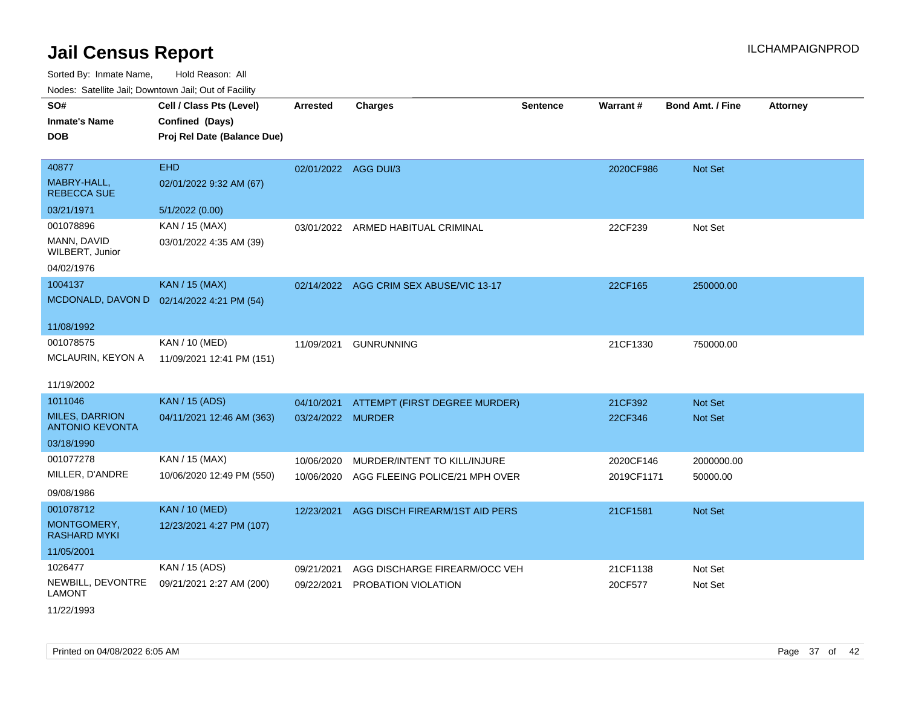Sorted By: Inmate Name, Hold Reason: All Nodes: Satellite Jail; Downtown Jail; Out of Facility

| SO#<br><b>Inmate's Name</b><br><b>DOB</b>       | Cell / Class Pts (Level)<br>Confined (Days)<br>Proj Rel Date (Balance Due) | <b>Arrested</b>      | <b>Charges</b>                 | <b>Sentence</b> | Warrant#   | Bond Amt. / Fine | <b>Attorney</b> |
|-------------------------------------------------|----------------------------------------------------------------------------|----------------------|--------------------------------|-----------------|------------|------------------|-----------------|
|                                                 |                                                                            |                      |                                |                 |            |                  |                 |
| 40877                                           | <b>EHD</b>                                                                 | 02/01/2022 AGG DUI/3 |                                |                 | 2020CF986  | Not Set          |                 |
| MABRY-HALL,<br><b>REBECCA SUE</b>               | 02/01/2022 9:32 AM (67)                                                    |                      |                                |                 |            |                  |                 |
| 03/21/1971                                      | 5/1/2022 (0.00)                                                            |                      |                                |                 |            |                  |                 |
| 001078896                                       | KAN / 15 (MAX)                                                             | 03/01/2022           | ARMED HABITUAL CRIMINAL        |                 | 22CF239    | Not Set          |                 |
| MANN, DAVID<br>WILBERT, Junior                  | 03/01/2022 4:35 AM (39)                                                    |                      |                                |                 |            |                  |                 |
| 04/02/1976                                      |                                                                            |                      |                                |                 |            |                  |                 |
| 1004137                                         | <b>KAN / 15 (MAX)</b>                                                      | 02/14/2022           | AGG CRIM SEX ABUSE/VIC 13-17   |                 | 22CF165    | 250000.00        |                 |
| MCDONALD, DAVON D                               | 02/14/2022 4:21 PM (54)                                                    |                      |                                |                 |            |                  |                 |
| 11/08/1992                                      |                                                                            |                      |                                |                 |            |                  |                 |
| 001078575                                       | KAN / 10 (MED)                                                             | 11/09/2021           | <b>GUNRUNNING</b>              |                 | 21CF1330   | 750000.00        |                 |
| MCLAURIN, KEYON A                               | 11/09/2021 12:41 PM (151)                                                  |                      |                                |                 |            |                  |                 |
| 11/19/2002                                      |                                                                            |                      |                                |                 |            |                  |                 |
| 1011046                                         | <b>KAN / 15 (ADS)</b>                                                      | 04/10/2021           | ATTEMPT (FIRST DEGREE MURDER)  |                 | 21CF392    | <b>Not Set</b>   |                 |
| <b>MILES, DARRION</b><br><b>ANTONIO KEVONTA</b> | 04/11/2021 12:46 AM (363)                                                  | 03/24/2022 MURDER    |                                |                 | 22CF346    | <b>Not Set</b>   |                 |
| 03/18/1990                                      |                                                                            |                      |                                |                 |            |                  |                 |
| 001077278                                       | KAN / 15 (MAX)                                                             | 10/06/2020           | MURDER/INTENT TO KILL/INJURE   |                 | 2020CF146  | 2000000.00       |                 |
| MILLER, D'ANDRE                                 | 10/06/2020 12:49 PM (550)                                                  | 10/06/2020           | AGG FLEEING POLICE/21 MPH OVER |                 | 2019CF1171 | 50000.00         |                 |
| 09/08/1986                                      |                                                                            |                      |                                |                 |            |                  |                 |
| 001078712                                       | <b>KAN / 10 (MED)</b>                                                      | 12/23/2021           | AGG DISCH FIREARM/1ST AID PERS |                 | 21CF1581   | <b>Not Set</b>   |                 |
| MONTGOMERY,<br>RASHARD MYKI                     | 12/23/2021 4:27 PM (107)                                                   |                      |                                |                 |            |                  |                 |
| 11/05/2001                                      |                                                                            |                      |                                |                 |            |                  |                 |
| 1026477                                         | KAN / 15 (ADS)                                                             | 09/21/2021           | AGG DISCHARGE FIREARM/OCC VEH  |                 | 21CF1138   | Not Set          |                 |
| NEWBILL, DEVONTRE<br><b>LAMONT</b>              | 09/21/2021 2:27 AM (200)                                                   | 09/22/2021           | PROBATION VIOLATION            |                 | 20CF577    | Not Set          |                 |

11/22/1993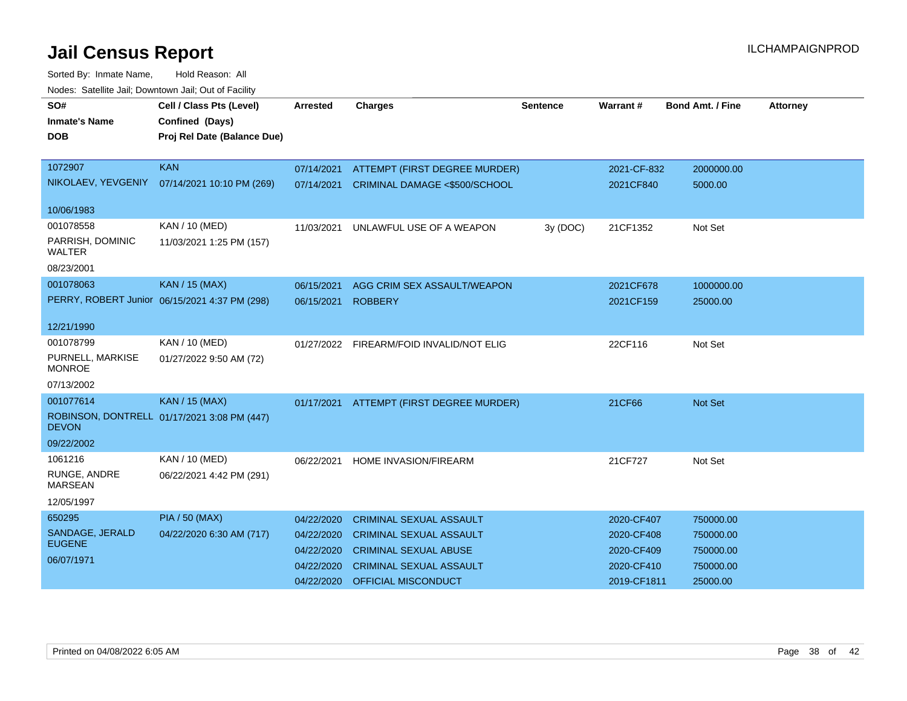| rioucs. Odichite Jah, Downtown Jah, Out of Facility |                                               |                 |                                          |                 |             |                         |                 |  |
|-----------------------------------------------------|-----------------------------------------------|-----------------|------------------------------------------|-----------------|-------------|-------------------------|-----------------|--|
| SO#                                                 | Cell / Class Pts (Level)                      | <b>Arrested</b> | <b>Charges</b>                           | <b>Sentence</b> | Warrant#    | <b>Bond Amt. / Fine</b> | <b>Attorney</b> |  |
| <b>Inmate's Name</b>                                | <b>Confined (Days)</b>                        |                 |                                          |                 |             |                         |                 |  |
| <b>DOB</b>                                          | Proj Rel Date (Balance Due)                   |                 |                                          |                 |             |                         |                 |  |
|                                                     |                                               |                 |                                          |                 |             |                         |                 |  |
| 1072907                                             | <b>KAN</b>                                    | 07/14/2021      | ATTEMPT (FIRST DEGREE MURDER)            |                 | 2021-CF-832 | 2000000.00              |                 |  |
|                                                     | NIKOLAEV, YEVGENIY 07/14/2021 10:10 PM (269)  | 07/14/2021      | CRIMINAL DAMAGE <\$500/SCHOOL            |                 | 2021CF840   | 5000.00                 |                 |  |
|                                                     |                                               |                 |                                          |                 |             |                         |                 |  |
| 10/06/1983                                          |                                               |                 |                                          |                 |             |                         |                 |  |
| 001078558                                           | KAN / 10 (MED)                                | 11/03/2021      | UNLAWFUL USE OF A WEAPON                 | 3y (DOC)        | 21CF1352    | Not Set                 |                 |  |
| PARRISH, DOMINIC<br>WALTER                          | 11/03/2021 1:25 PM (157)                      |                 |                                          |                 |             |                         |                 |  |
| 08/23/2001                                          |                                               |                 |                                          |                 |             |                         |                 |  |
| 001078063                                           | <b>KAN / 15 (MAX)</b>                         | 06/15/2021      | AGG CRIM SEX ASSAULT/WEAPON              |                 | 2021CF678   | 1000000.00              |                 |  |
|                                                     | PERRY, ROBERT Junior 06/15/2021 4:37 PM (298) | 06/15/2021      | <b>ROBBERY</b>                           |                 | 2021CF159   | 25000.00                |                 |  |
|                                                     |                                               |                 |                                          |                 |             |                         |                 |  |
| 12/21/1990                                          |                                               |                 |                                          |                 |             |                         |                 |  |
| 001078799                                           | KAN / 10 (MED)                                | 01/27/2022      | FIREARM/FOID INVALID/NOT ELIG            |                 | 22CF116     | Not Set                 |                 |  |
| PURNELL, MARKISE<br><b>MONROE</b>                   | 01/27/2022 9:50 AM (72)                       |                 |                                          |                 |             |                         |                 |  |
| 07/13/2002                                          |                                               |                 |                                          |                 |             |                         |                 |  |
| 001077614                                           | <b>KAN / 15 (MAX)</b>                         |                 | 01/17/2021 ATTEMPT (FIRST DEGREE MURDER) |                 | 21CF66      | Not Set                 |                 |  |
| <b>DEVON</b>                                        | ROBINSON, DONTRELL 01/17/2021 3:08 PM (447)   |                 |                                          |                 |             |                         |                 |  |
| 09/22/2002                                          |                                               |                 |                                          |                 |             |                         |                 |  |
| 1061216                                             | KAN / 10 (MED)                                | 06/22/2021      | HOME INVASION/FIREARM                    |                 | 21CF727     | Not Set                 |                 |  |
| RUNGE, ANDRE<br><b>MARSEAN</b>                      | 06/22/2021 4:42 PM (291)                      |                 |                                          |                 |             |                         |                 |  |
| 12/05/1997                                          |                                               |                 |                                          |                 |             |                         |                 |  |
| 650295                                              | <b>PIA / 50 (MAX)</b>                         | 04/22/2020      | <b>CRIMINAL SEXUAL ASSAULT</b>           |                 | 2020-CF407  | 750000.00               |                 |  |
| SANDAGE, JERALD                                     | 04/22/2020 6:30 AM (717)                      | 04/22/2020      | <b>CRIMINAL SEXUAL ASSAULT</b>           |                 | 2020-CF408  | 750000.00               |                 |  |
| <b>EUGENE</b>                                       |                                               | 04/22/2020      | <b>CRIMINAL SEXUAL ABUSE</b>             |                 | 2020-CF409  | 750000.00               |                 |  |
| 06/07/1971                                          |                                               | 04/22/2020      | <b>CRIMINAL SEXUAL ASSAULT</b>           |                 | 2020-CF410  | 750000.00               |                 |  |
|                                                     |                                               | 04/22/2020      | OFFICIAL MISCONDUCT                      |                 | 2019-CF1811 | 25000.00                |                 |  |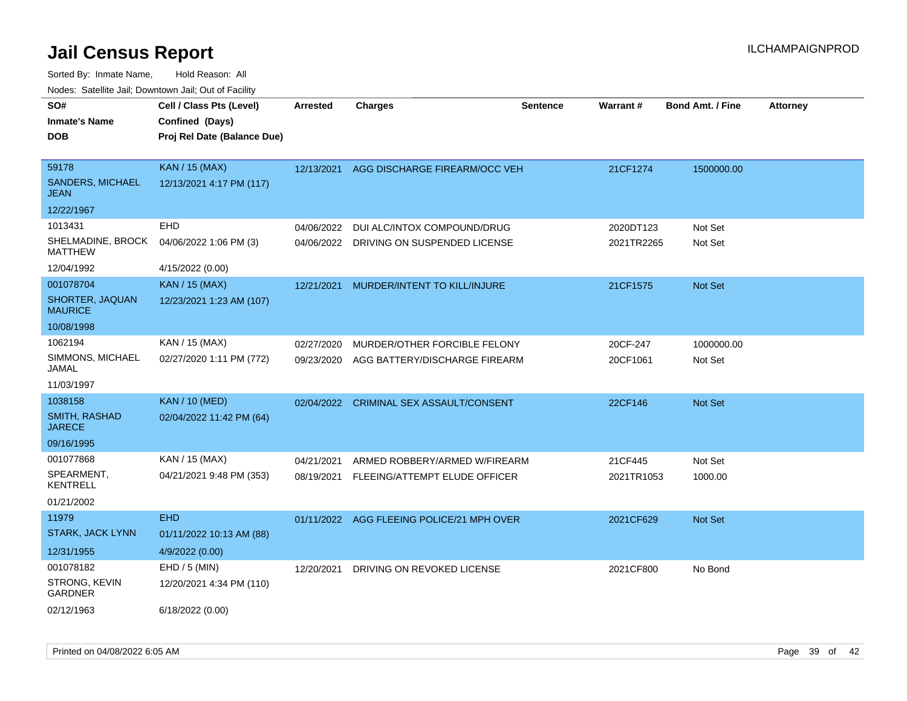| noaco. Catolino cali, Domntonni cali, Cat on I acilit |                             |                 |                                          |                 |            |                         |                 |
|-------------------------------------------------------|-----------------------------|-----------------|------------------------------------------|-----------------|------------|-------------------------|-----------------|
| SO#                                                   | Cell / Class Pts (Level)    | <b>Arrested</b> | <b>Charges</b>                           | <b>Sentence</b> | Warrant#   | <b>Bond Amt. / Fine</b> | <b>Attorney</b> |
| Inmate's Name                                         | Confined (Days)             |                 |                                          |                 |            |                         |                 |
| DOB                                                   | Proj Rel Date (Balance Due) |                 |                                          |                 |            |                         |                 |
| 59178                                                 | <b>KAN / 15 (MAX)</b>       |                 | 12/13/2021 AGG DISCHARGE FIREARM/OCC VEH |                 | 21CF1274   | 1500000.00              |                 |
| <b>SANDERS, MICHAEL</b><br>JEAN                       | 12/13/2021 4:17 PM (117)    |                 |                                          |                 |            |                         |                 |
| 12/22/1967                                            |                             |                 |                                          |                 |            |                         |                 |
| 1013431                                               | <b>EHD</b>                  | 04/06/2022      | DUI ALC/INTOX COMPOUND/DRUG              |                 | 2020DT123  | Not Set                 |                 |
| SHELMADINE, BROCK<br>MATTHEW                          | 04/06/2022 1:06 PM (3)      | 04/06/2022      | DRIVING ON SUSPENDED LICENSE             |                 | 2021TR2265 | Not Set                 |                 |
| 12/04/1992                                            | 4/15/2022 (0.00)            |                 |                                          |                 |            |                         |                 |
| 001078704                                             | <b>KAN / 15 (MAX)</b>       | 12/21/2021      | MURDER/INTENT TO KILL/INJURE             |                 | 21CF1575   | <b>Not Set</b>          |                 |
| SHORTER, JAQUAN<br>MAURICE                            | 12/23/2021 1:23 AM (107)    |                 |                                          |                 |            |                         |                 |
| 10/08/1998                                            |                             |                 |                                          |                 |            |                         |                 |
| 1062194                                               | KAN / 15 (MAX)              | 02/27/2020      | MURDER/OTHER FORCIBLE FELONY             |                 | 20CF-247   | 1000000.00              |                 |
| SIMMONS, MICHAEL<br>JAMAL                             | 02/27/2020 1:11 PM (772)    | 09/23/2020      | AGG BATTERY/DISCHARGE FIREARM            |                 | 20CF1061   | Not Set                 |                 |
| 11/03/1997                                            |                             |                 |                                          |                 |            |                         |                 |
| 1038158                                               | <b>KAN / 10 (MED)</b>       |                 | 02/04/2022 CRIMINAL SEX ASSAULT/CONSENT  |                 | 22CF146    | Not Set                 |                 |
| <b>SMITH, RASHAD</b><br>JARECE                        | 02/04/2022 11:42 PM (64)    |                 |                                          |                 |            |                         |                 |
| 09/16/1995                                            |                             |                 |                                          |                 |            |                         |                 |
| 001077868                                             | KAN / 15 (MAX)              | 04/21/2021      | ARMED ROBBERY/ARMED W/FIREARM            |                 | 21CF445    | Not Set                 |                 |
| SPEARMENT,<br>KENTRELL                                | 04/21/2021 9:48 PM (353)    | 08/19/2021      | FLEEING/ATTEMPT ELUDE OFFICER            |                 | 2021TR1053 | 1000.00                 |                 |
| 01/21/2002                                            |                             |                 |                                          |                 |            |                         |                 |
| 11979                                                 | <b>EHD</b>                  | 01/11/2022      | AGG FLEEING POLICE/21 MPH OVER           |                 | 2021CF629  | <b>Not Set</b>          |                 |
| <b>STARK, JACK LYNN</b>                               | 01/11/2022 10:13 AM (88)    |                 |                                          |                 |            |                         |                 |
| 12/31/1955                                            | 4/9/2022 (0.00)             |                 |                                          |                 |            |                         |                 |
| 001078182                                             | $EHD / 5$ (MIN)             | 12/20/2021      | DRIVING ON REVOKED LICENSE               |                 | 2021CF800  | No Bond                 |                 |
| STRONG, KEVIN<br>GARDNER                              | 12/20/2021 4:34 PM (110)    |                 |                                          |                 |            |                         |                 |
| 02/12/1963                                            | 6/18/2022 (0.00)            |                 |                                          |                 |            |                         |                 |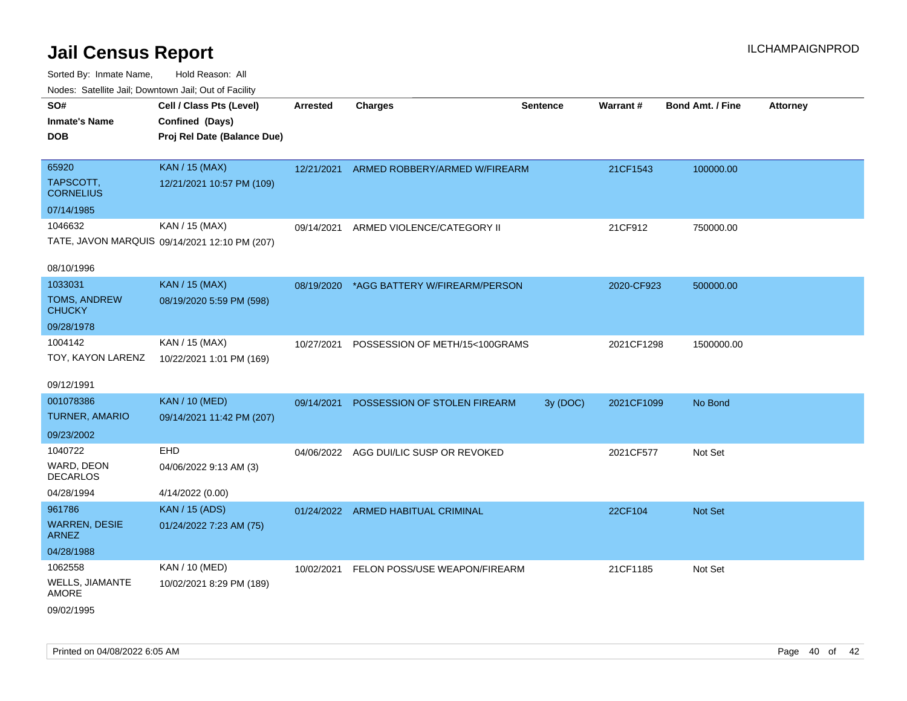| ivodes. Satellite Jali, Downtown Jali, Out of Facility |                                               |                 |                                        |                 |            |                         |                 |
|--------------------------------------------------------|-----------------------------------------------|-----------------|----------------------------------------|-----------------|------------|-------------------------|-----------------|
| SO#                                                    | Cell / Class Pts (Level)                      | <b>Arrested</b> | Charges                                | <b>Sentence</b> | Warrant#   | <b>Bond Amt. / Fine</b> | <b>Attorney</b> |
| <b>Inmate's Name</b>                                   | Confined (Days)                               |                 |                                        |                 |            |                         |                 |
| <b>DOB</b>                                             | Proj Rel Date (Balance Due)                   |                 |                                        |                 |            |                         |                 |
|                                                        |                                               |                 |                                        |                 |            |                         |                 |
| 65920                                                  | <b>KAN / 15 (MAX)</b>                         | 12/21/2021      | ARMED ROBBERY/ARMED W/FIREARM          |                 | 21CF1543   | 100000.00               |                 |
| TAPSCOTT,<br><b>CORNELIUS</b>                          | 12/21/2021 10:57 PM (109)                     |                 |                                        |                 |            |                         |                 |
| 07/14/1985                                             |                                               |                 |                                        |                 |            |                         |                 |
| 1046632                                                | KAN / 15 (MAX)                                | 09/14/2021      | ARMED VIOLENCE/CATEGORY II             |                 | 21CF912    | 750000.00               |                 |
|                                                        | TATE, JAVON MARQUIS 09/14/2021 12:10 PM (207) |                 |                                        |                 |            |                         |                 |
| 08/10/1996                                             |                                               |                 |                                        |                 |            |                         |                 |
| 1033031                                                | <b>KAN / 15 (MAX)</b>                         | 08/19/2020      | *AGG BATTERY W/FIREARM/PERSON          |                 | 2020-CF923 | 500000.00               |                 |
| <b>TOMS, ANDREW</b><br><b>CHUCKY</b>                   | 08/19/2020 5:59 PM (598)                      |                 |                                        |                 |            |                         |                 |
| 09/28/1978                                             |                                               |                 |                                        |                 |            |                         |                 |
| 1004142                                                | KAN / 15 (MAX)                                | 10/27/2021      | POSSESSION OF METH/15<100GRAMS         |                 | 2021CF1298 | 1500000.00              |                 |
| TOY, KAYON LARENZ                                      | 10/22/2021 1:01 PM (169)                      |                 |                                        |                 |            |                         |                 |
| 09/12/1991                                             |                                               |                 |                                        |                 |            |                         |                 |
| 001078386                                              | <b>KAN / 10 (MED)</b>                         | 09/14/2021      | POSSESSION OF STOLEN FIREARM           | 3y (DOC)        | 2021CF1099 | No Bond                 |                 |
| <b>TURNER, AMARIO</b>                                  | 09/14/2021 11:42 PM (207)                     |                 |                                        |                 |            |                         |                 |
| 09/23/2002                                             |                                               |                 |                                        |                 |            |                         |                 |
| 1040722                                                | <b>EHD</b>                                    |                 | 04/06/2022 AGG DUI/LIC SUSP OR REVOKED |                 | 2021CF577  | Not Set                 |                 |
| WARD, DEON<br><b>DECARLOS</b>                          | 04/06/2022 9:13 AM (3)                        |                 |                                        |                 |            |                         |                 |
| 04/28/1994                                             | 4/14/2022 (0.00)                              |                 |                                        |                 |            |                         |                 |
| 961786                                                 | <b>KAN / 15 (ADS)</b>                         |                 | 01/24/2022 ARMED HABITUAL CRIMINAL     |                 | 22CF104    | <b>Not Set</b>          |                 |
| <b>WARREN, DESIE</b><br><b>ARNEZ</b>                   | 01/24/2022 7:23 AM (75)                       |                 |                                        |                 |            |                         |                 |
| 04/28/1988                                             |                                               |                 |                                        |                 |            |                         |                 |
| 1062558                                                | KAN / 10 (MED)                                | 10/02/2021      | FELON POSS/USE WEAPON/FIREARM          |                 | 21CF1185   | Not Set                 |                 |
| <b>WELLS, JIAMANTE</b><br><b>AMORE</b>                 | 10/02/2021 8:29 PM (189)                      |                 |                                        |                 |            |                         |                 |
| 09/02/1995                                             |                                               |                 |                                        |                 |            |                         |                 |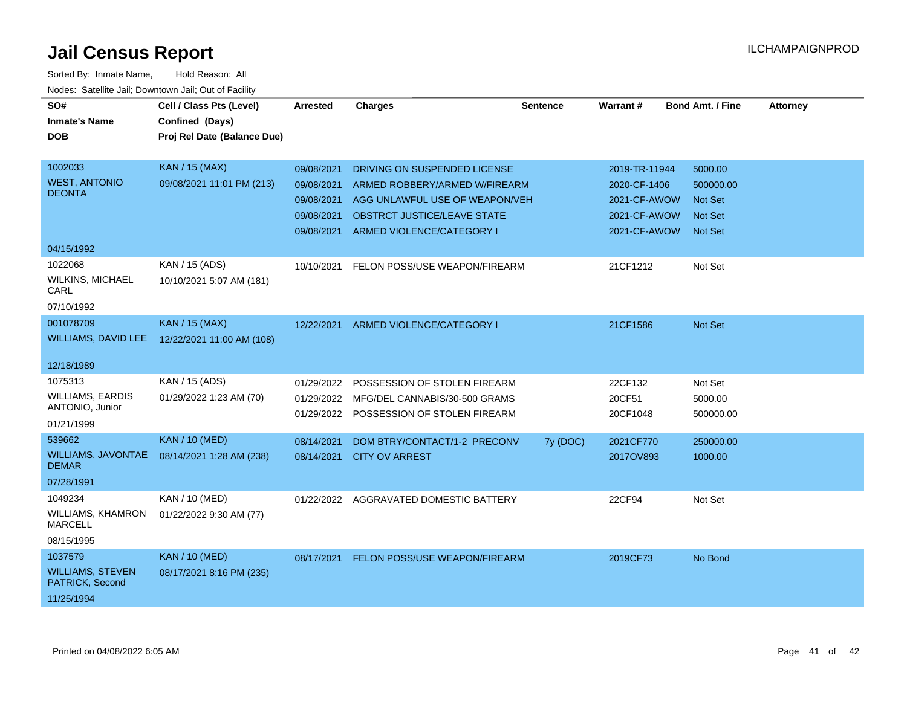| SO#                                        | Cell / Class Pts (Level)    | Arrested   | <b>Charges</b>                          | <b>Sentence</b> | Warrant#      | <b>Bond Amt. / Fine</b> | <b>Attorney</b> |
|--------------------------------------------|-----------------------------|------------|-----------------------------------------|-----------------|---------------|-------------------------|-----------------|
| <b>Inmate's Name</b>                       | Confined (Days)             |            |                                         |                 |               |                         |                 |
| <b>DOB</b>                                 | Proj Rel Date (Balance Due) |            |                                         |                 |               |                         |                 |
|                                            |                             |            |                                         |                 |               |                         |                 |
| 1002033                                    | <b>KAN / 15 (MAX)</b>       | 09/08/2021 | DRIVING ON SUSPENDED LICENSE            |                 | 2019-TR-11944 | 5000.00                 |                 |
| <b>WEST, ANTONIO</b>                       | 09/08/2021 11:01 PM (213)   | 09/08/2021 | ARMED ROBBERY/ARMED W/FIREARM           |                 | 2020-CF-1406  | 500000.00               |                 |
| <b>DEONTA</b>                              |                             | 09/08/2021 | AGG UNLAWFUL USE OF WEAPON/VEH          |                 | 2021-CF-AWOW  | <b>Not Set</b>          |                 |
|                                            |                             | 09/08/2021 | OBSTRCT JUSTICE/LEAVE STATE             |                 | 2021-CF-AWOW  | <b>Not Set</b>          |                 |
|                                            |                             | 09/08/2021 | ARMED VIOLENCE/CATEGORY I               |                 | 2021-CF-AWOW  | <b>Not Set</b>          |                 |
| 04/15/1992                                 |                             |            |                                         |                 |               |                         |                 |
| 1022068                                    | KAN / 15 (ADS)              | 10/10/2021 | FELON POSS/USE WEAPON/FIREARM           |                 | 21CF1212      | Not Set                 |                 |
| <b>WILKINS, MICHAEL</b><br>CARL            | 10/10/2021 5:07 AM (181)    |            |                                         |                 |               |                         |                 |
| 07/10/1992                                 |                             |            |                                         |                 |               |                         |                 |
| 001078709                                  | <b>KAN / 15 (MAX)</b>       | 12/22/2021 | ARMED VIOLENCE/CATEGORY I               |                 | 21CF1586      | Not Set                 |                 |
| <b>WILLIAMS, DAVID LEE</b>                 | 12/22/2021 11:00 AM (108)   |            |                                         |                 |               |                         |                 |
| 12/18/1989                                 |                             |            |                                         |                 |               |                         |                 |
| 1075313                                    | KAN / 15 (ADS)              | 01/29/2022 | POSSESSION OF STOLEN FIREARM            |                 | 22CF132       | Not Set                 |                 |
| <b>WILLIAMS, EARDIS</b><br>ANTONIO, Junior | 01/29/2022 1:23 AM (70)     | 01/29/2022 | MFG/DEL CANNABIS/30-500 GRAMS           |                 | 20CF51        | 5000.00                 |                 |
| 01/21/1999                                 |                             |            | 01/29/2022 POSSESSION OF STOLEN FIREARM |                 | 20CF1048      | 500000.00               |                 |
| 539662                                     | <b>KAN / 10 (MED)</b>       |            |                                         |                 |               |                         |                 |
| <b>WILLIAMS, JAVONTAE</b>                  |                             | 08/14/2021 | DOM BTRY/CONTACT/1-2 PRECONV            | 7y (DOC)        | 2021CF770     | 250000.00               |                 |
| <b>DEMAR</b>                               | 08/14/2021 1:28 AM (238)    |            | 08/14/2021 CITY OV ARREST               |                 | 2017OV893     | 1000.00                 |                 |
| 07/28/1991                                 |                             |            |                                         |                 |               |                         |                 |
| 1049234                                    | KAN / 10 (MED)              |            | 01/22/2022 AGGRAVATED DOMESTIC BATTERY  |                 | 22CF94        | Not Set                 |                 |
| WILLIAMS, KHAMRON<br><b>MARCELL</b>        | 01/22/2022 9:30 AM (77)     |            |                                         |                 |               |                         |                 |
| 08/15/1995                                 |                             |            |                                         |                 |               |                         |                 |
| 1037579                                    | <b>KAN / 10 (MED)</b>       | 08/17/2021 | FELON POSS/USE WEAPON/FIREARM           |                 | 2019CF73      | No Bond                 |                 |
| <b>WILLIAMS, STEVEN</b><br>PATRICK, Second | 08/17/2021 8:16 PM (235)    |            |                                         |                 |               |                         |                 |
| 11/25/1994                                 |                             |            |                                         |                 |               |                         |                 |